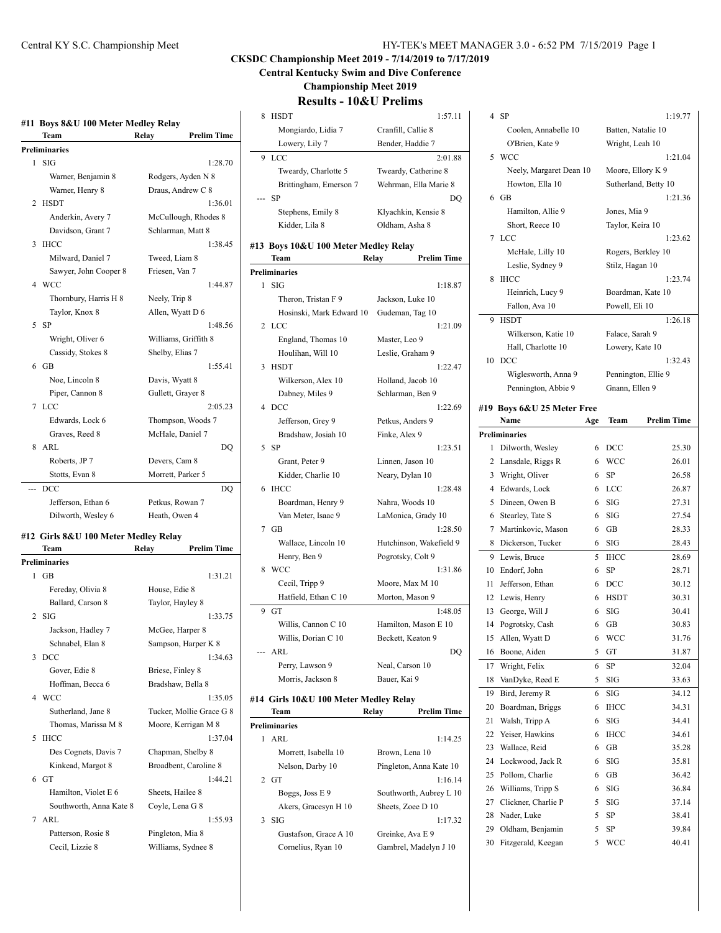| #11 Boys 8&U 100 Meter Medley Relay |                       |               |                      |
|-------------------------------------|-----------------------|---------------|----------------------|
|                                     | Team                  | Relay         | <b>Prelim Time</b>   |
|                                     | <b>Preliminaries</b>  |               |                      |
| 1                                   | - SIG                 |               | 1:28.70              |
|                                     | Warner, Benjamin 8    |               | Rodgers, Ayden N 8   |
|                                     | Warner, Henry 8       |               | Draus, Andrew C 8    |
| 2                                   | <b>HSDT</b>           |               | 1:36.01              |
|                                     | Anderkin, Avery 7     |               | McCullough, Rhodes 8 |
|                                     | Davidson, Grant 7     |               | Schlarman, Matt 8    |
| 3                                   | <b>IHCC</b>           |               | 1:38.45              |
|                                     | Milward, Daniel 7     |               | Tweed, Liam 8        |
|                                     | Sawyer, John Cooper 8 |               | Friesen, Van 7       |
|                                     | 4 WCC                 |               | 1:44.87              |
|                                     | Thornbury, Harris H 8 | Neely, Trip 8 |                      |
|                                     | Taylor, Knox 8        |               | Allen, Wyatt D 6     |
| 5.                                  | -SP                   |               | 1:48.56              |
|                                     | Wright, Oliver 6      |               | Williams, Griffith 8 |
|                                     | Cassidy, Stokes 8     |               | Shelby, Elias 7      |
|                                     | $6$ GB                |               | 1:55.41              |
|                                     | Noe, Lincoln 8        |               | Davis, Wyatt 8       |
|                                     | Piper, Cannon 8       |               | Gullett, Grayer 8    |
|                                     | 7 LCC                 |               | 2:05.23              |
|                                     | Edwards, Lock 6       |               | Thompson, Woods 7    |
|                                     | Graves, Reed 8        |               | McHale, Daniel 7     |
| 8                                   | ARL                   |               | DO                   |
|                                     | Roberts, JP 7         |               | Devers, Cam 8        |
|                                     | Stotts, Evan 8        |               | Morrett, Parker 5    |
| <u></u>                             | <b>DCC</b>            |               | DQ                   |
|                                     | Jefferson, Ethan 6    |               | Petkus, Rowan 7      |

# **#12 Girls 8&U 100 Meter Medley Relay**

Dilworth, Wesley 6 Heath, Owen 4

|   | Team                    | Relay            | <b>Prelim Time</b>       |
|---|-------------------------|------------------|--------------------------|
|   | <b>Preliminaries</b>    |                  |                          |
| 1 | GB                      |                  | 1:31.21                  |
|   | Fereday, Olivia 8       | House, Edie 8    |                          |
|   | Ballard, Carson 8       |                  | Taylor, Hayley 8         |
|   | $2$ SIG                 |                  | 1:33.75                  |
|   | Jackson, Hadley 7       |                  | McGee, Harper 8          |
|   | Schnabel, Elan 8        |                  | Sampson, Harper K 8      |
| 3 | <b>DCC</b>              |                  | 1:34.63                  |
|   | Gover, Edie 8           | Briese, Finley 8 |                          |
|   | Hoffman, Becca 6        |                  | Bradshaw, Bella 8        |
|   | 4 WCC                   |                  | 1:35.05                  |
|   | Sutherland, Jane 8      |                  | Tucker, Mollie Grace G 8 |
|   | Thomas, Marissa M 8     |                  | Moore, Kerrigan M 8      |
| 5 | <b>IHCC</b>             |                  | 1:37.04                  |
|   | Des Cognets, Davis 7    |                  | Chapman, Shelby 8        |
|   | Kinkead, Margot 8       |                  | Broadbent, Caroline 8    |
|   | 6 <sub>GT</sub>         |                  | 1:44.21                  |
|   | Hamilton, Violet E 6    |                  | Sheets, Hailee 8         |
|   | Southworth, Anna Kate 8 |                  | Coyle, Lena G 8          |
|   | $7$ ARI.                |                  | 1:55.93                  |
|   | Patterson, Rosie 8      |                  | Pingleton, Mia 8         |
|   | Cecil, Lizzie 8         |                  | Williams, Sydnee 8       |
|   |                         |                  |                          |

# Central KY S.C. Championship Meet HY-TEK's MEET MANAGER 3.0 - 6:52 PM 7/15/2019 Page 1

# **CKSDC Championship Meet 2019 - 7/14/2019 to 7/17/2019**

**Central Kentucky Swim and Dive Conference**

**Championship Meet 2019**

# **Results - 10&U Prelims**

| 8 | <b>HSDT</b>                           | 1:57.11                     |
|---|---------------------------------------|-----------------------------|
|   | Mongiardo, Lidia 7                    | Cranfill, Callie 8          |
|   | Lowery, Lily 7                        | Bender, Haddie 7            |
| 9 | LCC                                   | 2:01.88                     |
|   | Tweardy, Charlotte 5                  | Tweardy, Catherine 8        |
|   |                                       |                             |
|   | Brittingham, Emerson 7                | Wehrman, Ella Marie 8       |
|   | SP                                    | DQ                          |
|   | Stephens, Emily 8                     | Klyachkin, Kensie 8         |
|   | Kidder, Lila 8                        | Oldham, Asha 8              |
|   | #13 Boys 10&U 100 Meter Medley Relay  |                             |
|   | Team                                  | <b>Prelim Time</b><br>Relay |
|   | Preliminaries                         |                             |
| 1 | <b>SIG</b>                            | 1:18.87                     |
|   | Theron, Tristan F 9                   | Jackson, Luke 10            |
|   | Hosinski, Mark Edward 10              | Gudeman, Tag 10             |
| 2 | LCC                                   | 1:21.09                     |
|   |                                       |                             |
|   | England, Thomas 10                    | Master, Leo 9               |
|   | Houlihan, Will 10                     | Leslie, Graham 9            |
| 3 | <b>HSDT</b>                           | 1:22.47                     |
|   | Wilkerson, Alex 10                    | Holland, Jacob 10           |
|   | Dabney, Miles 9                       | Schlarman, Ben 9            |
| 4 | DCC                                   | 1:22.69                     |
|   | Jefferson, Grey 9                     | Petkus, Anders 9            |
|   | Bradshaw, Josiah 10                   | Finke, Alex 9               |
| 5 | SP                                    | 1:23.51                     |
|   | Grant, Peter 9                        | Linnen, Jason 10            |
|   | Kidder, Charlie 10                    | Neary, Dylan 10             |
| 6 | <b>IHCC</b>                           | 1:28.48                     |
|   | Boardman, Henry 9                     | Nahra, Woods 10             |
|   | Van Meter, Isaac 9                    | LaMonica, Grady 10          |
|   | 7 GB                                  | 1:28.50                     |
|   | Wallace, Lincoln 10                   | Hutchinson, Wakefield 9     |
|   | Henry, Ben 9                          | Pogrotsky, Colt 9           |
| 8 | <b>WCC</b>                            | 1:31.86                     |
|   | Cecil, Tripp 9                        | Moore, Max M 10             |
|   |                                       |                             |
|   | Hatfield, Ethan C 10                  | Morton, Mason 9             |
| 9 | GT                                    | 1:48.05                     |
|   | Willis, Cannon C 10                   | Hamilton, Mason E 10        |
|   | Willis, Dorian C 10                   | Beckett, Keaton 9           |
|   | ARL                                   | DQ                          |
|   | Perry, Lawson 9                       | Neal, Carson 10             |
|   | Morris, Jackson 8                     | Bauer, Kai 9                |
|   | #14 Girls 10&U 100 Meter Medley Relay |                             |
|   | Team                                  | Relay<br><b>Prelim Time</b> |
|   | <b>Preliminaries</b>                  |                             |
| 1 | ARL                                   | 1:14.25                     |
|   | Morrett, Isabella 10                  | Brown, Lena 10              |
|   | Nelson, Darby 10                      | Pingleton, Anna Kate 10     |
| 2 | GT                                    | 1:16.14                     |
|   |                                       |                             |
|   | Boggs, Joss E 9                       | Southworth, Aubrey L 10     |
|   | Akers, Gracesyn H 10                  | Sheets, Zoee D 10           |

| SIG |  |
|-----|--|
|     |  |

3 SIG 1:17.32 Gustafson, Grace A 10 Greinke, Ava E 9 Cornelius, Ryan 10 Gambrel, Madelyn J 10

| 4      | SP                                      |        |                     | 1:19.77              |
|--------|-----------------------------------------|--------|---------------------|----------------------|
|        | Coolen, Annabelle 10                    |        | Batten, Natalie 10  |                      |
|        | O'Brien, Kate 9                         |        | Wright, Leah 10     |                      |
| 5      | <b>WCC</b>                              |        |                     | 1:21.04              |
|        | Neely, Margaret Dean 10                 |        | Moore, Ellory K 9   |                      |
|        | Howton, Ella 10                         |        |                     | Sutherland, Betty 10 |
| 6      | GB                                      |        |                     | 1:21.36              |
|        | Hamilton, Allie 9                       |        | Jones, Mia 9        |                      |
|        | Short, Reece 10                         |        | Taylor, Keira 10    |                      |
| 7      | LCC                                     |        |                     | 1:23.62              |
|        | McHale, Lilly 10                        |        | Rogers, Berkley 10  |                      |
|        | Leslie, Sydney 9                        |        | Stilz, Hagan 10     |                      |
| 8      | <b>IHCC</b>                             |        |                     | 1:23.74              |
|        | Heinrich, Lucy 9                        |        | Boardman, Kate 10   |                      |
|        | Fallon, Ava 10                          |        | Powell, Eli 10      |                      |
| 9      | <b>HSDT</b>                             |        |                     | 1:26.18              |
|        | Wilkerson, Katie 10                     |        | Falace, Sarah 9     |                      |
|        | Hall, Charlotte 10                      |        | Lowery, Kate 10     |                      |
| 10     | DCC                                     |        |                     | 1:32.43              |
|        | Wiglesworth, Anna 9                     |        | Pennington, Ellie 9 |                      |
|        | Pennington, Abbie 9                     |        | Gnann, Ellen 9      |                      |
|        |                                         |        |                     |                      |
|        | #19 Boys 6&U 25 Meter Free              |        |                     |                      |
|        | Name                                    | Age    | Team                | <b>Prelim Time</b>   |
|        | <b>Preliminaries</b>                    |        |                     |                      |
| 1<br>2 | Dilworth, Wesley                        | 6      | DCC                 | 25.30                |
|        | Lansdale, Riggs R                       | 6<br>6 | <b>WCC</b>          | 26.01                |
| 3<br>4 | Wright, Oliver                          | 6      | SP                  | 26.58                |
|        | Edwards, Lock                           | 6      | LCC<br>SIG          | 26.87                |
| 5<br>6 | Dineen, Owen B                          | 6      | SIG                 | 27.31                |
| 7      | Stearley, Tate S                        | 6      |                     | 27.54                |
| 8      | Martinkovic, Mason<br>Dickerson, Tucker | 6      | GВ<br>SIG           | 28.33<br>28.43       |
| 9      | Lewis, Bruce                            | 5      | <b>IHCC</b>         | 28.69                |
| 10     | Endorf, John                            | 6      | SP                  | 28.71                |
| 11     | Jefferson, Ethan                        | 6      | DCC                 |                      |
| 12     |                                         | 6      | <b>HSDT</b>         | 30.12<br>30.31       |
| 13     | Lewis, Henry<br>George, Will J          | 6      | SIG                 | 30.41                |
| 14     | Pogrotsky, Cash                         | 6      | GВ                  | 30.83                |
| 15     | Allen, Wyatt D                          | 6      | WCC                 | 31.76                |
| 16     | Boone, Aiden                            | 5      | GT                  | 31.87                |
| 17     | Wright, Felix                           | 6      | SP                  | 32.04                |
| 18     | VanDyke, Reed E                         | 5      | SIG                 | 33.63                |
| 19     | Bird, Jeremy R                          | 6      | SIG                 | 34.12                |
| 20     | Boardman, Briggs                        | 6      | <b>IHCC</b>         | 34.31                |
| 21     | Walsh, Tripp A                          | 6      | SIG                 | 34.41                |
| 22     | Yeiser, Hawkins                         | 6      | <b>IHCC</b>         | 34.61                |
| 23     | Wallace, Reid                           | 6      | GB                  | 35.28                |
| 24     | Lockwood, Jack R                        | 6      | SIG                 | 35.81                |
| 25     | Pollom, Charlie                         | 6      | GB                  | 36.42                |
| 26     | Williams, Tripp S                       | 6      | SIG                 | 36.84                |
| 27     | Clickner, Charlie P                     | 5      | SIG                 | 37.14                |
| 28     | Nader, Luke                             | 5      | SP                  | 38.41                |
| 29     | Oldham, Benjamin                        | 5      | SP                  | 39.84                |
| 30     | Fitzgerald, Keegan                      | 5      | WCC                 | 40.41                |
|        |                                         |        |                     |                      |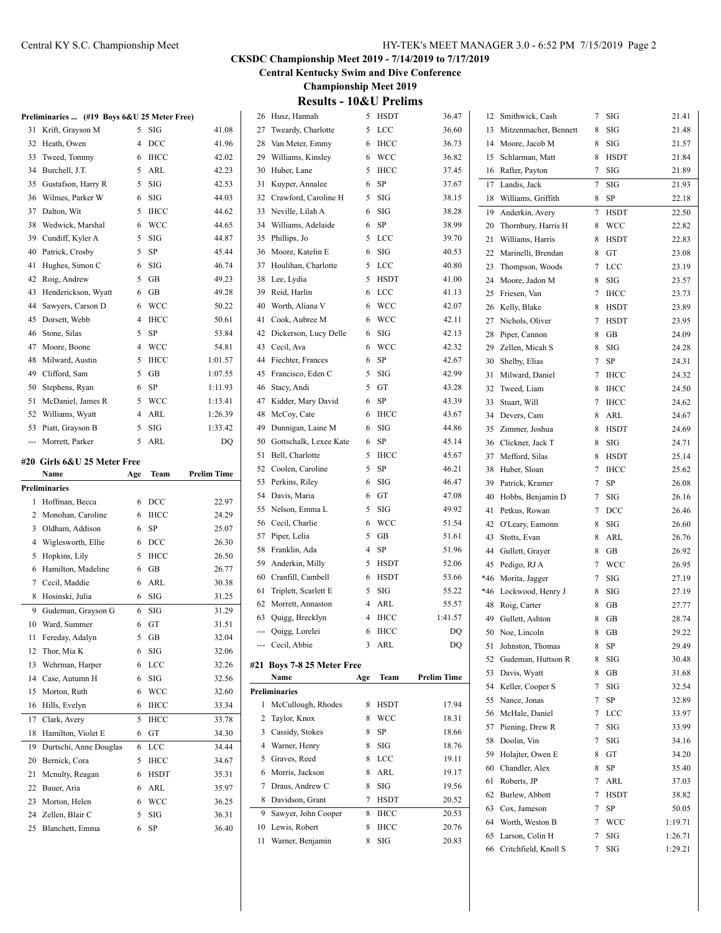Critchfield, Knoll S 7 SIG 1:29.21

# **CKSDC Championship Meet 2019 - 7/14/2019 to 7/17/2019**

**Central Kentucky Swim and Dive Conference**

**Championship Meet 2019**

| <b>Results - 10&amp;U Prelims</b> |  |  |
|-----------------------------------|--|--|
|-----------------------------------|--|--|

| $7$ SIG<br>26 Husz, Hannah<br>5 HSDT<br>36.47<br>12 Smithwick, Cash<br>Preliminaries  (#19 Boys 6&U 25 Meter Free)<br>5 LCC<br>$5$ SIG<br>27 Tweardy, Charlotte<br>SIG<br>31 Krift, Grayson M<br>41.08<br>36.60<br>13 Mitzenmacher, Bennett<br>8<br><b>DCC</b><br>41.96<br>6 IHCC<br>36.73<br>$8$ SIG<br>Heath, Owen<br>$\overline{4}$<br>Van Meter, Emmy<br>14 Moore, Jacob M<br>32<br>28<br>42.02<br>6 WCC<br>36.82<br>8 HSDT<br>Tweed, Tommy<br>IHCC<br>29<br>Williams, Kinsley<br>15 Schlarman, Matt<br>33<br>6<br>5 IHCC<br>37.45<br>$7$ SIG<br>Burchell, J.T.<br>5 ARL<br>42.23<br>30 Huber, Lane<br>16 Rafter, Payton<br>34<br>6 SP<br>$5$ SIG<br>42.53<br>Gustafson, Harry R<br>31 Kuyper, Annalee<br>37.67<br>7 SIG<br>35<br>17 Landis, Jack<br>$6$ SIG<br>44.03<br>$5$ SIG<br>38.15<br>8 SP<br>Wilmes, Parker W<br>32 Crawford, Caroline H<br>36<br>18 Williams, Griffith<br>$6$ SIG<br>37 Dalton, Wit<br>5 IHCC<br>44.62<br>33 Neville, Lilah A<br>38.28<br>7 HSDT<br>19 Anderkin, Avery<br>6 WCC<br>44.65<br>6 SP<br>38.99<br>Wedwick, Marshal<br>34 Williams, Adelaide<br>38<br>20 Thornbury, Harris H<br>8 WCC<br>44.87<br>5 LCC<br>Cundiff, Kyler A<br>5 SIG<br>35 Phillips, Jo<br>39.70<br>39<br>8 HSDT<br>21 Williams, Harris<br>$5$ SP<br>$6$ SIG<br>Patrick, Crosby<br>45.44<br>36 Moore, Katelin E<br>40.53<br>40<br>22 Marinelli, Brendan<br>8 GT<br>SIG<br>46.74<br>5 LCC<br>40.80<br>Hughes, Simon C<br>6<br>37 Houlihan, Charlotte<br>41<br>7 LCC<br>23 Thompson, Woods<br>GB<br>49.23<br>5 HSDT<br>42 Roig, Andrew<br>5<br>38 Lee, Lydia<br>41.00<br>8 SIG<br>24 Moore, Jadon M<br>49.28<br>6 LCC<br>Henderickson, Wyatt<br>GB<br>39 Reid, Harlin<br>41.13<br>43<br>6<br>7 IHCC<br>25 Friesen, Van<br><b>WCC</b><br>50.22<br>6 WCC<br>42.07<br>Sawyers, Carson D<br>40<br>Worth, Aliana V<br>6<br>44<br>8 HSDT<br>26 Kelly, Blake<br>50.61<br>6 WCC<br>42.11<br>Dorsett, Webb<br>IHCC<br>41 Cook, Aubree M<br>45<br>4<br>7 HSDT<br>27 Nichols, Oliver<br>5<br>53.84<br>$6$ SIG<br>Stone, Silas<br>SP<br>42 Dickerson, Lucy Delle<br>42.13<br>46<br>8 GB<br>28 Piper, Cannon<br><b>WCC</b><br>54.81<br>43 Cecil, Ava<br>6 WCC<br>42.32<br>Moore, Boone<br>4<br>47<br>SIG<br>29 Zellen, Micah S<br>8<br>1:01.57<br>6 SP<br>Milward, Austin<br>5 IHCC<br>44 Fiechter, Frances<br>42.67<br>48<br>SP<br>30 Shelby, Elias<br>$\tau$<br>Clifford, Sam<br>GB<br>1:07.55<br>45 Francisco, Eden C<br>$5$ SIG<br>42.99<br>5<br>49<br>31 Milward, Daniel<br>7 IHCC<br>SP<br>5 GT<br>43.28<br>Stephens, Ryan<br>6<br>1:11.93<br>46 Stacy, Andi<br>50<br>32 Tweed, Liam<br>8 IHCC<br>5 WCC<br>1:13.41<br>6 SP<br>43.39<br>McDaniel, James R<br>47 Kidder, Mary David<br>51<br>33 Stuart, Will<br>7 IHCC<br>ARL<br>1:26.39<br>6 IHCC<br>Williams, Wyatt<br>4<br>48 McCoy, Cate<br>43.67<br>52<br>8 ARL<br>34 Devers, Cam<br>5<br>SIG<br>1:33.42<br>6 SIG<br>44.86<br>Piatt, Grayson B<br>49 Dunnigan, Laine M<br>53<br>8 HSDT<br>35 Zimmer, Joshua<br>ARL<br>DQ<br>6 SP<br>45.14<br>Morrett, Parker<br>5<br>50<br>Gottschalk, Lexee Kate<br>8 SIG<br>36 Clickner, Jack T<br>5 IHCC<br>51 Bell, Charlotte<br>45.67<br>37 Mefford, Silas<br>8 HSDT<br>#20 Girls 6&U 25 Meter Free<br>5 SP<br>46.21<br>52 Coolen, Caroline<br>38 Huber, Sloan<br>7 IHCC<br>Name<br>Team<br><b>Prelim Time</b><br>Age<br>$6$ SIG<br>46.47<br>53 Perkins, Riley<br>$7$ SP<br>39 Patrick, Kramer<br>Preliminaries<br>6 GT<br>54 Davis, Maria<br>47.08<br>$7$ SIG<br>40<br>Hobbs, Benjamin D<br>6 DCC<br>22.97<br>1 Hoffman, Becca<br>$5$ SIG<br>49.92<br>55 Nelson, Emma L<br>7 DCC<br>41 Petkus, Rowan<br>24.29<br>2 Monohan, Caroline<br>6 IHCC<br>6 WCC<br>56 Cecil, Charlie<br>51.54<br>SIG<br>42 O'Leary, Eamonn<br>8<br>25.07<br>6 SP<br>3 Oldham, Addison<br>5 GB<br>57 Piper, Lelia<br>51.61<br>ARL<br>43 Stotts, Evan<br>8<br>26.30<br>4 Wiglesworth, Ellie<br>6 DCC<br>$4$ SP<br>51.96<br>58 Franklin, Ada<br>8 GB<br>44 Gullett, Grayer<br>5 IHCC<br>26.50<br>5 Hopkins, Lily<br>5 HSDT<br>59 Anderkin, Milly<br>52.06<br>7 WCC<br>45 Pedigo, RJ A<br>26.77<br>GB<br>6 Hamilton, Madeline<br>6<br>6 HSDT<br>60 Cranfill, Cambell<br>53.66<br>$7$ SIG<br>*46 Morita, Jagger<br>7 Cecil, Maddie<br>ARL<br>30.38<br>6<br>$5$ SIG<br>55.22<br>61 Triplett, Scarlett E<br>8 SIG<br>*46 Lockwood, Henry J<br>6 SIG<br>31.25<br>8 Hosinski, Julia<br>4 ARL<br>55.57<br>62 Morrett, Annaston<br>8 GB<br>48 Roig, Carter<br>SIG<br>9 Gudeman, Grayson G<br>6<br>31.29<br>4 IHCC<br>63 Quigg, Brecklyn<br>1:41.57<br>8 GB<br>49 Gullett, Ashton<br>6 GT<br>31.51<br>10 Ward, Summer<br>6 IHCC<br>$\mathbf{D}\mathbf{Q}$<br>Quigg, Lorelei<br>50 Noe, Lincoln<br>GB<br>8<br>11 Fereday, Adalyn<br>GB<br>32.04<br>5<br>--- Cecil, Abbie<br>3 ARL<br>DQ<br>8 SP<br>51 Johnston, Thomas<br>12 Thor, Mia K<br>SIG<br>32.06<br>6<br>52 Gudeman, Huttson R<br>8 SIG<br>13 Wehrman, Harper<br>6 LCC<br>32.26<br>#21 Boys 7-8 25 Meter Free<br>8 GB<br>53 Davis, Wyatt<br><b>Prelim Time</b><br>Name<br>Age Team<br>14 Case, Autumn H<br>6 SIG<br>32.56<br>54 Keller, Cooper S<br>7 SIG<br>Preliminaries<br>15 Morton, Ruth<br>6 WCC<br>32.60<br>$7$ SP<br>55 Nance, Jonas<br>1 McCullough, Rhodes<br>17.94<br>16 Hills, Evelyn<br>6 IHCC<br>8 HSDT<br>33.34<br>56 McHale, Daniel<br>7 LCC<br>8 WCC<br>18.31<br>17 Clark, Avery<br>5 IHCC<br>2 Taylor, Knox<br>33.78<br>57 Piening, Drew R<br>7 SIG<br>3 Cassidy, Stokes<br>8 SP<br>18.66<br>18 Hamilton, Violet E<br>6 GT<br>34.30<br>58 Doolin, Vin<br>$7$ SIG<br>18.76<br>4 Warner, Henry<br>8 SIG<br>19 Durtschi, Anne Douglas<br>6 LCC<br>34.44<br>59 Holajter, Owen E<br>8 GT<br>Graves, Reed<br>19.11<br>8 LCC<br>5<br>Bernick, Cora<br>5 IHCC<br>34.67<br>20<br>8 SP<br>60 Chandler, Alex<br>19.17<br>6 Morris, Jackson<br>8 ARL<br>6 HSDT<br>35.31<br>Menulty, Reagan<br>21<br>7 ARL<br>61 Roberts, JP<br>19.56<br>7 Draus, Andrew C<br>8 SIG<br>ARL<br>35.97<br>22 Bauer, Aria<br>6<br>62 Burlew, Abbott<br>7 HSDT<br>7 HSDT<br>20.52<br>8 Davidson, Grant<br><b>WCC</b><br>36.25<br>Morton, Helen<br>6<br>23<br>$7$ SP<br>63 Cox, Jameson<br>9 Sawyer, John Cooper<br>8 IHCC<br>20.53<br>Zellen, Blair C<br>SIG<br>36.31<br>5<br>24<br>64 Worth, Weston B<br>7 WCC<br>10 Lewis, Robert<br>8 IHCC<br>20.76<br>6 SP<br>36.40<br>25 Blanchett, Emma<br>65 Larson, Colin H<br>7 SIG<br>20.83<br>11 Warner, Benjamin<br>8 SIG |  |  |  | INESUILS - TUOCU I TEINIIS |  |  |  |                |
|-----------------------------------------------------------------------------------------------------------------------------------------------------------------------------------------------------------------------------------------------------------------------------------------------------------------------------------------------------------------------------------------------------------------------------------------------------------------------------------------------------------------------------------------------------------------------------------------------------------------------------------------------------------------------------------------------------------------------------------------------------------------------------------------------------------------------------------------------------------------------------------------------------------------------------------------------------------------------------------------------------------------------------------------------------------------------------------------------------------------------------------------------------------------------------------------------------------------------------------------------------------------------------------------------------------------------------------------------------------------------------------------------------------------------------------------------------------------------------------------------------------------------------------------------------------------------------------------------------------------------------------------------------------------------------------------------------------------------------------------------------------------------------------------------------------------------------------------------------------------------------------------------------------------------------------------------------------------------------------------------------------------------------------------------------------------------------------------------------------------------------------------------------------------------------------------------------------------------------------------------------------------------------------------------------------------------------------------------------------------------------------------------------------------------------------------------------------------------------------------------------------------------------------------------------------------------------------------------------------------------------------------------------------------------------------------------------------------------------------------------------------------------------------------------------------------------------------------------------------------------------------------------------------------------------------------------------------------------------------------------------------------------------------------------------------------------------------------------------------------------------------------------------------------------------------------------------------------------------------------------------------------------------------------------------------------------------------------------------------------------------------------------------------------------------------------------------------------------------------------------------------------------------------------------------------------------------------------------------------------------------------------------------------------------------------------------------------------------------------------------------------------------------------------------------------------------------------------------------------------------------------------------------------------------------------------------------------------------------------------------------------------------------------------------------------------------------------------------------------------------------------------------------------------------------------------------------------------------------------------------------------------------------------------------------------------------------------------------------------------------------------------------------------------------------------------------------------------------------------------------------------------------------------------------------------------------------------------------------------------------------------------------------------------------------------------------------------------------------------------------------------------------------------------------------------------------------------------------------------------------------------------------------------------------------------------------------------------------------------------------------------------------------------------------------------------------------------------------------------------------------------------------------------------------------------------------------------------------------------------------------------------------------------------------------------------------------------------------------------------------------------------------------------------------------------------------------------------------------------------------------------------------------------------------------------------------------------------------------------------------------------------------------------------------------------------------------------------------------------------------------------------------------------------------------------------------------------------------------------------------------------------------------------------------------------------------------------------------------------------------------------------------------------------------------------------------------------------------------------------------------------------------------------------------------------------------------------------------------------------------------------------------------------------------------------------------------------------------------------------|--|--|--|----------------------------|--|--|--|----------------|
|                                                                                                                                                                                                                                                                                                                                                                                                                                                                                                                                                                                                                                                                                                                                                                                                                                                                                                                                                                                                                                                                                                                                                                                                                                                                                                                                                                                                                                                                                                                                                                                                                                                                                                                                                                                                                                                                                                                                                                                                                                                                                                                                                                                                                                                                                                                                                                                                                                                                                                                                                                                                                                                                                                                                                                                                                                                                                                                                                                                                                                                                                                                                                                                                                                                                                                                                                                                                                                                                                                                                                                                                                                                                                                                                                                                                                                                                                                                                                                                                                                                                                                                                                                                                                                                                                                                                                                                                                                                                                                                                                                                                                                                                                                                                                                                                                                                                                                                                                                                                                                                                                                                                                                                                                                                                                                                                                                                                                                                                                                                                                                                                                                                                                                                                                                                                                                                                                                                                                                                                                                                                                                                                                                                                                                                                                                                                                                 |  |  |  |                            |  |  |  | 21.41          |
|                                                                                                                                                                                                                                                                                                                                                                                                                                                                                                                                                                                                                                                                                                                                                                                                                                                                                                                                                                                                                                                                                                                                                                                                                                                                                                                                                                                                                                                                                                                                                                                                                                                                                                                                                                                                                                                                                                                                                                                                                                                                                                                                                                                                                                                                                                                                                                                                                                                                                                                                                                                                                                                                                                                                                                                                                                                                                                                                                                                                                                                                                                                                                                                                                                                                                                                                                                                                                                                                                                                                                                                                                                                                                                                                                                                                                                                                                                                                                                                                                                                                                                                                                                                                                                                                                                                                                                                                                                                                                                                                                                                                                                                                                                                                                                                                                                                                                                                                                                                                                                                                                                                                                                                                                                                                                                                                                                                                                                                                                                                                                                                                                                                                                                                                                                                                                                                                                                                                                                                                                                                                                                                                                                                                                                                                                                                                                                 |  |  |  |                            |  |  |  | 21.48          |
|                                                                                                                                                                                                                                                                                                                                                                                                                                                                                                                                                                                                                                                                                                                                                                                                                                                                                                                                                                                                                                                                                                                                                                                                                                                                                                                                                                                                                                                                                                                                                                                                                                                                                                                                                                                                                                                                                                                                                                                                                                                                                                                                                                                                                                                                                                                                                                                                                                                                                                                                                                                                                                                                                                                                                                                                                                                                                                                                                                                                                                                                                                                                                                                                                                                                                                                                                                                                                                                                                                                                                                                                                                                                                                                                                                                                                                                                                                                                                                                                                                                                                                                                                                                                                                                                                                                                                                                                                                                                                                                                                                                                                                                                                                                                                                                                                                                                                                                                                                                                                                                                                                                                                                                                                                                                                                                                                                                                                                                                                                                                                                                                                                                                                                                                                                                                                                                                                                                                                                                                                                                                                                                                                                                                                                                                                                                                                                 |  |  |  |                            |  |  |  | 21.57          |
|                                                                                                                                                                                                                                                                                                                                                                                                                                                                                                                                                                                                                                                                                                                                                                                                                                                                                                                                                                                                                                                                                                                                                                                                                                                                                                                                                                                                                                                                                                                                                                                                                                                                                                                                                                                                                                                                                                                                                                                                                                                                                                                                                                                                                                                                                                                                                                                                                                                                                                                                                                                                                                                                                                                                                                                                                                                                                                                                                                                                                                                                                                                                                                                                                                                                                                                                                                                                                                                                                                                                                                                                                                                                                                                                                                                                                                                                                                                                                                                                                                                                                                                                                                                                                                                                                                                                                                                                                                                                                                                                                                                                                                                                                                                                                                                                                                                                                                                                                                                                                                                                                                                                                                                                                                                                                                                                                                                                                                                                                                                                                                                                                                                                                                                                                                                                                                                                                                                                                                                                                                                                                                                                                                                                                                                                                                                                                                 |  |  |  |                            |  |  |  | 21.84          |
|                                                                                                                                                                                                                                                                                                                                                                                                                                                                                                                                                                                                                                                                                                                                                                                                                                                                                                                                                                                                                                                                                                                                                                                                                                                                                                                                                                                                                                                                                                                                                                                                                                                                                                                                                                                                                                                                                                                                                                                                                                                                                                                                                                                                                                                                                                                                                                                                                                                                                                                                                                                                                                                                                                                                                                                                                                                                                                                                                                                                                                                                                                                                                                                                                                                                                                                                                                                                                                                                                                                                                                                                                                                                                                                                                                                                                                                                                                                                                                                                                                                                                                                                                                                                                                                                                                                                                                                                                                                                                                                                                                                                                                                                                                                                                                                                                                                                                                                                                                                                                                                                                                                                                                                                                                                                                                                                                                                                                                                                                                                                                                                                                                                                                                                                                                                                                                                                                                                                                                                                                                                                                                                                                                                                                                                                                                                                                                 |  |  |  |                            |  |  |  | 21.89          |
|                                                                                                                                                                                                                                                                                                                                                                                                                                                                                                                                                                                                                                                                                                                                                                                                                                                                                                                                                                                                                                                                                                                                                                                                                                                                                                                                                                                                                                                                                                                                                                                                                                                                                                                                                                                                                                                                                                                                                                                                                                                                                                                                                                                                                                                                                                                                                                                                                                                                                                                                                                                                                                                                                                                                                                                                                                                                                                                                                                                                                                                                                                                                                                                                                                                                                                                                                                                                                                                                                                                                                                                                                                                                                                                                                                                                                                                                                                                                                                                                                                                                                                                                                                                                                                                                                                                                                                                                                                                                                                                                                                                                                                                                                                                                                                                                                                                                                                                                                                                                                                                                                                                                                                                                                                                                                                                                                                                                                                                                                                                                                                                                                                                                                                                                                                                                                                                                                                                                                                                                                                                                                                                                                                                                                                                                                                                                                                 |  |  |  |                            |  |  |  | 21.93          |
|                                                                                                                                                                                                                                                                                                                                                                                                                                                                                                                                                                                                                                                                                                                                                                                                                                                                                                                                                                                                                                                                                                                                                                                                                                                                                                                                                                                                                                                                                                                                                                                                                                                                                                                                                                                                                                                                                                                                                                                                                                                                                                                                                                                                                                                                                                                                                                                                                                                                                                                                                                                                                                                                                                                                                                                                                                                                                                                                                                                                                                                                                                                                                                                                                                                                                                                                                                                                                                                                                                                                                                                                                                                                                                                                                                                                                                                                                                                                                                                                                                                                                                                                                                                                                                                                                                                                                                                                                                                                                                                                                                                                                                                                                                                                                                                                                                                                                                                                                                                                                                                                                                                                                                                                                                                                                                                                                                                                                                                                                                                                                                                                                                                                                                                                                                                                                                                                                                                                                                                                                                                                                                                                                                                                                                                                                                                                                                 |  |  |  |                            |  |  |  | 22.18          |
|                                                                                                                                                                                                                                                                                                                                                                                                                                                                                                                                                                                                                                                                                                                                                                                                                                                                                                                                                                                                                                                                                                                                                                                                                                                                                                                                                                                                                                                                                                                                                                                                                                                                                                                                                                                                                                                                                                                                                                                                                                                                                                                                                                                                                                                                                                                                                                                                                                                                                                                                                                                                                                                                                                                                                                                                                                                                                                                                                                                                                                                                                                                                                                                                                                                                                                                                                                                                                                                                                                                                                                                                                                                                                                                                                                                                                                                                                                                                                                                                                                                                                                                                                                                                                                                                                                                                                                                                                                                                                                                                                                                                                                                                                                                                                                                                                                                                                                                                                                                                                                                                                                                                                                                                                                                                                                                                                                                                                                                                                                                                                                                                                                                                                                                                                                                                                                                                                                                                                                                                                                                                                                                                                                                                                                                                                                                                                                 |  |  |  |                            |  |  |  | 22.50          |
|                                                                                                                                                                                                                                                                                                                                                                                                                                                                                                                                                                                                                                                                                                                                                                                                                                                                                                                                                                                                                                                                                                                                                                                                                                                                                                                                                                                                                                                                                                                                                                                                                                                                                                                                                                                                                                                                                                                                                                                                                                                                                                                                                                                                                                                                                                                                                                                                                                                                                                                                                                                                                                                                                                                                                                                                                                                                                                                                                                                                                                                                                                                                                                                                                                                                                                                                                                                                                                                                                                                                                                                                                                                                                                                                                                                                                                                                                                                                                                                                                                                                                                                                                                                                                                                                                                                                                                                                                                                                                                                                                                                                                                                                                                                                                                                                                                                                                                                                                                                                                                                                                                                                                                                                                                                                                                                                                                                                                                                                                                                                                                                                                                                                                                                                                                                                                                                                                                                                                                                                                                                                                                                                                                                                                                                                                                                                                                 |  |  |  |                            |  |  |  | 22.82          |
|                                                                                                                                                                                                                                                                                                                                                                                                                                                                                                                                                                                                                                                                                                                                                                                                                                                                                                                                                                                                                                                                                                                                                                                                                                                                                                                                                                                                                                                                                                                                                                                                                                                                                                                                                                                                                                                                                                                                                                                                                                                                                                                                                                                                                                                                                                                                                                                                                                                                                                                                                                                                                                                                                                                                                                                                                                                                                                                                                                                                                                                                                                                                                                                                                                                                                                                                                                                                                                                                                                                                                                                                                                                                                                                                                                                                                                                                                                                                                                                                                                                                                                                                                                                                                                                                                                                                                                                                                                                                                                                                                                                                                                                                                                                                                                                                                                                                                                                                                                                                                                                                                                                                                                                                                                                                                                                                                                                                                                                                                                                                                                                                                                                                                                                                                                                                                                                                                                                                                                                                                                                                                                                                                                                                                                                                                                                                                                 |  |  |  |                            |  |  |  | 22.83          |
|                                                                                                                                                                                                                                                                                                                                                                                                                                                                                                                                                                                                                                                                                                                                                                                                                                                                                                                                                                                                                                                                                                                                                                                                                                                                                                                                                                                                                                                                                                                                                                                                                                                                                                                                                                                                                                                                                                                                                                                                                                                                                                                                                                                                                                                                                                                                                                                                                                                                                                                                                                                                                                                                                                                                                                                                                                                                                                                                                                                                                                                                                                                                                                                                                                                                                                                                                                                                                                                                                                                                                                                                                                                                                                                                                                                                                                                                                                                                                                                                                                                                                                                                                                                                                                                                                                                                                                                                                                                                                                                                                                                                                                                                                                                                                                                                                                                                                                                                                                                                                                                                                                                                                                                                                                                                                                                                                                                                                                                                                                                                                                                                                                                                                                                                                                                                                                                                                                                                                                                                                                                                                                                                                                                                                                                                                                                                                                 |  |  |  |                            |  |  |  | 23.08          |
|                                                                                                                                                                                                                                                                                                                                                                                                                                                                                                                                                                                                                                                                                                                                                                                                                                                                                                                                                                                                                                                                                                                                                                                                                                                                                                                                                                                                                                                                                                                                                                                                                                                                                                                                                                                                                                                                                                                                                                                                                                                                                                                                                                                                                                                                                                                                                                                                                                                                                                                                                                                                                                                                                                                                                                                                                                                                                                                                                                                                                                                                                                                                                                                                                                                                                                                                                                                                                                                                                                                                                                                                                                                                                                                                                                                                                                                                                                                                                                                                                                                                                                                                                                                                                                                                                                                                                                                                                                                                                                                                                                                                                                                                                                                                                                                                                                                                                                                                                                                                                                                                                                                                                                                                                                                                                                                                                                                                                                                                                                                                                                                                                                                                                                                                                                                                                                                                                                                                                                                                                                                                                                                                                                                                                                                                                                                                                                 |  |  |  |                            |  |  |  | 23.19          |
|                                                                                                                                                                                                                                                                                                                                                                                                                                                                                                                                                                                                                                                                                                                                                                                                                                                                                                                                                                                                                                                                                                                                                                                                                                                                                                                                                                                                                                                                                                                                                                                                                                                                                                                                                                                                                                                                                                                                                                                                                                                                                                                                                                                                                                                                                                                                                                                                                                                                                                                                                                                                                                                                                                                                                                                                                                                                                                                                                                                                                                                                                                                                                                                                                                                                                                                                                                                                                                                                                                                                                                                                                                                                                                                                                                                                                                                                                                                                                                                                                                                                                                                                                                                                                                                                                                                                                                                                                                                                                                                                                                                                                                                                                                                                                                                                                                                                                                                                                                                                                                                                                                                                                                                                                                                                                                                                                                                                                                                                                                                                                                                                                                                                                                                                                                                                                                                                                                                                                                                                                                                                                                                                                                                                                                                                                                                                                                 |  |  |  |                            |  |  |  | 23.57          |
|                                                                                                                                                                                                                                                                                                                                                                                                                                                                                                                                                                                                                                                                                                                                                                                                                                                                                                                                                                                                                                                                                                                                                                                                                                                                                                                                                                                                                                                                                                                                                                                                                                                                                                                                                                                                                                                                                                                                                                                                                                                                                                                                                                                                                                                                                                                                                                                                                                                                                                                                                                                                                                                                                                                                                                                                                                                                                                                                                                                                                                                                                                                                                                                                                                                                                                                                                                                                                                                                                                                                                                                                                                                                                                                                                                                                                                                                                                                                                                                                                                                                                                                                                                                                                                                                                                                                                                                                                                                                                                                                                                                                                                                                                                                                                                                                                                                                                                                                                                                                                                                                                                                                                                                                                                                                                                                                                                                                                                                                                                                                                                                                                                                                                                                                                                                                                                                                                                                                                                                                                                                                                                                                                                                                                                                                                                                                                                 |  |  |  |                            |  |  |  | 23.73          |
|                                                                                                                                                                                                                                                                                                                                                                                                                                                                                                                                                                                                                                                                                                                                                                                                                                                                                                                                                                                                                                                                                                                                                                                                                                                                                                                                                                                                                                                                                                                                                                                                                                                                                                                                                                                                                                                                                                                                                                                                                                                                                                                                                                                                                                                                                                                                                                                                                                                                                                                                                                                                                                                                                                                                                                                                                                                                                                                                                                                                                                                                                                                                                                                                                                                                                                                                                                                                                                                                                                                                                                                                                                                                                                                                                                                                                                                                                                                                                                                                                                                                                                                                                                                                                                                                                                                                                                                                                                                                                                                                                                                                                                                                                                                                                                                                                                                                                                                                                                                                                                                                                                                                                                                                                                                                                                                                                                                                                                                                                                                                                                                                                                                                                                                                                                                                                                                                                                                                                                                                                                                                                                                                                                                                                                                                                                                                                                 |  |  |  |                            |  |  |  | 23.89          |
|                                                                                                                                                                                                                                                                                                                                                                                                                                                                                                                                                                                                                                                                                                                                                                                                                                                                                                                                                                                                                                                                                                                                                                                                                                                                                                                                                                                                                                                                                                                                                                                                                                                                                                                                                                                                                                                                                                                                                                                                                                                                                                                                                                                                                                                                                                                                                                                                                                                                                                                                                                                                                                                                                                                                                                                                                                                                                                                                                                                                                                                                                                                                                                                                                                                                                                                                                                                                                                                                                                                                                                                                                                                                                                                                                                                                                                                                                                                                                                                                                                                                                                                                                                                                                                                                                                                                                                                                                                                                                                                                                                                                                                                                                                                                                                                                                                                                                                                                                                                                                                                                                                                                                                                                                                                                                                                                                                                                                                                                                                                                                                                                                                                                                                                                                                                                                                                                                                                                                                                                                                                                                                                                                                                                                                                                                                                                                                 |  |  |  |                            |  |  |  | 23.95          |
|                                                                                                                                                                                                                                                                                                                                                                                                                                                                                                                                                                                                                                                                                                                                                                                                                                                                                                                                                                                                                                                                                                                                                                                                                                                                                                                                                                                                                                                                                                                                                                                                                                                                                                                                                                                                                                                                                                                                                                                                                                                                                                                                                                                                                                                                                                                                                                                                                                                                                                                                                                                                                                                                                                                                                                                                                                                                                                                                                                                                                                                                                                                                                                                                                                                                                                                                                                                                                                                                                                                                                                                                                                                                                                                                                                                                                                                                                                                                                                                                                                                                                                                                                                                                                                                                                                                                                                                                                                                                                                                                                                                                                                                                                                                                                                                                                                                                                                                                                                                                                                                                                                                                                                                                                                                                                                                                                                                                                                                                                                                                                                                                                                                                                                                                                                                                                                                                                                                                                                                                                                                                                                                                                                                                                                                                                                                                                                 |  |  |  |                            |  |  |  | 24.09          |
|                                                                                                                                                                                                                                                                                                                                                                                                                                                                                                                                                                                                                                                                                                                                                                                                                                                                                                                                                                                                                                                                                                                                                                                                                                                                                                                                                                                                                                                                                                                                                                                                                                                                                                                                                                                                                                                                                                                                                                                                                                                                                                                                                                                                                                                                                                                                                                                                                                                                                                                                                                                                                                                                                                                                                                                                                                                                                                                                                                                                                                                                                                                                                                                                                                                                                                                                                                                                                                                                                                                                                                                                                                                                                                                                                                                                                                                                                                                                                                                                                                                                                                                                                                                                                                                                                                                                                                                                                                                                                                                                                                                                                                                                                                                                                                                                                                                                                                                                                                                                                                                                                                                                                                                                                                                                                                                                                                                                                                                                                                                                                                                                                                                                                                                                                                                                                                                                                                                                                                                                                                                                                                                                                                                                                                                                                                                                                                 |  |  |  |                            |  |  |  | 24.28          |
|                                                                                                                                                                                                                                                                                                                                                                                                                                                                                                                                                                                                                                                                                                                                                                                                                                                                                                                                                                                                                                                                                                                                                                                                                                                                                                                                                                                                                                                                                                                                                                                                                                                                                                                                                                                                                                                                                                                                                                                                                                                                                                                                                                                                                                                                                                                                                                                                                                                                                                                                                                                                                                                                                                                                                                                                                                                                                                                                                                                                                                                                                                                                                                                                                                                                                                                                                                                                                                                                                                                                                                                                                                                                                                                                                                                                                                                                                                                                                                                                                                                                                                                                                                                                                                                                                                                                                                                                                                                                                                                                                                                                                                                                                                                                                                                                                                                                                                                                                                                                                                                                                                                                                                                                                                                                                                                                                                                                                                                                                                                                                                                                                                                                                                                                                                                                                                                                                                                                                                                                                                                                                                                                                                                                                                                                                                                                                                 |  |  |  |                            |  |  |  | 24.31          |
|                                                                                                                                                                                                                                                                                                                                                                                                                                                                                                                                                                                                                                                                                                                                                                                                                                                                                                                                                                                                                                                                                                                                                                                                                                                                                                                                                                                                                                                                                                                                                                                                                                                                                                                                                                                                                                                                                                                                                                                                                                                                                                                                                                                                                                                                                                                                                                                                                                                                                                                                                                                                                                                                                                                                                                                                                                                                                                                                                                                                                                                                                                                                                                                                                                                                                                                                                                                                                                                                                                                                                                                                                                                                                                                                                                                                                                                                                                                                                                                                                                                                                                                                                                                                                                                                                                                                                                                                                                                                                                                                                                                                                                                                                                                                                                                                                                                                                                                                                                                                                                                                                                                                                                                                                                                                                                                                                                                                                                                                                                                                                                                                                                                                                                                                                                                                                                                                                                                                                                                                                                                                                                                                                                                                                                                                                                                                                                 |  |  |  |                            |  |  |  | 24.32          |
|                                                                                                                                                                                                                                                                                                                                                                                                                                                                                                                                                                                                                                                                                                                                                                                                                                                                                                                                                                                                                                                                                                                                                                                                                                                                                                                                                                                                                                                                                                                                                                                                                                                                                                                                                                                                                                                                                                                                                                                                                                                                                                                                                                                                                                                                                                                                                                                                                                                                                                                                                                                                                                                                                                                                                                                                                                                                                                                                                                                                                                                                                                                                                                                                                                                                                                                                                                                                                                                                                                                                                                                                                                                                                                                                                                                                                                                                                                                                                                                                                                                                                                                                                                                                                                                                                                                                                                                                                                                                                                                                                                                                                                                                                                                                                                                                                                                                                                                                                                                                                                                                                                                                                                                                                                                                                                                                                                                                                                                                                                                                                                                                                                                                                                                                                                                                                                                                                                                                                                                                                                                                                                                                                                                                                                                                                                                                                                 |  |  |  |                            |  |  |  | 24.50          |
|                                                                                                                                                                                                                                                                                                                                                                                                                                                                                                                                                                                                                                                                                                                                                                                                                                                                                                                                                                                                                                                                                                                                                                                                                                                                                                                                                                                                                                                                                                                                                                                                                                                                                                                                                                                                                                                                                                                                                                                                                                                                                                                                                                                                                                                                                                                                                                                                                                                                                                                                                                                                                                                                                                                                                                                                                                                                                                                                                                                                                                                                                                                                                                                                                                                                                                                                                                                                                                                                                                                                                                                                                                                                                                                                                                                                                                                                                                                                                                                                                                                                                                                                                                                                                                                                                                                                                                                                                                                                                                                                                                                                                                                                                                                                                                                                                                                                                                                                                                                                                                                                                                                                                                                                                                                                                                                                                                                                                                                                                                                                                                                                                                                                                                                                                                                                                                                                                                                                                                                                                                                                                                                                                                                                                                                                                                                                                                 |  |  |  |                            |  |  |  | 24.62          |
|                                                                                                                                                                                                                                                                                                                                                                                                                                                                                                                                                                                                                                                                                                                                                                                                                                                                                                                                                                                                                                                                                                                                                                                                                                                                                                                                                                                                                                                                                                                                                                                                                                                                                                                                                                                                                                                                                                                                                                                                                                                                                                                                                                                                                                                                                                                                                                                                                                                                                                                                                                                                                                                                                                                                                                                                                                                                                                                                                                                                                                                                                                                                                                                                                                                                                                                                                                                                                                                                                                                                                                                                                                                                                                                                                                                                                                                                                                                                                                                                                                                                                                                                                                                                                                                                                                                                                                                                                                                                                                                                                                                                                                                                                                                                                                                                                                                                                                                                                                                                                                                                                                                                                                                                                                                                                                                                                                                                                                                                                                                                                                                                                                                                                                                                                                                                                                                                                                                                                                                                                                                                                                                                                                                                                                                                                                                                                                 |  |  |  |                            |  |  |  | 24.67          |
|                                                                                                                                                                                                                                                                                                                                                                                                                                                                                                                                                                                                                                                                                                                                                                                                                                                                                                                                                                                                                                                                                                                                                                                                                                                                                                                                                                                                                                                                                                                                                                                                                                                                                                                                                                                                                                                                                                                                                                                                                                                                                                                                                                                                                                                                                                                                                                                                                                                                                                                                                                                                                                                                                                                                                                                                                                                                                                                                                                                                                                                                                                                                                                                                                                                                                                                                                                                                                                                                                                                                                                                                                                                                                                                                                                                                                                                                                                                                                                                                                                                                                                                                                                                                                                                                                                                                                                                                                                                                                                                                                                                                                                                                                                                                                                                                                                                                                                                                                                                                                                                                                                                                                                                                                                                                                                                                                                                                                                                                                                                                                                                                                                                                                                                                                                                                                                                                                                                                                                                                                                                                                                                                                                                                                                                                                                                                                                 |  |  |  |                            |  |  |  | 24.69          |
|                                                                                                                                                                                                                                                                                                                                                                                                                                                                                                                                                                                                                                                                                                                                                                                                                                                                                                                                                                                                                                                                                                                                                                                                                                                                                                                                                                                                                                                                                                                                                                                                                                                                                                                                                                                                                                                                                                                                                                                                                                                                                                                                                                                                                                                                                                                                                                                                                                                                                                                                                                                                                                                                                                                                                                                                                                                                                                                                                                                                                                                                                                                                                                                                                                                                                                                                                                                                                                                                                                                                                                                                                                                                                                                                                                                                                                                                                                                                                                                                                                                                                                                                                                                                                                                                                                                                                                                                                                                                                                                                                                                                                                                                                                                                                                                                                                                                                                                                                                                                                                                                                                                                                                                                                                                                                                                                                                                                                                                                                                                                                                                                                                                                                                                                                                                                                                                                                                                                                                                                                                                                                                                                                                                                                                                                                                                                                                 |  |  |  |                            |  |  |  | 24.71          |
|                                                                                                                                                                                                                                                                                                                                                                                                                                                                                                                                                                                                                                                                                                                                                                                                                                                                                                                                                                                                                                                                                                                                                                                                                                                                                                                                                                                                                                                                                                                                                                                                                                                                                                                                                                                                                                                                                                                                                                                                                                                                                                                                                                                                                                                                                                                                                                                                                                                                                                                                                                                                                                                                                                                                                                                                                                                                                                                                                                                                                                                                                                                                                                                                                                                                                                                                                                                                                                                                                                                                                                                                                                                                                                                                                                                                                                                                                                                                                                                                                                                                                                                                                                                                                                                                                                                                                                                                                                                                                                                                                                                                                                                                                                                                                                                                                                                                                                                                                                                                                                                                                                                                                                                                                                                                                                                                                                                                                                                                                                                                                                                                                                                                                                                                                                                                                                                                                                                                                                                                                                                                                                                                                                                                                                                                                                                                                                 |  |  |  |                            |  |  |  | 25.14          |
|                                                                                                                                                                                                                                                                                                                                                                                                                                                                                                                                                                                                                                                                                                                                                                                                                                                                                                                                                                                                                                                                                                                                                                                                                                                                                                                                                                                                                                                                                                                                                                                                                                                                                                                                                                                                                                                                                                                                                                                                                                                                                                                                                                                                                                                                                                                                                                                                                                                                                                                                                                                                                                                                                                                                                                                                                                                                                                                                                                                                                                                                                                                                                                                                                                                                                                                                                                                                                                                                                                                                                                                                                                                                                                                                                                                                                                                                                                                                                                                                                                                                                                                                                                                                                                                                                                                                                                                                                                                                                                                                                                                                                                                                                                                                                                                                                                                                                                                                                                                                                                                                                                                                                                                                                                                                                                                                                                                                                                                                                                                                                                                                                                                                                                                                                                                                                                                                                                                                                                                                                                                                                                                                                                                                                                                                                                                                                                 |  |  |  |                            |  |  |  | 25.62          |
|                                                                                                                                                                                                                                                                                                                                                                                                                                                                                                                                                                                                                                                                                                                                                                                                                                                                                                                                                                                                                                                                                                                                                                                                                                                                                                                                                                                                                                                                                                                                                                                                                                                                                                                                                                                                                                                                                                                                                                                                                                                                                                                                                                                                                                                                                                                                                                                                                                                                                                                                                                                                                                                                                                                                                                                                                                                                                                                                                                                                                                                                                                                                                                                                                                                                                                                                                                                                                                                                                                                                                                                                                                                                                                                                                                                                                                                                                                                                                                                                                                                                                                                                                                                                                                                                                                                                                                                                                                                                                                                                                                                                                                                                                                                                                                                                                                                                                                                                                                                                                                                                                                                                                                                                                                                                                                                                                                                                                                                                                                                                                                                                                                                                                                                                                                                                                                                                                                                                                                                                                                                                                                                                                                                                                                                                                                                                                                 |  |  |  |                            |  |  |  | 26.08          |
|                                                                                                                                                                                                                                                                                                                                                                                                                                                                                                                                                                                                                                                                                                                                                                                                                                                                                                                                                                                                                                                                                                                                                                                                                                                                                                                                                                                                                                                                                                                                                                                                                                                                                                                                                                                                                                                                                                                                                                                                                                                                                                                                                                                                                                                                                                                                                                                                                                                                                                                                                                                                                                                                                                                                                                                                                                                                                                                                                                                                                                                                                                                                                                                                                                                                                                                                                                                                                                                                                                                                                                                                                                                                                                                                                                                                                                                                                                                                                                                                                                                                                                                                                                                                                                                                                                                                                                                                                                                                                                                                                                                                                                                                                                                                                                                                                                                                                                                                                                                                                                                                                                                                                                                                                                                                                                                                                                                                                                                                                                                                                                                                                                                                                                                                                                                                                                                                                                                                                                                                                                                                                                                                                                                                                                                                                                                                                                 |  |  |  |                            |  |  |  | 26.16          |
|                                                                                                                                                                                                                                                                                                                                                                                                                                                                                                                                                                                                                                                                                                                                                                                                                                                                                                                                                                                                                                                                                                                                                                                                                                                                                                                                                                                                                                                                                                                                                                                                                                                                                                                                                                                                                                                                                                                                                                                                                                                                                                                                                                                                                                                                                                                                                                                                                                                                                                                                                                                                                                                                                                                                                                                                                                                                                                                                                                                                                                                                                                                                                                                                                                                                                                                                                                                                                                                                                                                                                                                                                                                                                                                                                                                                                                                                                                                                                                                                                                                                                                                                                                                                                                                                                                                                                                                                                                                                                                                                                                                                                                                                                                                                                                                                                                                                                                                                                                                                                                                                                                                                                                                                                                                                                                                                                                                                                                                                                                                                                                                                                                                                                                                                                                                                                                                                                                                                                                                                                                                                                                                                                                                                                                                                                                                                                                 |  |  |  |                            |  |  |  | 26.46          |
|                                                                                                                                                                                                                                                                                                                                                                                                                                                                                                                                                                                                                                                                                                                                                                                                                                                                                                                                                                                                                                                                                                                                                                                                                                                                                                                                                                                                                                                                                                                                                                                                                                                                                                                                                                                                                                                                                                                                                                                                                                                                                                                                                                                                                                                                                                                                                                                                                                                                                                                                                                                                                                                                                                                                                                                                                                                                                                                                                                                                                                                                                                                                                                                                                                                                                                                                                                                                                                                                                                                                                                                                                                                                                                                                                                                                                                                                                                                                                                                                                                                                                                                                                                                                                                                                                                                                                                                                                                                                                                                                                                                                                                                                                                                                                                                                                                                                                                                                                                                                                                                                                                                                                                                                                                                                                                                                                                                                                                                                                                                                                                                                                                                                                                                                                                                                                                                                                                                                                                                                                                                                                                                                                                                                                                                                                                                                                                 |  |  |  |                            |  |  |  |                |
|                                                                                                                                                                                                                                                                                                                                                                                                                                                                                                                                                                                                                                                                                                                                                                                                                                                                                                                                                                                                                                                                                                                                                                                                                                                                                                                                                                                                                                                                                                                                                                                                                                                                                                                                                                                                                                                                                                                                                                                                                                                                                                                                                                                                                                                                                                                                                                                                                                                                                                                                                                                                                                                                                                                                                                                                                                                                                                                                                                                                                                                                                                                                                                                                                                                                                                                                                                                                                                                                                                                                                                                                                                                                                                                                                                                                                                                                                                                                                                                                                                                                                                                                                                                                                                                                                                                                                                                                                                                                                                                                                                                                                                                                                                                                                                                                                                                                                                                                                                                                                                                                                                                                                                                                                                                                                                                                                                                                                                                                                                                                                                                                                                                                                                                                                                                                                                                                                                                                                                                                                                                                                                                                                                                                                                                                                                                                                                 |  |  |  |                            |  |  |  | 26.60<br>26.76 |
|                                                                                                                                                                                                                                                                                                                                                                                                                                                                                                                                                                                                                                                                                                                                                                                                                                                                                                                                                                                                                                                                                                                                                                                                                                                                                                                                                                                                                                                                                                                                                                                                                                                                                                                                                                                                                                                                                                                                                                                                                                                                                                                                                                                                                                                                                                                                                                                                                                                                                                                                                                                                                                                                                                                                                                                                                                                                                                                                                                                                                                                                                                                                                                                                                                                                                                                                                                                                                                                                                                                                                                                                                                                                                                                                                                                                                                                                                                                                                                                                                                                                                                                                                                                                                                                                                                                                                                                                                                                                                                                                                                                                                                                                                                                                                                                                                                                                                                                                                                                                                                                                                                                                                                                                                                                                                                                                                                                                                                                                                                                                                                                                                                                                                                                                                                                                                                                                                                                                                                                                                                                                                                                                                                                                                                                                                                                                                                 |  |  |  |                            |  |  |  |                |
|                                                                                                                                                                                                                                                                                                                                                                                                                                                                                                                                                                                                                                                                                                                                                                                                                                                                                                                                                                                                                                                                                                                                                                                                                                                                                                                                                                                                                                                                                                                                                                                                                                                                                                                                                                                                                                                                                                                                                                                                                                                                                                                                                                                                                                                                                                                                                                                                                                                                                                                                                                                                                                                                                                                                                                                                                                                                                                                                                                                                                                                                                                                                                                                                                                                                                                                                                                                                                                                                                                                                                                                                                                                                                                                                                                                                                                                                                                                                                                                                                                                                                                                                                                                                                                                                                                                                                                                                                                                                                                                                                                                                                                                                                                                                                                                                                                                                                                                                                                                                                                                                                                                                                                                                                                                                                                                                                                                                                                                                                                                                                                                                                                                                                                                                                                                                                                                                                                                                                                                                                                                                                                                                                                                                                                                                                                                                                                 |  |  |  |                            |  |  |  | 26.92          |
|                                                                                                                                                                                                                                                                                                                                                                                                                                                                                                                                                                                                                                                                                                                                                                                                                                                                                                                                                                                                                                                                                                                                                                                                                                                                                                                                                                                                                                                                                                                                                                                                                                                                                                                                                                                                                                                                                                                                                                                                                                                                                                                                                                                                                                                                                                                                                                                                                                                                                                                                                                                                                                                                                                                                                                                                                                                                                                                                                                                                                                                                                                                                                                                                                                                                                                                                                                                                                                                                                                                                                                                                                                                                                                                                                                                                                                                                                                                                                                                                                                                                                                                                                                                                                                                                                                                                                                                                                                                                                                                                                                                                                                                                                                                                                                                                                                                                                                                                                                                                                                                                                                                                                                                                                                                                                                                                                                                                                                                                                                                                                                                                                                                                                                                                                                                                                                                                                                                                                                                                                                                                                                                                                                                                                                                                                                                                                                 |  |  |  |                            |  |  |  | 26.95          |
|                                                                                                                                                                                                                                                                                                                                                                                                                                                                                                                                                                                                                                                                                                                                                                                                                                                                                                                                                                                                                                                                                                                                                                                                                                                                                                                                                                                                                                                                                                                                                                                                                                                                                                                                                                                                                                                                                                                                                                                                                                                                                                                                                                                                                                                                                                                                                                                                                                                                                                                                                                                                                                                                                                                                                                                                                                                                                                                                                                                                                                                                                                                                                                                                                                                                                                                                                                                                                                                                                                                                                                                                                                                                                                                                                                                                                                                                                                                                                                                                                                                                                                                                                                                                                                                                                                                                                                                                                                                                                                                                                                                                                                                                                                                                                                                                                                                                                                                                                                                                                                                                                                                                                                                                                                                                                                                                                                                                                                                                                                                                                                                                                                                                                                                                                                                                                                                                                                                                                                                                                                                                                                                                                                                                                                                                                                                                                                 |  |  |  |                            |  |  |  | 27.19          |
|                                                                                                                                                                                                                                                                                                                                                                                                                                                                                                                                                                                                                                                                                                                                                                                                                                                                                                                                                                                                                                                                                                                                                                                                                                                                                                                                                                                                                                                                                                                                                                                                                                                                                                                                                                                                                                                                                                                                                                                                                                                                                                                                                                                                                                                                                                                                                                                                                                                                                                                                                                                                                                                                                                                                                                                                                                                                                                                                                                                                                                                                                                                                                                                                                                                                                                                                                                                                                                                                                                                                                                                                                                                                                                                                                                                                                                                                                                                                                                                                                                                                                                                                                                                                                                                                                                                                                                                                                                                                                                                                                                                                                                                                                                                                                                                                                                                                                                                                                                                                                                                                                                                                                                                                                                                                                                                                                                                                                                                                                                                                                                                                                                                                                                                                                                                                                                                                                                                                                                                                                                                                                                                                                                                                                                                                                                                                                                 |  |  |  |                            |  |  |  | 27.19          |
|                                                                                                                                                                                                                                                                                                                                                                                                                                                                                                                                                                                                                                                                                                                                                                                                                                                                                                                                                                                                                                                                                                                                                                                                                                                                                                                                                                                                                                                                                                                                                                                                                                                                                                                                                                                                                                                                                                                                                                                                                                                                                                                                                                                                                                                                                                                                                                                                                                                                                                                                                                                                                                                                                                                                                                                                                                                                                                                                                                                                                                                                                                                                                                                                                                                                                                                                                                                                                                                                                                                                                                                                                                                                                                                                                                                                                                                                                                                                                                                                                                                                                                                                                                                                                                                                                                                                                                                                                                                                                                                                                                                                                                                                                                                                                                                                                                                                                                                                                                                                                                                                                                                                                                                                                                                                                                                                                                                                                                                                                                                                                                                                                                                                                                                                                                                                                                                                                                                                                                                                                                                                                                                                                                                                                                                                                                                                                                 |  |  |  |                            |  |  |  | 27.77          |
|                                                                                                                                                                                                                                                                                                                                                                                                                                                                                                                                                                                                                                                                                                                                                                                                                                                                                                                                                                                                                                                                                                                                                                                                                                                                                                                                                                                                                                                                                                                                                                                                                                                                                                                                                                                                                                                                                                                                                                                                                                                                                                                                                                                                                                                                                                                                                                                                                                                                                                                                                                                                                                                                                                                                                                                                                                                                                                                                                                                                                                                                                                                                                                                                                                                                                                                                                                                                                                                                                                                                                                                                                                                                                                                                                                                                                                                                                                                                                                                                                                                                                                                                                                                                                                                                                                                                                                                                                                                                                                                                                                                                                                                                                                                                                                                                                                                                                                                                                                                                                                                                                                                                                                                                                                                                                                                                                                                                                                                                                                                                                                                                                                                                                                                                                                                                                                                                                                                                                                                                                                                                                                                                                                                                                                                                                                                                                                 |  |  |  |                            |  |  |  | 28.74          |
|                                                                                                                                                                                                                                                                                                                                                                                                                                                                                                                                                                                                                                                                                                                                                                                                                                                                                                                                                                                                                                                                                                                                                                                                                                                                                                                                                                                                                                                                                                                                                                                                                                                                                                                                                                                                                                                                                                                                                                                                                                                                                                                                                                                                                                                                                                                                                                                                                                                                                                                                                                                                                                                                                                                                                                                                                                                                                                                                                                                                                                                                                                                                                                                                                                                                                                                                                                                                                                                                                                                                                                                                                                                                                                                                                                                                                                                                                                                                                                                                                                                                                                                                                                                                                                                                                                                                                                                                                                                                                                                                                                                                                                                                                                                                                                                                                                                                                                                                                                                                                                                                                                                                                                                                                                                                                                                                                                                                                                                                                                                                                                                                                                                                                                                                                                                                                                                                                                                                                                                                                                                                                                                                                                                                                                                                                                                                                                 |  |  |  |                            |  |  |  | 29.22          |
|                                                                                                                                                                                                                                                                                                                                                                                                                                                                                                                                                                                                                                                                                                                                                                                                                                                                                                                                                                                                                                                                                                                                                                                                                                                                                                                                                                                                                                                                                                                                                                                                                                                                                                                                                                                                                                                                                                                                                                                                                                                                                                                                                                                                                                                                                                                                                                                                                                                                                                                                                                                                                                                                                                                                                                                                                                                                                                                                                                                                                                                                                                                                                                                                                                                                                                                                                                                                                                                                                                                                                                                                                                                                                                                                                                                                                                                                                                                                                                                                                                                                                                                                                                                                                                                                                                                                                                                                                                                                                                                                                                                                                                                                                                                                                                                                                                                                                                                                                                                                                                                                                                                                                                                                                                                                                                                                                                                                                                                                                                                                                                                                                                                                                                                                                                                                                                                                                                                                                                                                                                                                                                                                                                                                                                                                                                                                                                 |  |  |  |                            |  |  |  | 29.49          |
|                                                                                                                                                                                                                                                                                                                                                                                                                                                                                                                                                                                                                                                                                                                                                                                                                                                                                                                                                                                                                                                                                                                                                                                                                                                                                                                                                                                                                                                                                                                                                                                                                                                                                                                                                                                                                                                                                                                                                                                                                                                                                                                                                                                                                                                                                                                                                                                                                                                                                                                                                                                                                                                                                                                                                                                                                                                                                                                                                                                                                                                                                                                                                                                                                                                                                                                                                                                                                                                                                                                                                                                                                                                                                                                                                                                                                                                                                                                                                                                                                                                                                                                                                                                                                                                                                                                                                                                                                                                                                                                                                                                                                                                                                                                                                                                                                                                                                                                                                                                                                                                                                                                                                                                                                                                                                                                                                                                                                                                                                                                                                                                                                                                                                                                                                                                                                                                                                                                                                                                                                                                                                                                                                                                                                                                                                                                                                                 |  |  |  |                            |  |  |  | 30.48          |
|                                                                                                                                                                                                                                                                                                                                                                                                                                                                                                                                                                                                                                                                                                                                                                                                                                                                                                                                                                                                                                                                                                                                                                                                                                                                                                                                                                                                                                                                                                                                                                                                                                                                                                                                                                                                                                                                                                                                                                                                                                                                                                                                                                                                                                                                                                                                                                                                                                                                                                                                                                                                                                                                                                                                                                                                                                                                                                                                                                                                                                                                                                                                                                                                                                                                                                                                                                                                                                                                                                                                                                                                                                                                                                                                                                                                                                                                                                                                                                                                                                                                                                                                                                                                                                                                                                                                                                                                                                                                                                                                                                                                                                                                                                                                                                                                                                                                                                                                                                                                                                                                                                                                                                                                                                                                                                                                                                                                                                                                                                                                                                                                                                                                                                                                                                                                                                                                                                                                                                                                                                                                                                                                                                                                                                                                                                                                                                 |  |  |  |                            |  |  |  | 31.68          |
|                                                                                                                                                                                                                                                                                                                                                                                                                                                                                                                                                                                                                                                                                                                                                                                                                                                                                                                                                                                                                                                                                                                                                                                                                                                                                                                                                                                                                                                                                                                                                                                                                                                                                                                                                                                                                                                                                                                                                                                                                                                                                                                                                                                                                                                                                                                                                                                                                                                                                                                                                                                                                                                                                                                                                                                                                                                                                                                                                                                                                                                                                                                                                                                                                                                                                                                                                                                                                                                                                                                                                                                                                                                                                                                                                                                                                                                                                                                                                                                                                                                                                                                                                                                                                                                                                                                                                                                                                                                                                                                                                                                                                                                                                                                                                                                                                                                                                                                                                                                                                                                                                                                                                                                                                                                                                                                                                                                                                                                                                                                                                                                                                                                                                                                                                                                                                                                                                                                                                                                                                                                                                                                                                                                                                                                                                                                                                                 |  |  |  |                            |  |  |  | 32.54          |
|                                                                                                                                                                                                                                                                                                                                                                                                                                                                                                                                                                                                                                                                                                                                                                                                                                                                                                                                                                                                                                                                                                                                                                                                                                                                                                                                                                                                                                                                                                                                                                                                                                                                                                                                                                                                                                                                                                                                                                                                                                                                                                                                                                                                                                                                                                                                                                                                                                                                                                                                                                                                                                                                                                                                                                                                                                                                                                                                                                                                                                                                                                                                                                                                                                                                                                                                                                                                                                                                                                                                                                                                                                                                                                                                                                                                                                                                                                                                                                                                                                                                                                                                                                                                                                                                                                                                                                                                                                                                                                                                                                                                                                                                                                                                                                                                                                                                                                                                                                                                                                                                                                                                                                                                                                                                                                                                                                                                                                                                                                                                                                                                                                                                                                                                                                                                                                                                                                                                                                                                                                                                                                                                                                                                                                                                                                                                                                 |  |  |  |                            |  |  |  | 32.89          |
|                                                                                                                                                                                                                                                                                                                                                                                                                                                                                                                                                                                                                                                                                                                                                                                                                                                                                                                                                                                                                                                                                                                                                                                                                                                                                                                                                                                                                                                                                                                                                                                                                                                                                                                                                                                                                                                                                                                                                                                                                                                                                                                                                                                                                                                                                                                                                                                                                                                                                                                                                                                                                                                                                                                                                                                                                                                                                                                                                                                                                                                                                                                                                                                                                                                                                                                                                                                                                                                                                                                                                                                                                                                                                                                                                                                                                                                                                                                                                                                                                                                                                                                                                                                                                                                                                                                                                                                                                                                                                                                                                                                                                                                                                                                                                                                                                                                                                                                                                                                                                                                                                                                                                                                                                                                                                                                                                                                                                                                                                                                                                                                                                                                                                                                                                                                                                                                                                                                                                                                                                                                                                                                                                                                                                                                                                                                                                                 |  |  |  |                            |  |  |  | 33.97          |
|                                                                                                                                                                                                                                                                                                                                                                                                                                                                                                                                                                                                                                                                                                                                                                                                                                                                                                                                                                                                                                                                                                                                                                                                                                                                                                                                                                                                                                                                                                                                                                                                                                                                                                                                                                                                                                                                                                                                                                                                                                                                                                                                                                                                                                                                                                                                                                                                                                                                                                                                                                                                                                                                                                                                                                                                                                                                                                                                                                                                                                                                                                                                                                                                                                                                                                                                                                                                                                                                                                                                                                                                                                                                                                                                                                                                                                                                                                                                                                                                                                                                                                                                                                                                                                                                                                                                                                                                                                                                                                                                                                                                                                                                                                                                                                                                                                                                                                                                                                                                                                                                                                                                                                                                                                                                                                                                                                                                                                                                                                                                                                                                                                                                                                                                                                                                                                                                                                                                                                                                                                                                                                                                                                                                                                                                                                                                                                 |  |  |  |                            |  |  |  | 33.99          |
|                                                                                                                                                                                                                                                                                                                                                                                                                                                                                                                                                                                                                                                                                                                                                                                                                                                                                                                                                                                                                                                                                                                                                                                                                                                                                                                                                                                                                                                                                                                                                                                                                                                                                                                                                                                                                                                                                                                                                                                                                                                                                                                                                                                                                                                                                                                                                                                                                                                                                                                                                                                                                                                                                                                                                                                                                                                                                                                                                                                                                                                                                                                                                                                                                                                                                                                                                                                                                                                                                                                                                                                                                                                                                                                                                                                                                                                                                                                                                                                                                                                                                                                                                                                                                                                                                                                                                                                                                                                                                                                                                                                                                                                                                                                                                                                                                                                                                                                                                                                                                                                                                                                                                                                                                                                                                                                                                                                                                                                                                                                                                                                                                                                                                                                                                                                                                                                                                                                                                                                                                                                                                                                                                                                                                                                                                                                                                                 |  |  |  |                            |  |  |  | 34.16          |
|                                                                                                                                                                                                                                                                                                                                                                                                                                                                                                                                                                                                                                                                                                                                                                                                                                                                                                                                                                                                                                                                                                                                                                                                                                                                                                                                                                                                                                                                                                                                                                                                                                                                                                                                                                                                                                                                                                                                                                                                                                                                                                                                                                                                                                                                                                                                                                                                                                                                                                                                                                                                                                                                                                                                                                                                                                                                                                                                                                                                                                                                                                                                                                                                                                                                                                                                                                                                                                                                                                                                                                                                                                                                                                                                                                                                                                                                                                                                                                                                                                                                                                                                                                                                                                                                                                                                                                                                                                                                                                                                                                                                                                                                                                                                                                                                                                                                                                                                                                                                                                                                                                                                                                                                                                                                                                                                                                                                                                                                                                                                                                                                                                                                                                                                                                                                                                                                                                                                                                                                                                                                                                                                                                                                                                                                                                                                                                 |  |  |  |                            |  |  |  | 34.20          |
|                                                                                                                                                                                                                                                                                                                                                                                                                                                                                                                                                                                                                                                                                                                                                                                                                                                                                                                                                                                                                                                                                                                                                                                                                                                                                                                                                                                                                                                                                                                                                                                                                                                                                                                                                                                                                                                                                                                                                                                                                                                                                                                                                                                                                                                                                                                                                                                                                                                                                                                                                                                                                                                                                                                                                                                                                                                                                                                                                                                                                                                                                                                                                                                                                                                                                                                                                                                                                                                                                                                                                                                                                                                                                                                                                                                                                                                                                                                                                                                                                                                                                                                                                                                                                                                                                                                                                                                                                                                                                                                                                                                                                                                                                                                                                                                                                                                                                                                                                                                                                                                                                                                                                                                                                                                                                                                                                                                                                                                                                                                                                                                                                                                                                                                                                                                                                                                                                                                                                                                                                                                                                                                                                                                                                                                                                                                                                                 |  |  |  |                            |  |  |  | 35.40          |
|                                                                                                                                                                                                                                                                                                                                                                                                                                                                                                                                                                                                                                                                                                                                                                                                                                                                                                                                                                                                                                                                                                                                                                                                                                                                                                                                                                                                                                                                                                                                                                                                                                                                                                                                                                                                                                                                                                                                                                                                                                                                                                                                                                                                                                                                                                                                                                                                                                                                                                                                                                                                                                                                                                                                                                                                                                                                                                                                                                                                                                                                                                                                                                                                                                                                                                                                                                                                                                                                                                                                                                                                                                                                                                                                                                                                                                                                                                                                                                                                                                                                                                                                                                                                                                                                                                                                                                                                                                                                                                                                                                                                                                                                                                                                                                                                                                                                                                                                                                                                                                                                                                                                                                                                                                                                                                                                                                                                                                                                                                                                                                                                                                                                                                                                                                                                                                                                                                                                                                                                                                                                                                                                                                                                                                                                                                                                                                 |  |  |  |                            |  |  |  | 37.03          |
|                                                                                                                                                                                                                                                                                                                                                                                                                                                                                                                                                                                                                                                                                                                                                                                                                                                                                                                                                                                                                                                                                                                                                                                                                                                                                                                                                                                                                                                                                                                                                                                                                                                                                                                                                                                                                                                                                                                                                                                                                                                                                                                                                                                                                                                                                                                                                                                                                                                                                                                                                                                                                                                                                                                                                                                                                                                                                                                                                                                                                                                                                                                                                                                                                                                                                                                                                                                                                                                                                                                                                                                                                                                                                                                                                                                                                                                                                                                                                                                                                                                                                                                                                                                                                                                                                                                                                                                                                                                                                                                                                                                                                                                                                                                                                                                                                                                                                                                                                                                                                                                                                                                                                                                                                                                                                                                                                                                                                                                                                                                                                                                                                                                                                                                                                                                                                                                                                                                                                                                                                                                                                                                                                                                                                                                                                                                                                                 |  |  |  |                            |  |  |  | 38.82          |
|                                                                                                                                                                                                                                                                                                                                                                                                                                                                                                                                                                                                                                                                                                                                                                                                                                                                                                                                                                                                                                                                                                                                                                                                                                                                                                                                                                                                                                                                                                                                                                                                                                                                                                                                                                                                                                                                                                                                                                                                                                                                                                                                                                                                                                                                                                                                                                                                                                                                                                                                                                                                                                                                                                                                                                                                                                                                                                                                                                                                                                                                                                                                                                                                                                                                                                                                                                                                                                                                                                                                                                                                                                                                                                                                                                                                                                                                                                                                                                                                                                                                                                                                                                                                                                                                                                                                                                                                                                                                                                                                                                                                                                                                                                                                                                                                                                                                                                                                                                                                                                                                                                                                                                                                                                                                                                                                                                                                                                                                                                                                                                                                                                                                                                                                                                                                                                                                                                                                                                                                                                                                                                                                                                                                                                                                                                                                                                 |  |  |  |                            |  |  |  | 50.05          |
|                                                                                                                                                                                                                                                                                                                                                                                                                                                                                                                                                                                                                                                                                                                                                                                                                                                                                                                                                                                                                                                                                                                                                                                                                                                                                                                                                                                                                                                                                                                                                                                                                                                                                                                                                                                                                                                                                                                                                                                                                                                                                                                                                                                                                                                                                                                                                                                                                                                                                                                                                                                                                                                                                                                                                                                                                                                                                                                                                                                                                                                                                                                                                                                                                                                                                                                                                                                                                                                                                                                                                                                                                                                                                                                                                                                                                                                                                                                                                                                                                                                                                                                                                                                                                                                                                                                                                                                                                                                                                                                                                                                                                                                                                                                                                                                                                                                                                                                                                                                                                                                                                                                                                                                                                                                                                                                                                                                                                                                                                                                                                                                                                                                                                                                                                                                                                                                                                                                                                                                                                                                                                                                                                                                                                                                                                                                                                                 |  |  |  |                            |  |  |  | 1:19.71        |
|                                                                                                                                                                                                                                                                                                                                                                                                                                                                                                                                                                                                                                                                                                                                                                                                                                                                                                                                                                                                                                                                                                                                                                                                                                                                                                                                                                                                                                                                                                                                                                                                                                                                                                                                                                                                                                                                                                                                                                                                                                                                                                                                                                                                                                                                                                                                                                                                                                                                                                                                                                                                                                                                                                                                                                                                                                                                                                                                                                                                                                                                                                                                                                                                                                                                                                                                                                                                                                                                                                                                                                                                                                                                                                                                                                                                                                                                                                                                                                                                                                                                                                                                                                                                                                                                                                                                                                                                                                                                                                                                                                                                                                                                                                                                                                                                                                                                                                                                                                                                                                                                                                                                                                                                                                                                                                                                                                                                                                                                                                                                                                                                                                                                                                                                                                                                                                                                                                                                                                                                                                                                                                                                                                                                                                                                                                                                                                 |  |  |  |                            |  |  |  | 1:26.71        |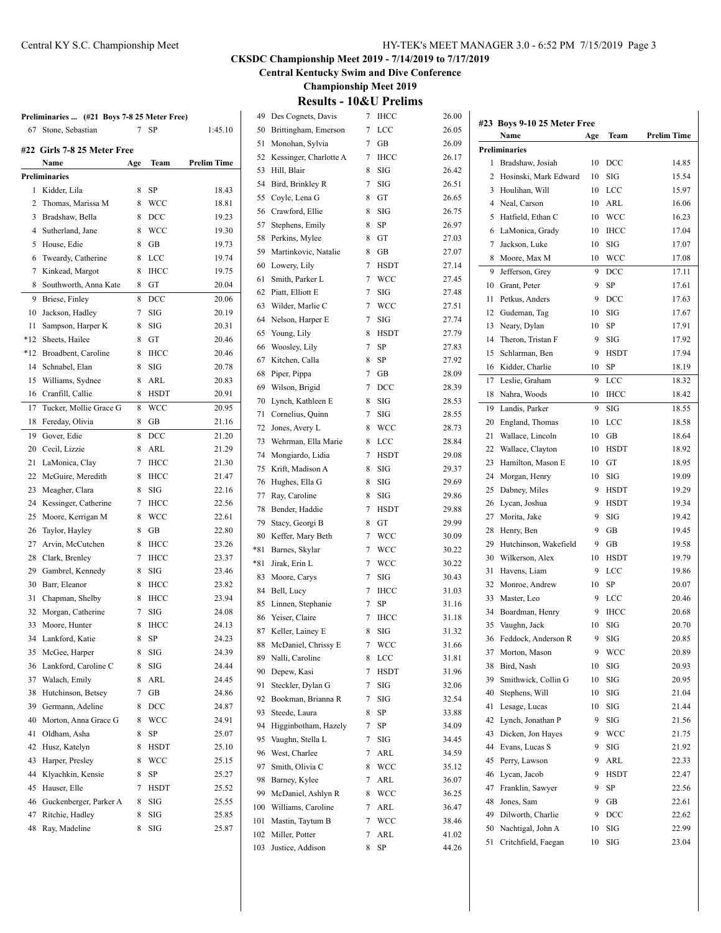# **CKSDC Championship Meet 2019 - 7/14/2019 to 7/17/2019**

**Central Kentucky Swim and Dive Conference**

**Championship Meet 2019**

**Results - 10&U Prelims**

| Des Cognets, Davis<br>49   | 7<br>IHCC              | 26.00       | #23 Boys 9-10 25 Meter Free |     |              |                    |
|----------------------------|------------------------|-------------|-----------------------------|-----|--------------|--------------------|
| Brittingham, Emerson<br>50 | LCC<br>7               | 26.05       | Name                        | Age | Team         | <b>Prelim Time</b> |
| Monohan, Sylvia            | 7<br>GB                | 26.09       | <b>Preliminaries</b>        |     |              |                    |
| Kessinger, Charlotte A     | <b>IHCC</b><br>7       | 26.17       | 1 Bradshaw, Josiah          | 10  | <b>DCC</b>   | 14.85              |
|                            | 8<br>SIG               | 26.42<br>2  | Hosinski, Mark Edward       | 10  | SIG          | 15.54              |
| Bird, Brinkley R           | 7<br><b>SIG</b>        | 26.51<br>3  | Houlihan, Will              | 10  | LCC          | 15.97              |
| Coyle, Lena G              | 8<br>GT                | 26.65<br>4  | Neal, Carson                | 10  | ARL          | 16.06              |
| Crawford, Ellie            | 8<br>SIG               | 26.75<br>5  | Hatfield, Ethan C           | 10  | <b>WCC</b>   | 16.23              |
| Stephens, Emily            | 8<br>SP                | 26.97<br>6  | LaMonica, Grady             | 10  | <b>IHCC</b>  | 17.04              |
| Perkins, Mylee             | 8<br>GT                | 27.03<br>7  | Jackson, Luke               | 10  | SIG          | 17.07              |
| Martinkovic, Natalie       | 8<br>GB                | 27.07<br>8  | Moore, Max M                | 10  | <b>WCC</b>   | 17.08              |
| Lowery, Lily               | 7<br><b>HSDT</b>       | 27.14<br>9  | Jefferson, Grey             | 9   | <b>DCC</b>   | 17.11              |
| Smith, Parker L            | WCC<br>7               | 27.45<br>10 | Grant, Peter                | 9   | <b>SP</b>    | 17.61              |
| Piatt, Elliott E           | 7<br>SIG               | 27.48<br>11 | Petkus, Anders              | 9   | <b>DCC</b>   | 17.63              |
| Wilder, Marlie C           | 7<br>WCC               | 27.51<br>12 | Gudeman, Tag                | 10  | SIG          | 17.67              |
| Nelson, Harper E           | 7<br>SIG               | 27.74<br>13 | Neary, Dylan                | 10  | SP           | 17.91              |
| Young, Lily                | 8<br><b>HSDT</b>       | 27.79<br>14 | Theron, Tristan F           | 9   | SIG          | 17.92              |
| Woosley, Lily              | 7<br>SP                | 27.83       | Schlarman, Ben              | 9   | <b>HSDT</b>  | 17.94              |
| Kitchen, Calla             | 8<br>SP                | 15<br>27.92 | Kidder, Charlie             |     |              |                    |
| Piper, Pippa               | 7<br>GВ                | 16<br>28.09 |                             | 10  | SP           | 18.19              |
| Wilson, Brigid             | 7<br><b>DCC</b>        | 17<br>28.39 | Leslie, Graham              | 9   | LCC          | 18.32              |
| Lynch, Kathleen E          | 8<br>SIG               | 28.53       | 18 Nahra, Woods             | 10  | <b>IHCC</b>  | 18.42              |
| Cornelius, Quinn           | <b>SIG</b><br>7        | 19<br>28.55 | Landis, Parker              | 9   | SIG          | 18.55              |
| Jones, Avery L             | 8<br>WCC               | 20<br>28.73 | England, Thomas             | 10  | LCC          | 18.58              |
| Wehrman, Ella Marie        | <b>LCC</b><br>8        | 21<br>28.84 | Wallace, Lincoln            | 10  | GB           | 18.64              |
| Mongiardo, Lidia           | <b>HSDT</b><br>7       | 22<br>29.08 | Wallace, Clayton            | 10  | <b>HSDT</b>  | 18.92              |
| Krift, Madison A           | 8<br>SIG               | 23<br>29.37 | Hamilton, Mason E           | 10  | GT           | 18.95              |
| Hughes, Ella G             | 8<br>SIG               | 24<br>29.69 | Morgan, Henry               | 10  | SIG          | 19.09              |
| Ray, Caroline              | 8<br>SIG               | 25<br>29.86 | Dabney, Miles               | 9   | <b>HSDT</b>  | 19.29              |
| Bender, Haddie             | 7<br><b>HSDT</b>       | 26<br>29.88 | Lycan, Joshua               | 9   | <b>HSDT</b>  | 19.34              |
| Stacy, Georgi B            | 8<br>GT                | 27<br>29.99 | Morita, Jake                | 9   | SIG          | 19.42              |
| Keffer, Mary Beth          | <b>WCC</b><br>7        | 28<br>30.09 | Henry, Ben                  | 9   | GB           | 19.45              |
| Barnes, Skylar             | 7<br>WCC               | 29<br>30.22 | Hutchinson, Wakefield       | 9   | GB           | 19.58              |
| Jirak, Erin L              | 7<br>WCC               | 30<br>30.22 | Wilkerson, Alex             | 10  | <b>HSDT</b>  | 19.79              |
| Moore, Carys               | <b>SIG</b><br>7        | 31<br>30.43 | Havens, Liam                | 9   | LCC          | 19.86              |
| Bell, Lucy                 | 7<br><b>IHCC</b>       | 32<br>31.03 | Monroe, Andrew              | 10  | SP           | 20.07              |
| Linnen, Stephanie          | SP<br>7                | 33<br>31.16 | Master, Leo                 | 9   | LCC          | 20.46              |
| Yeiser, Claire             | <b>IHCC</b><br>7       | 34<br>31.18 | Boardman, Henry             | 9   | <b>IHCC</b>  | 20.68              |
| 87 Keller, Lainey E        | 8<br><b>SIG</b>        | 31.32       | 35 Vaughn, Jack             | 10  | SIG          | 20.70              |
| 88 McDaniel, Chrissy E     | 7<br><b>WCC</b>        | 31.66       | 36 Feddock, Anderson R      | 9   | $\rm SIG$    | 20.85              |
| Nalli, Caroline            | <b>LCC</b><br>8        | 37<br>31.81 | Morton, Mason               | 9   | <b>WCC</b>   | 20.89              |
| Depew, Kasi                | 7<br><b>HSDT</b>       | 38<br>31.96 | Bird, Nash                  | 10  | SIG          | 20.93              |
| Steckler, Dylan G          | 7<br>SIG               | 39<br>32.06 | Smithwick, Collin G         | 10  | SIG          | 20.95              |
| Bookman, Brianna R         | $_{\mathrm{SIG}}$<br>7 | 40<br>32.54 | Stephens, Will              | 10  | SIG          | 21.04              |
| Steede, Laura              | 8<br>SP                | 41<br>33.88 | Lesage, Lucas               | 10  | SIG          | 21.44              |
|                            |                        | 42          | Lynch, Jonathan P           | 9   | $_{\rm SIG}$ | 21.56              |
| Higginbotham, Hazely       | 7<br>SP                | 34.09<br>43 | Dicken, Jon Hayes           | 9   | <b>WCC</b>   | 21.75              |
| Vaughn, Stella L           | SIG<br>7               | 34.45<br>44 | Evans, Lucas S              | 9   | SIG          | 21.92              |
| West, Charlee              | 7<br>ARL               | 34.59<br>45 | Perry, Lawson               | 9   | ARL          | 22.33              |
| Smith, Olivia C            | <b>WCC</b><br>8        | 35.12<br>46 | Lycan, Jacob                | 9   | <b>HSDT</b>  | 22.47              |
| Barney, Kylee              | ARL<br>7               | 36.07<br>47 | Franklin, Sawyer            | 9   | ${\rm SP}$   | 22.56              |
| McDaniel, Ashlyn R         | <b>WCC</b><br>8        | 36.25<br>48 | Jones, Sam                  | 9   | GB           | 22.61              |
| Williams, Caroline         | ARL<br>7               | 36.47<br>49 | Dilworth, Charlie           | 9   | <b>DCC</b>   | 22.62              |
| Mastin, Taytum B           | <b>WCC</b><br>7        | 38.46<br>50 | Nachtigal, John A           | 10  | SIG          | 22.99              |
| Miller, Potter             | 7<br>ARL               | 41.02<br>51 | Critchfield, Faegan         | 10  | SIG          | 23.04              |
| 103 Justice, Addison       | SP<br>8                | 44.26       |                             |     |              |                    |

# **Preliminaries ... (#21 Boys 7-8 25 Meter Free)** Stone, Sebastian 7 SP 1:45.10 **#22 Girls 7-8 25 Meter Free**

|     | Name                   | Age | Team        | Prelim Time |
|-----|------------------------|-----|-------------|-------------|
|     | <b>Preliminaries</b>   |     |             |             |
| 1   | Kidder, Lila           | 8   | SP          | 18.43       |
| 2   | Thomas, Marissa M      | 8   | WCC         | 18.81       |
| 3   | Bradshaw, Bella        | 8   | DCC         | 19.23       |
| 4   | Sutherland, Jane       | 8   | <b>WCC</b>  | 19.30       |
| 5   | House, Edie            | 8   | GB          | 19.73       |
| 6   | Tweardy, Catherine     | 8   | LCC         | 19.74       |
| 7   | Kinkead, Margot        | 8   | <b>IHCC</b> | 19.75       |
| 8   | Southworth, Anna Kate  | 8   | GT          | 20.04       |
| 9   | Briese, Finley         | 8   | DCC         | 20.06       |
| 10  | Jackson, Hadley        | 7   | SIG         | 20.19       |
| 11  | Sampson, Harper K      | 8   | SIG         | 20.31       |
| *12 | Sheets, Hailee         | 8   | GT          | 20.46       |
| *12 | Broadbent, Caroline    | 8   | IHCC        | 20.46       |
| 14  | Schnabel, Elan         | 8   | SIG         | 20.78       |
| 15  | Williams, Sydnee       | 8   | ARL         | 20.83       |
| 16  | Cranfill, Callie       | 8   | <b>HSDT</b> | 20.91       |
| 17  | Tucker, Mollie Grace G | 8   | WCC         | 20.95       |
| 18  | Fereday, Olivia        | 8   | GB          | 21.16       |
| 19  | Gover, Edie            | 8   | DCC         | 21.20       |
| 20  | Cecil, Lizzie          | 8   | ARL         | 21.29       |
| 21  | LaMonica, Clay         | 7   | <b>IHCC</b> | 21.30       |
| 22  | McGuire, Meredith      | 8   | <b>IHCC</b> | 21.47       |
| 23  | Meagher, Clara         | 8   | <b>SIG</b>  | 22.16       |
| 24  | Kessinger, Catherine   | 7   | <b>IHCC</b> | 22.56       |
| 25  | Moore, Kerrigan M      | 8   | <b>WCC</b>  | 22.61       |
| 26  | Taylor, Hayley         | 8   | GB          | 22.80       |
| 27  | Arvin, McCutchen       | 8   | <b>IHCC</b> | 23.26       |
| 28  | Clark, Brenley         | 7   | <b>IHCC</b> | 23.37       |
| 29  | Gambrel, Kennedy       | 8   | SIG         | 23.46       |
| 30  | Barr, Eleanor          | 8   | <b>IHCC</b> | 23.82       |
| 31  | Chapman, Shelby        | 8   | <b>IHCC</b> | 23.94       |
| 32  | Morgan, Catherine      | 7   | SIG         | 24.08       |
| 33  | Moore, Hunter          | 8   | <b>IHCC</b> | 24.13       |
| 34  | Lankford, Katie        | 8   | SP          | 24.23       |
| 35  | McGee, Harper          | 8   | SIG         | 24.39       |
| 36  | Lankford, Caroline C   | 8   | SIG         | 24.44       |
| 37  | Walach, Emily          | 8   | ARL         | 24.45       |
| 38  | Hutchinson, Betsey     | 7   | GВ          | 24.86       |
| 39  | Germann, Adeline       | 8   | DCC         | 24.87       |
| 40  | Morton, Anna Grace G   | 8   | WCC         | 24.91       |
| 41  | Oldham, Asha           | 8   | SP          | 25.07       |
| 42  | Husz, Katelyn          | 8   | <b>HSDT</b> | 25.10       |
| 43  | Harper, Preslev        | 8   | WCC         | 25.15       |
| 44  | Klyachkin, Kensie      | 8   | SP          | 25.27       |
| 45  | Hauser, Elle           | 7   | HSDT        | 25.52       |
| 46  | Guckenberger, Parker A | 8   | SIG         | 25.55       |
| 47  | Ritchie, Hadley        | 8   | SIG         | 25.85       |
| 48  | Ray, Madeline          | 8   | SIG         | 25.87       |
|     |                        |     |             |             |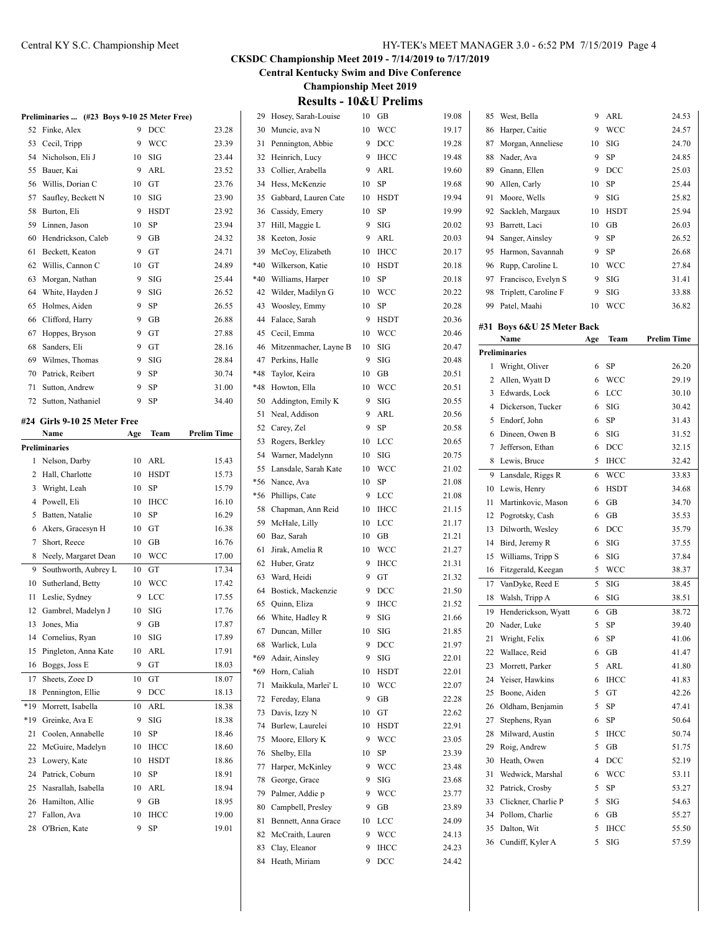**Central Kentucky Swim and Dive Conference**

**Championship Meet 2019**

# **Results - 10&U Prelims**

|          | Preliminaries  (#23 Boys 9-10 25 Meter Free) |         |                   |                    |
|----------|----------------------------------------------|---------|-------------------|--------------------|
| 52       | Finke, Alex                                  | 9       | DCC               | 23.28              |
| 53       | Cecil, Tripp                                 | 9       | WCC               | 23.39              |
| 54       | Nicholson, Eli J                             | 10      | SIG               | 23.44              |
| 55       | Bauer, Kai                                   | 9       | ARL               | 23.52              |
| 56       | Willis, Dorian C                             | 10      | GT                | 23.76              |
| 57       | Saufley, Beckett N                           | 10      | SIG               | 23.90              |
| 58       | Burton, Eli                                  | 9       | <b>HSDT</b>       | 23.92              |
| 59       | Linnen, Jason                                | 10      | SP                | 23.94              |
| 60       | Hendrickson, Caleb                           | 9       | GВ                | 24.32              |
| 61       | Beckett, Keaton                              | 9       | GT                | 24.71              |
| 62       | Willis, Cannon C                             | 10      | GT                | 24.89              |
| 63       | Morgan, Nathan                               | 9       | SIG               | 25.44              |
| 64       | White, Hayden J                              | 9       | SIG               | 26.52              |
| 65       | Holmes, Aiden                                | 9       | SP                | 26.55              |
| 66       | Clifford, Harry                              | 9       | GВ                | 26.88              |
| 67       | Hoppes, Bryson                               | 9       | GT                | 27.88              |
| 68       | Sanders, Eli                                 | 9       | GT                | 28.16              |
| 69       | Wilmes, Thomas                               | 9       | SIG               | 28.84              |
| 70       | Patrick, Reibert                             | 9       | SP                | 30.74              |
| 71       | Sutton, Andrew                               | 9       | SP                | 31.00              |
| 72       | Sutton, Nathaniel                            | 9       | SP                | 34.40              |
|          |                                              |         |                   |                    |
| #24      | Girls 9-10 25 Meter Free                     |         |                   | <b>Prelim Time</b> |
|          | Name                                         | Age     | Team              |                    |
|          | <b>Preliminaries</b>                         |         |                   |                    |
| 1        | Nelson, Darby                                | 10      | ARL               | 15.43              |
| 2        | Hall, Charlotte                              | 10      | <b>HSDT</b>       | 15.73              |
| 3        | Wright, Leah<br>Powell, Eli                  | 10      | SP                | 15.79              |
| 4        |                                              |         |                   |                    |
|          |                                              | 10      | <b>IHCC</b>       | 16.10              |
| 5        | Batten, Natalie                              | 10      | SP                | 16.29              |
| 6        | Akers, Gracesyn H                            | 10      | GT                | 16.38              |
| 7        | Short, Reece                                 | 10      | GВ                | 16.76              |
| 8        | Neely, Margaret Dean                         | 10      | WCC               | 17.00              |
| 9        | Southworth, Aubrey L                         | 10      | GТ                | 17.34              |
| 10       | Sutherland, Betty                            | 10      | <b>WCC</b>        | 17.42              |
| 11       | Leslie, Sydney                               | 9       | LCC               | 17.55              |
| 12       | Gambrel, Madelyn J                           | 10      | SIG               | 17.76              |
| 13       | Jones, Mia                                   | 9       | <b>GB</b>         | 17.87              |
| 14       | Cornelius, Ryan                              | 10      | SIG               | 17.89              |
| 15       | Pingleton, Anna Kate                         | 10      | ARL               | 17.91              |
| 16       | Boggs, Joss E                                | 9       | GT                | 18.03              |
| 17       | Sheets, Zoee D                               | 10      | GT                | 18.07              |
| 18       | Pennington, Ellie                            | 9       | DCC               | 18.13              |
| *19      | Morrett, Isabella                            | 10      | ARL               | 18.38              |
| *19      | Greinke, Ava E                               | 9       | SIG               | 18.38              |
| 21       | Coolen, Annabelle                            | 10      | SP                | 18.46              |
| 22       | McGuire, Madelyn                             | 10      | IHCC              | 18.60              |
| 23       | Lowery, Kate                                 | 10      | <b>HSDT</b>       | 18.86              |
| 24       | Patrick, Coburn                              | 10      | SP                | 18.91              |
| 25       | Nasrallah, Isabella                          | 10      | ARL               | 18.94              |
| 26       | Hamilton, Allie                              | 9       | GB                | 18.95              |
| 27<br>28 | Fallon, Ava<br>O'Brien, Kate                 | 10<br>9 | <b>IHCC</b><br>SP | 19.00<br>19.01     |

| 29    | Hosey, Sarah-Louise   | 10 | GB          | 19.08 |
|-------|-----------------------|----|-------------|-------|
| 30    | Muncie, ava N         | 10 | WCC         | 19.17 |
| 31    | Pennington, Abbie     | 9  | DCC         | 19.28 |
| 32    | Heinrich, Lucy        | 9  | <b>IHCC</b> | 19.48 |
| 33    | Collier, Arabella     | 9  | ARL         | 19.60 |
| 34    | Hess, McKenzie        | 10 | SP          | 19.68 |
| 35    | Gabbard, Lauren Cate  | 10 | <b>HSDT</b> | 19.94 |
| 36    | Cassidy, Emery        | 10 | SP          | 19.99 |
| 37    | Hill, Maggie L        | 9  | SIG         | 20.02 |
| 38    | Keeton, Josie         | 9  | <b>ARL</b>  | 20.03 |
| 39    | McCoy, Elizabeth      | 10 | <b>IHCC</b> | 20.17 |
| $*40$ | Wilkerson, Katie      | 10 | HSDT        | 20.18 |
| *40   | Williams, Harper      | 10 | <b>SP</b>   | 20.18 |
| 42    | Wilder, Madilyn G     | 10 | <b>WCC</b>  | 20.22 |
| 43    | Woosley, Emmy         | 10 | SP          | 20.28 |
| 44    | Falace, Sarah         | 9  | <b>HSDT</b> | 20.36 |
| 45    | Cecil, Emma           | 10 | WCC         | 20.46 |
| 46    | Mitzenmacher, Layne B | 10 | SIG         | 20.47 |
| 47    | Perkins, Halle        | 9  | SIG         | 20.48 |
| $*48$ |                       |    | GB          |       |
|       | Taylor, Keira         | 10 |             | 20.51 |
| *48   | Howton, Ella          | 10 | <b>WCC</b>  | 20.51 |
| 50    | Addington, Emily K    | 9  | SIG         | 20.55 |
| 51    | Neal, Addison         | 9  | ARL         | 20.56 |
| 52    | Carey, Zel            | 9  | <b>SP</b>   | 20.58 |
| 53    | Rogers, Berkley       | 10 | LCC         | 20.65 |
| 54    | Warner, Madelynn      | 10 | SIG         | 20.75 |
| 55    | Lansdale, Sarah Kate  | 10 | WCC         | 21.02 |
| *56   | Nance, Ava            | 10 | SP          | 21.08 |
| *56   | Phillips, Cate        | 9  | LCC         | 21.08 |
| 58    | Chapman, Ann Reid     | 10 | IHCC        | 21.15 |
| 59    | McHale, Lilly         | 10 | LCC         | 21.17 |
| 60    | Baz, Sarah            | 10 | GB          | 21.21 |
| 61    | Jirak, Amelia R       | 10 | WCC         | 21.27 |
| 62    | Huber, Gratz          | 9  | <b>IHCC</b> | 21.31 |
| 63    | Ward, Heidi           | 9  | GT          | 21.32 |
| 64    | Bostick, Mackenzie    | 9  | DCC         | 21.50 |
| 65    | Quinn, Eliza          | 9  | <b>IHCC</b> | 21.52 |
| 66    | White, Hadley R       | 9  | SIG         | 21.66 |
| 67    | Duncan, Miller        | 10 | SIG         | 21.85 |
| 68    | Warlick, Lula         | 9  | DCC         | 21.97 |
| *69   | Adair, Ainsley        | 9  | SIG         | 22.01 |
| *69   | Horn, Caliah          | 10 | HSDT        | 22.01 |
| 71    | Maikkula, Marlei' L   | 10 | <b>WCC</b>  | 22.07 |
| 72    | Fereday, Elana        | 9  | GB          | 22.28 |
| 73    | Davis, Izzy N         | 10 | GT          | 22.62 |
| 74    | Burlew, Laurelei      | 10 | <b>HSDT</b> | 22.91 |
| 75    | Moore, Ellory K       | 9  | WCC         | 23.05 |
| 76    | Shelby, Ella          | 10 | SP          | 23.39 |
| 77    | Harper, McKinley      | 9  | <b>WCC</b>  | 23.48 |
| 78    | George, Grace         | 9  | SIG         | 23.68 |
| 79    | Palmer, Addie p       | 9  | WCC         | 23.77 |
| 80    | Campbell, Presley     | 9  | GB          | 23.89 |
| 81    | Bennett, Anna Grace   | 10 | LCC         | 24.09 |
| 82    | McCraith, Lauren      | 9  | WCC         | 24.13 |
| 83    | Clay, Eleanor         | 9  | ІНСС        | 24.23 |
| 84    | Heath, Miriam         | 9  | DCC         | 24.42 |
|       |                       |    |             |       |

| 85 | West, Bella                | 9   | ARL         | 24.53              |
|----|----------------------------|-----|-------------|--------------------|
| 86 | Harper, Caitie             | 9   | <b>WCC</b>  | 24.57              |
| 87 | Morgan, Anneliese          | 10  | SIG         | 24.70              |
| 88 | Nader, Ava                 | 9   | SP          | 24.85              |
| 89 | Gnann, Ellen               | 9   | DCC         | 25.03              |
| 90 | Allen, Carly               | 10  | SP          | 25.44              |
| 91 | Moore, Wells               | 9   | SIG         | 25.82              |
| 92 | Sackleh, Margaux           | 10  | <b>HSDT</b> | 25.94              |
| 93 | Barrett, Laci              | 10  | GВ          | 26.03              |
| 94 | Sanger, Ainsley            | 9   | SP          | 26.52              |
| 95 | Harmon, Savannah           | 9   | SP          | 26.68              |
| 96 | Rupp, Caroline L           | 10  | <b>WCC</b>  | 27.84              |
| 97 | Francisco, Evelyn S        | 9   | SIG         | 31.41              |
| 98 | Triplett, Caroline F       | 9   | SIG         | 33.88              |
| 99 | Patel, Maahi               | 10  | <b>WCC</b>  | 36.82              |
|    |                            |     |             |                    |
|    | #31 Boys 6&U 25 Meter Back |     |             |                    |
|    | Name                       | Age | Team        | <b>Prelim Time</b> |
|    | Preliminaries              |     |             |                    |
| 1  | Wright, Oliver             | 6   | SP          | 26.20              |
| 2  | Allen, Wyatt D             | 6   | WCC         | 29.19              |
| 3  | Edwards, Lock              | 6   | <b>LCC</b>  | 30.10              |
| 4  | Dickerson, Tucker          | 6   | SIG         | 30.42              |
| 5  | Endorf, John               | 6   | SP          | 31.43              |
| 6  | Dineen, Owen B             | 6   | SIG         | 31.52              |
| 7  | Jefferson, Ethan           | 6   | <b>DCC</b>  | 32.15              |
| 8  | Lewis, Bruce               | 5   | <b>IHCC</b> | 32.42              |
| 9  | Lansdale, Riggs R          | 6   | <b>WCC</b>  | 33.83              |
| 10 | Lewis, Henry               | 6   | <b>HSDT</b> | 34.68              |
| 11 | Martinkovic, Mason         | 6   | GВ          | 34.70              |
| 12 | Pogrotsky, Cash            | 6   | GВ          | 35.53              |
| 13 | Dilworth, Wesley           | 6   | DCC         | 35.79              |
| 14 | Bird, Jeremy R             | 6   | SIG         | 37.55              |
| 15 | Williams, Tripp S          | 6   | SIG         | 37.84              |
| 16 | Fitzgerald, Keegan         | 5   | <b>WCC</b>  | 38.37              |
| 17 | VanDyke, Reed E            | 5   | SIG         | 38.45              |
| 18 | Walsh, Tripp A             | 6   | SIG         | 38.51              |
| 19 | Henderickson, Wyatt        | 6   | GВ          | 38.72              |
| 20 | Nader, Luke                | 5   | SP          | 39.40              |
| 21 | Wright, Felix              | 6   | SP          | 41.06              |
| 22 | Wallace, Reid              | 6   | GВ          | 41.47              |
| 23 | Morrett, Parker            | 5   | ARL         | 41.80              |
| 24 | Yeiser, Hawkins            | 6   | <b>IHCC</b> | 41.83              |
| 25 | Boone, Aiden               | 5   | GT          | 42.26              |
| 26 | Oldham, Benjamin           | 5   | SP          | 47.41              |
| 27 | Stephens, Ryan             | 6   | SP          | 50.64              |
| 28 | Milward, Austin            | 5   | IHCC        | 50.74              |
| 29 | Roig, Andrew               | 5   | GB          | 51.75              |
| 30 | Heath, Owen                | 4   | DCC         | 52.19              |
| 31 | Wedwick, Marshal           | 6   | WCC         | 53.11              |
| 32 | Patrick, Crosby            | 5   | SP          | 53.27              |
| 33 | Clickner, Charlie P        | 5   | SIG         | 54.63              |
| 34 | Pollom, Charlie            | 6   | GB          | 55.27              |
| 35 | Dalton, Wit                | 5   | IHCC        | 55.50              |
| 36 | Cundiff, Kyler A           | 5   | SIG         | 57.59              |
|    |                            |     |             |                    |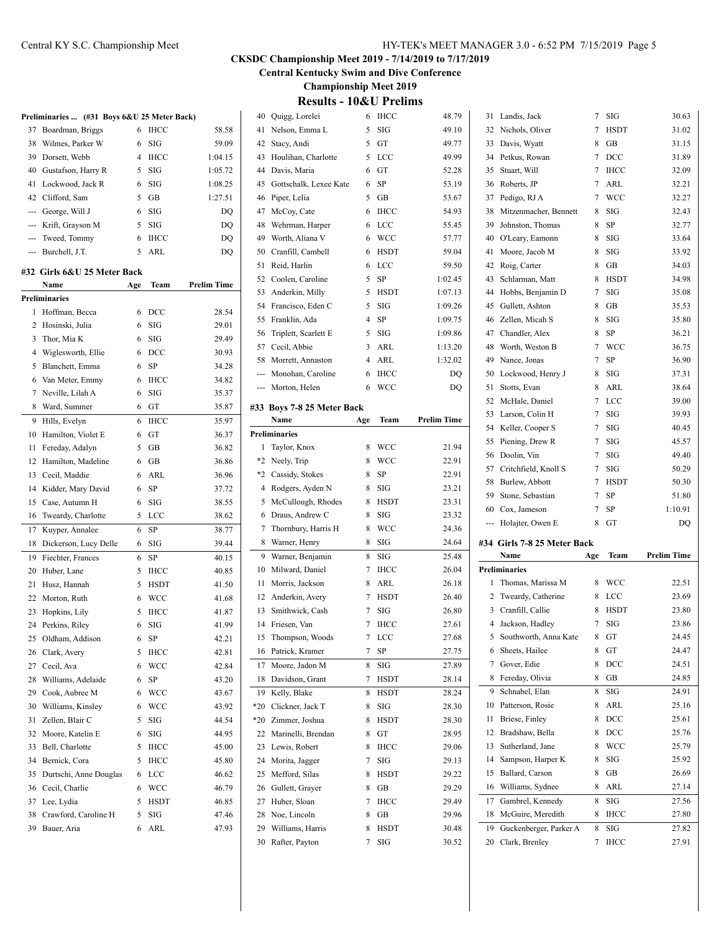**Central Kentucky Swim and Dive Conference**

**Championship Meet 2019**

| <b>Results - 10&amp;U Prelims</b> |  |  |
|-----------------------------------|--|--|
|-----------------------------------|--|--|

|     | Preliminaries  (#31 Boys 6&U 25 Meter Back) |                |             |                    |
|-----|---------------------------------------------|----------------|-------------|--------------------|
| 37  | Boardman, Briggs                            | 6              | <b>IHCC</b> | 58.58              |
| 38  | Wilmes, Parker W                            | 6              | <b>SIG</b>  | 59.09              |
| 39  | Dorsett, Webb                               | $\overline{4}$ | <b>IHCC</b> | 1:04.15            |
| 40  | Gustafson, Harry R                          | 5              | SIG         | 1:05.72            |
| 41  | Lockwood, Jack R                            | 6              | SIG         | 1:08.25            |
| 42  | Clifford, Sam                               | 5              | GВ          | 1:27.51            |
| --- | George, Will J                              | 6              | SIG         | DQ                 |
| --- | Krift, Grayson M                            | 5              | <b>SIG</b>  | DQ                 |
| --- | Tweed, Tommy                                | 6              | <b>IHCC</b> | DQ                 |
| --- | Burchell, J.T.                              | 5              | ARL         | DQ                 |
|     |                                             |                |             |                    |
|     | #32  Girls 6&U 25 Meter Back<br>Name        | Age            | Team        | <b>Prelim Time</b> |
|     | Preliminaries                               |                |             |                    |
| 1   | Hoffman, Becca                              | 6              | DCC         | 28.54              |
| 2   | Hosinski, Julia                             | 6              | SIG         | 29.01              |
| 3   | Thor, Mia K                                 | 6              | SIG         | 29.49              |
|     |                                             |                |             |                    |
| 4   | Wiglesworth, Ellie                          | 6              | DCC         | 30.93              |
| 5   | Blanchett, Emma                             | 6              | SP          | 34.28              |
| 6   | Van Meter, Emmy                             | 6              | <b>IHCC</b> | 34.82              |
| 7   | Neville, Lilah A                            | 6              | SIG         | 35.37              |
| 8   | Ward, Summer                                | 6              | GT          | 35.87              |
| 9   | Hills, Evelyn                               | 6              | <b>IHCC</b> | 35.97              |
| 10  | Hamilton, Violet E                          | 6              | GT          | 36.37              |
| 11  | Fereday, Adalyn                             | 5              | GB          | 36.82              |
| 12  | Hamilton, Madeline                          | 6              | GB          | 36.86              |
| 13  | Cecil, Maddie                               | 6              | ARL         | 36.96              |
| 14  | Kidder, Mary David                          | 6              | SP          | 37.72              |
| 15  | Case, Autumn H                              | 6              | SIG         | 38.55              |
| 16  | Tweardy, Charlotte                          | 5              | LCC         | 38.62              |
| 17  | Kuyper, Annalee                             | 6              | SP          | 38.77              |
| 18  | Dickerson, Lucy Delle                       | 6              | SIG         | 39.44              |
| 19  | Fiechter, Frances                           | 6              | <b>SP</b>   | 40.15              |
| 20  | Huber, Lane                                 | 5              | <b>IHCC</b> | 40.85              |
| 21  | Husz, Hannah                                | 5              | <b>HSDT</b> | 41.50              |
| 22  | Morton, Ruth                                | 6              | <b>WCC</b>  | 41.68              |
| 23  | Hopkins, Lily                               | 5              | <b>IHCC</b> | 41.87              |
| 24  | Perkins, Riley                              | 6              | SIG         | 41.99              |
| 25  | Oldham, Addison                             | 6              | SP          | 42.21              |
| 26  | Clark, Avery                                | 5              | IHCC        | 42.81              |
| 27  | Cecil, Ava                                  | 6              | WCC         | 42.84              |
| 28  | Williams, Adelaide                          | 6              | SP          | 43.20              |
|     |                                             |                |             |                    |
| 29  | Cook, Aubree M                              | 6              | WCC         | 43.67              |
| 30  | Williams, Kinsley                           | 6              | WCC         | 43.92              |
| 31  | Zellen, Blair C                             | 5              | SIG         | 44.54              |
| 32  | Moore, Katelin E                            | 6              | SIG         | 44.95              |
| 33  | Bell, Charlotte                             | 5              | <b>IHCC</b> | 45.00              |
| 34  | Bernick, Cora                               | 5              | <b>IHCC</b> | 45.80              |
| 35  | Durtschi, Anne Douglas                      | 6              | LCC         | 46.62              |
| 36  | Cecil, Charlie                              | 6              | WCC         | 46.79              |
| 37  | Lee, Lydia                                  | 5              | HSDT        | 46.85              |
| 38  | Crawford, Caroline H                        | 5              | SIG         | 47.46              |
| 39  | Bauer, Aria                                 | 6              | ARL         | 47.93              |

|       | 40 Quigg, Lorelei                  | 6              | IHCC        | 48.79              |
|-------|------------------------------------|----------------|-------------|--------------------|
| 41    | Nelson, Emma L                     | 5              | SIG         | 49.10              |
| 42    | Stacy, Andi                        | 5              | GT          | 49.77              |
| 43    | Houlihan, Charlotte                | 5              | LCC         | 49.99              |
| 44    | Davis, Maria                       | 6              | GТ          | 52.28              |
| 45    | Gottschalk, Lexee Kate             | 6              | SP          | 53.19              |
| 46    | Piper, Lelia                       | 5              | GB          | 53.67              |
| 47    | McCoy, Cate                        | 6              | <b>IHCC</b> | 54.93              |
| 48    | Wehrman, Harper                    | 6              | LCC         | 55.45              |
| 49    | Worth, Aliana V                    | 6              | WCC         | 57.77              |
| 50    | Cranfill, Cambell                  | 6              | <b>HSDT</b> | 59.04              |
| 51    | Reid, Harlin                       | 6              | LCC         | 59.50              |
| 52    | Coolen, Caroline                   | 5              | SP          | 1:02.45            |
| 53    | Anderkin, Milly                    | 5              | <b>HSDT</b> | 1:07.13            |
| 54    | Francisco, Eden C                  | 5              | SIG         | 1:09.26            |
| 55    | Franklin, Ada                      | 4              | SP          | 1:09.75            |
| 56    | Triplett, Scarlett E               | 5              | SIG         | 1:09.86            |
| 57    | Cecil, Abbie                       | 3              | ARL         | 1:13.20            |
| 58    | Morrett, Annaston                  | $\overline{4}$ | ARL         | 1:32.02            |
| ---   | Monohan, Caroline                  | 6              | <b>IHCC</b> | DO                 |
| ---   | Morton, Helen                      | 6              | <b>WCC</b>  | DQ                 |
|       |                                    |                |             |                    |
|       | #33 Boys 7-8 25 Meter Back         |                |             |                    |
|       | Name                               | Age            | Team        | <b>Prelim Time</b> |
|       | <b>Preliminaries</b>               |                |             |                    |
| 1     | Taylor, Knox                       | 8              | WCC         | 21.94              |
| $*2$  | Neely, Trip                        | 8              | WCC         | 22.91              |
| $*2$  | Cassidy, Stokes                    | 8              | SP          | 22.91              |
| 4     | Rodgers, Ayden N                   | 8              | <b>SIG</b>  | 23.21              |
| 5     | McCullough, Rhodes                 | 8              | <b>HSDT</b> | 23.31              |
| 6     | Draus, Andrew C                    | 8              | SIG         | 23.32              |
| 7     | Thornbury, Harris H                | 8              | WCC         | 24.36              |
| 8     | Warner, Henry                      | 8              | SIG         | 24.64              |
| 9     | Warner, Benjamin                   | 8              | SIG         | 25.48              |
| 10    | Milward, Daniel                    | 7              |             | 26.04              |
| 11    | Morris, Jackson                    |                | <b>IHCC</b> |                    |
| 12    |                                    | 8              | ARL         | 26.18              |
|       | Anderkin, Avery                    | 7              | <b>HSDT</b> | 26.40              |
| 13    | Smithwick, Cash                    | 7              | SIG         | 26.80              |
| 14    | Friesen, Van                       | 7              | <b>IHCC</b> | 27.61              |
| 15    | Thompson, Woods                    | $\tau$         | LCC         | 27.68              |
| 16    | Patrick, Kramer                    | 7              | SP          | 27.75              |
| 17    | Moore, Jadon M                     | 8              | SIG         | 27.89              |
| 18    | Davidson, Grant                    | 7              | HSDT        | 28.14              |
| 19    | Kelly, Blake                       | 8              | HSDT        | 28.24              |
| *20   | Clickner, Jack T                   | 8              | <b>SIG</b>  | 28.30              |
| $*20$ | Zimmer, Joshua                     | 8              | HSDT        | 28.30              |
| 22    | Marinelli, Brendan                 | 8              | GT          | 28.95              |
| 23    | Lewis, Robert                      | 8              | ІНСС        | 29.06              |
| 24    | Morita, Jagger                     | 7              | SIG         | 29.13              |
| 25    | Mefford, Silas                     | 8              | HSDT        | 29.22              |
| 26    | Gullett, Grayer                    | 8              | GВ          | 29.29              |
| 27    | Huber, Sloan                       | 7              | <b>IHCC</b> | 29.49              |
| 28    | Noe, Lincoln                       | 8              | GВ          | 29.96              |
| 29    |                                    | 8              | HSDT        |                    |
| 30    | Williams, Harris<br>Rafter, Payton | 7              | SIG         | 30.48<br>30.52     |

| 31       | Landis, Jack                             | 7              | SIG         | 30.63              |
|----------|------------------------------------------|----------------|-------------|--------------------|
| 32       | Nichols, Oliver                          | 7              | <b>HSDT</b> | 31.02              |
| 33       | Davis, Wyatt                             | 8              | GВ          | 31.15              |
| 34       | Petkus, Rowan                            | $\overline{7}$ | DCC         | 31.89              |
| 35       | Stuart, Will                             | $\overline{7}$ | <b>IHCC</b> | 32.09              |
| 36       | Roberts, JP                              | 7              | ARL         | 32.21              |
| 37       | Pedigo, RJ A                             | 7              | WCC         | 32.27              |
| 38       | Mitzenmacher, Bennett                    | 8              | SIG         | 32.43              |
| 39       | Johnston, Thomas                         | 8              | SP          | 32.77              |
| 40       | O'Leary, Eamonn                          | 8              | SIG         | 33.64              |
| 41       | Moore, Jacob M                           | 8              | SIG         | 33.92              |
| 42       | Roig, Carter                             | 8              | GВ          | 34.03              |
| 43       | Schlarman, Matt                          | 8              | HSDT        | 34.98              |
| 44       | Hobbs, Benjamin D                        | 7              | SIG         | 35.08              |
| 45       | Gullett, Ashton                          | 8              | GВ          | 35.53              |
| 46       | Zellen, Micah S                          | 8              | SIG         | 35.80              |
| 47       | Chandler, Alex                           | 8              | SP          | 36.21              |
| 48       | Worth, Weston B                          | 7              | WCC         | 36.75              |
| 49       | Nance, Jonas                             | 7              | SP          | 36.90              |
| 50       | Lockwood, Henry J                        | 8              | SIG         | 37.31              |
| 51       | Stotts, Evan                             | 8              | ARL         | 38.64              |
| 52       | McHale, Daniel                           | 7              | LCC         | 39.00              |
| 53       | Larson, Colin H                          | 7              | SIG         | 39.93              |
| 54       | Keller, Cooper S                         | 7              | SIG         | 40.45              |
| 55       | Piening, Drew R                          | 7              | SIG         | 45.57              |
| 56       | Doolin, Vin                              | 7              | SIG         | 49.40              |
| 57       | Critchfield, Knoll S                     | 7              | SIG         | 50.29              |
| 58       | Burlew, Abbott                           | 7              | HSDT        | 50.30              |
|          |                                          |                |             |                    |
|          |                                          |                |             |                    |
| 59       | Stone, Sebastian                         | $\overline{7}$ | SP          | 51.80              |
| 60       | Cox, Jameson                             | 7              | SP          | 1:10.91            |
| ---      | Holajter, Owen E                         | 8              | GТ          | DQ                 |
|          | #34 Girls 7-8 25 Meter Back              |                |             |                    |
|          | Name                                     | Age            | Team        | <b>Prelim Time</b> |
|          | <b>Preliminaries</b>                     |                |             |                    |
| 1        | Thomas, Marissa M                        | 8              | WCC         | 22.51              |
| 2        | Tweardy, Catherine                       | 8              | LCC         | 23.69              |
| 3        | Cranfill, Callie                         | 8              | <b>HSDT</b> | 23.80              |
| 4        | Jackson, Hadley                          | $\overline{7}$ | SIG         | 23.86              |
|          | 5 Southworth, Anna Kate                  | 8              | GT          | 24.45              |
| 6        | Sheets, Hailee                           | 8              | GT          | 24.47              |
| 7        | Gover, Edie                              | 8              | DCC         | 24.51              |
| 8        | Fereday, Olivia                          | 8              | GB          | 24.85              |
| 9        | Schnabel, Elan                           | 8              | SIG         | 24.91              |
| 10       | Patterson, Rosie                         | 8              | ARL         | 25.16              |
| 11       | Briese, Finley                           | 8              | DCC         | 25.61              |
| 12       | Bradshaw, Bella                          | 8              | DCC         | 25.76              |
| 13       | Sutherland, Jane                         | 8              | WCC         | 25.79              |
| 14       | Sampson, Harper K                        | 8              | SIG         | 25.92              |
| 15       | Ballard, Carson                          | 8              | GB          | 26.69              |
| 16       | Williams, Sydnee                         | 8              | ARL         | 27.14              |
| 17       | Gambrel, Kennedy                         | 8              | SIG         | 27.56              |
| 18       | McGuire, Meredith                        | 8              | IHCC        | 27.80              |
| 19<br>20 | Guckenberger, Parker A<br>Clark, Brenley | 8<br>7         | SIG<br>ІНСС | 27.82<br>27.91     |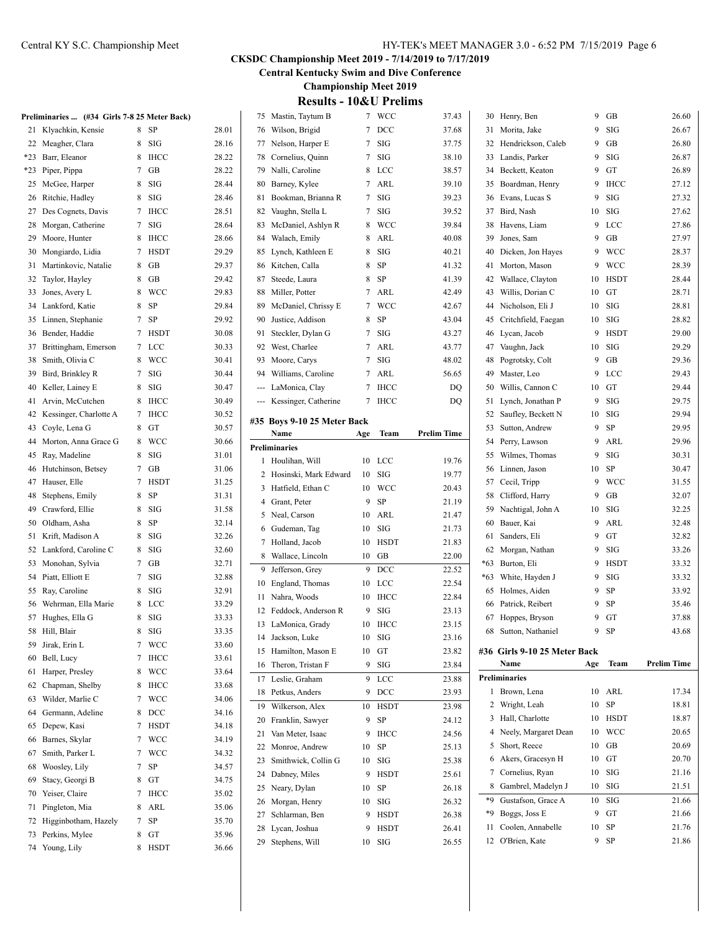**Central Kentucky Swim and Dive Conference**

**Championship Meet 2019**

|                     | <b>Results - 10&amp;U Prelims</b> |       |
|---------------------|-----------------------------------|-------|
| 75 Mastin, Taytum B | 7 WCC                             | 37.43 |

|       | Preliminaries  (#34 Girls 7-8 25 Meter Back) |                  |             |       |
|-------|----------------------------------------------|------------------|-------------|-------|
| 21    | Klyachkin, Kensie                            | 8                | SP          | 28.01 |
| 22    | Meagher, Clara                               | 8                | SIG         | 28.16 |
| $*23$ | Barr, Eleanor                                | 8                | <b>IHCC</b> | 28.22 |
| $*23$ | Piper, Pippa                                 | 7                | GB          | 28.22 |
| 25    | McGee, Harper                                | 8                | SIG         | 28.44 |
| 26    | Ritchie, Hadley                              | 8                | SIG         | 28.46 |
| 27    | Des Cognets, Davis                           | 7                | <b>IHCC</b> | 28.51 |
| 28    | Morgan, Catherine                            | 7                | SIG         | 28.64 |
| 29    | Moore, Hunter                                | 8                | IHCC        | 28.66 |
| 30    | Mongiardo, Lidia                             | 7                | <b>HSDT</b> | 29.29 |
| 31    | Martinkovic, Natalie                         | 8                | GВ          | 29.37 |
| 32    | Taylor, Hayley                               | 8                | GB          | 29.42 |
| 33    | Jones, Avery L                               | 8                | WCC         | 29.83 |
| 34    | Lankford, Katie                              | 8                | SP          | 29.84 |
| 35    | Linnen, Stephanie                            | 7                | SP          | 29.92 |
| 36    | Bender, Haddie                               | 7                | <b>HSDT</b> | 30.08 |
| 37    | Brittingham, Emerson                         | 7                | LCC         | 30.33 |
| 38    | Smith, Olivia C                              | 8                | <b>WCC</b>  | 30.41 |
| 39    | Bird, Brinkley R                             | 7                | SIG         | 30.44 |
| 40    | Keller, Lainey E                             | 8                | SIG         | 30.47 |
| 41    | Arvin, McCutchen                             | 8                | <b>IHCC</b> | 30.49 |
| 42    | Kessinger, Charlotte A                       | 7                | <b>IHCC</b> | 30.52 |
| 43    | Coyle, Lena G                                | 8                | GТ          | 30.57 |
| 44    | Morton, Anna Grace G                         | 8                | WCC         | 30.66 |
|       |                                              |                  |             |       |
| 45    | Ray, Madeline                                | 8                | SIG         | 31.01 |
| 46    | Hutchinson, Betsey                           | 7                | GВ          | 31.06 |
| 47    | Hauser, Elle                                 | 7                | <b>HSDT</b> | 31.25 |
| 48    | Stephens, Emily                              | 8                | SP          | 31.31 |
| 49    | Crawford, Ellie                              | 8                | SIG         | 31.58 |
| 50    | Oldham, Asha                                 | 8                | SP          | 32.14 |
| 51    | Krift, Madison A                             | 8                | SIG         | 32.26 |
| 52    | Lankford, Caroline C                         | 8                | SIG         | 32.60 |
| 53    | Monohan, Sylvia                              | 7                | GВ          | 32.71 |
| 54    | Piatt, Elliott E                             | 7                | SIG         | 32.88 |
| 55    | Ray, Caroline                                | 8                | SIG         | 32.91 |
| 56    | Wehrman, Ella Marie                          | 8                | LCC         | 33.29 |
| 57    | Hughes, Ella G                               | 8                | SIG         | 33.33 |
| 58    | Hill, Blair                                  | 8                | SIG         | 33.35 |
| 59    | Jirak, Erin L                                | $\boldsymbol{7}$ | WCC         | 33.60 |
| 60    | Bell, Lucy                                   | 7                | ІНСС        | 33.61 |
| 61    | Harper, Presley                              | 8                | WCC         | 33.64 |
| 62    | Chapman, Shelby                              | 8                | IHCC        | 33.68 |
| 63    | Wilder, Marlie C                             | 7                | WCC         | 34.06 |
| 64    | Germann, Adeline                             | 8                | DCC         | 34.16 |
| 65    | Depew, Kasi                                  | 7                | HSDT        | 34.18 |
| 66    | Barnes, Skylar                               | 7                | <b>WCC</b>  | 34.19 |
| 67    | Smith, Parker L                              | 7                | WCC         | 34.32 |
| 68    | Woosley, Lily                                | 7                | SP          | 34.57 |
| 69    | Stacy, Georgi B                              | 8                | GT          | 34.75 |
| 70    | Yeiser, Claire                               | 7                | <b>IHCC</b> | 35.02 |
| 71    | Pingleton, Mia                               | 8                | ARL         | 35.06 |
| 72    | Higginbotham, Hazely                         | 7                | SP          | 35.70 |
| 73    | Perkins, Mylee                               | 8                | GT          | 35.96 |
| 74    | Young, Lily                                  | 8                | HSDT        | 36.66 |

| 76             | Wilson, Brigid              | 7   | DCC         | 37.68              |
|----------------|-----------------------------|-----|-------------|--------------------|
| 77             | Nelson, Harper E            | 7   | SIG         | 37.75              |
| 78             | Cornelius, Quinn            | 7   | SIG         | 38.10              |
| 79             | Nalli, Caroline             | 8   | LCC         | 38.57              |
| 80             | Barney, Kylee               | 7   | ARL         | 39.10              |
| 81             | Bookman, Brianna R          | 7   | SIG         | 39.23              |
| 82             | Vaughn, Stella L            | 7   | <b>SIG</b>  | 39.52              |
| 83             | McDaniel, Ashlyn R          | 8   | <b>WCC</b>  | 39.84              |
| 84             | Walach, Emily               | 8   | ARL         | 40.08              |
| 85             | Lynch, Kathleen E           | 8   | SIG         | 40.21              |
| 86             | Kitchen, Calla              | 8   | SP          | 41.32              |
| 87             | Steede, Laura               | 8   | SP          | 41.39              |
| 88             | Miller, Potter              | 7   | ARL         | 42.49              |
| 89             | McDaniel, Chrissy E         | 7   | <b>WCC</b>  | 42.67              |
| 90             | Justice, Addison            | 8   | SP          | 43.04              |
| 91             | Steckler, Dylan G           | 7   | SIG         | 43.27              |
| 92             | West, Charlee               | 7   | ARL         | 43.77              |
| 93             | Moore, Carys                | 7   | SIG         | 48.02              |
|                | 94 Williams, Caroline       | 7   | ARL         | 56.65              |
|                | --- LaMonica, Clay          | 7   | <b>IHCC</b> | DQ                 |
|                | --- Kessinger, Catherine    | 7   | <b>IHCC</b> | DQ                 |
|                |                             |     |             |                    |
|                | #35 Boys 9-10 25 Meter Back |     |             |                    |
|                | Name                        | Age | Team        | <b>Prelim Time</b> |
|                | <b>Preliminaries</b>        |     |             |                    |
| 1              | Houlihan, Will              | 10  | LCC         | 19.76              |
| 2              | Hosinski, Mark Edward       | 10  | SIG         | 19.77              |
| 3              | Hatfield, Ethan C           | 10  | <b>WCC</b>  | 20.43              |
| $\overline{4}$ | Grant, Peter                | 9   | SP          | 21.19              |
| 5              | Neal, Carson                | 10  | ARL         | 21.47              |
| 6              | Gudeman, Tag                | 10  | SIG         | 21.73              |
| 7              | Holland, Jacob              | 10  | <b>HSDT</b> | 21.83              |
| 8              | Wallace, Lincoln            | 10  | GB          | 22.00              |
| 9              | Jefferson, Grey             | 9   | DCC         | 22.52              |
| 10             | England, Thomas             | 10  | LCC         | 22.54              |
| 11             | Nahra, Woods                | 10  | <b>IHCC</b> | 22.84              |
|                | 12 Feddock, Anderson R      | 9   | SIG         | 23.13              |
| 13             | LaMonica, Grady             | 10  | <b>IHCC</b> | 23.15              |
| 14             | Jackson, Luke               | 10  | SIG         | 23.16              |
| 15             | Hamilton, Mason E           | 10  | GT          | 23.82              |
| 16             | Theron, Tristan F           | 9   | SIG         | 23.84              |
| 17             | Leslie, Graham              | 9   | LCC         | 23.88              |
| 18             | Petkus, Anders              | 9   | DCC         | 23.93              |
| 19             | Wilkerson, Alex             | 10  | <b>HSDT</b> | 23.98              |
| 20             | Franklin, Sawyer            | 9   | SP          | 24.12              |
| 21             | Van Meter, Isaac            | 9   | <b>IHCC</b> | 24.56              |
| 22             | Monroe, Andrew              | 10  | SP          | 25.13              |
| 23             | Smithwick, Collin G         | 10  | SIG         | 25.38              |
| 24             | Dabney, Miles               | 9   | <b>HSDT</b> | 25.61              |
| 25             | Neary, Dylan                | 10  | SP          | 26.18              |
| 26             | Morgan, Henry               | 10  | SIG         | 26.32              |
| 27             | Schlarman, Ben              | 9   | HSDT        | 26.38              |
| 28             | Lycan, Joshua               | 9   | <b>HSDT</b> | 26.41              |
| 29             | Stephens, Will              | 10  | SIG         | 26.55              |
|                |                             |     |             |                    |

| 12    | O'Brien, Kate                        | 9   | SP                 | 21.86              |
|-------|--------------------------------------|-----|--------------------|--------------------|
| 11    | Coolen, Annabelle                    | 10  | SP                 | 21.76              |
| *9    | Boggs, Joss E                        | 9   | GT                 | 21.66              |
| *9    | Gustafson, Grace A                   | 10  | SIG                | 21.66              |
| 8     | Gambrel, Madelyn J                   | 10  | SIG                | 21.51              |
| 7     | Cornelius, Ryan                      | 10  | SIG                | 21.16              |
| 6     | Akers, Gracesyn H                    | 10  | GT                 | 20.70              |
| 5     | Short, Reece                         | 10  | GB                 | 20.69              |
| 4     | Neely, Margaret Dean                 | 10  | <b>WCC</b>         | 20.65              |
| 3     | Hall, Charlotte                      | 10  | <b>HSDT</b>        | 18.87              |
| 2     | Wright, Leah                         | 10  | SP                 | 18.81              |
|       |                                      |     |                    |                    |
| 1     | Brown, Lena                          | 10  | ARL                | 17.34              |
|       | <b>Preliminaries</b>                 |     |                    |                    |
|       | #36 Girls 9-10 25 Meter Back<br>Name | Age | Team               | <b>Prelim Time</b> |
|       |                                      |     |                    |                    |
| 68    | Sutton, Nathaniel                    | 9   | SP                 | 43.68              |
| 67    | Hoppes, Bryson                       | 9   | GT                 | 37.88              |
| 66    | Patrick, Reibert                     | 9   | SP                 | 35.46              |
| 65    | Holmes, Aiden                        | 9   | SP                 | 33.92              |
| $*63$ | White, Hayden J                      | 9   | SIG                | 33.32              |
| $*63$ | Burton, Eli                          | 9   | HSDT               | 33.32              |
| 62    | Morgan, Nathan                       | 9   | $\rm SIG$          | 33.26              |
| 61    | Sanders, Eli                         | 9   | GT                 | 32.82              |
| 60    | Bauer, Kai                           | 9   | ARL                | 32.48              |
| 59    | Nachtigal, John A                    | 10  | SIG                | 32.25              |
| 58    | Clifford, Harry                      | 9   | GB                 | 32.07              |
| 57    | Cecil, Tripp                         | 9   | WCC                | 31.55              |
| 56    | Linnen, Jason                        | 10  | SP                 | 30.47              |
| 55    | Wilmes, Thomas                       | 9   | SIG                | 30.31              |
| 54    | Perry, Lawson                        | 9   | ARL                | 29.96              |
| 53    | Sutton, Andrew                       | 9   | SP                 | 29.95              |
| 52    | Saufley, Beckett N                   | 10  | SIG                | 29.94              |
| 51    | Lynch, Jonathan P                    | 9   | SIG                | 29.75              |
| 50    | Willis, Cannon C                     | 10  | GТ                 | 29.44              |
| 49    | Master, Leo                          | 9   | LCC                | 29.43              |
| 48    | Pogrotsky, Colt                      | 9   | GB                 | 29.36              |
| 47    | Vaughn, Jack                         | 10  | SIG                | 29.29              |
| 46    | Lycan, Jacob                         | 9   | <b>HSDT</b>        | 29.00              |
| 45    | Critchfield, Faegan                  | 10  | SIG                | 28.82              |
| 44    | Nicholson, Eli J                     | 10  | SIG                | 28.81              |
| 43    | Willis, Dorian C                     | 10  | GT                 | 28.71              |
| 42    | Wallace, Clayton                     | 10  | <b>HSDT</b>        | 28.44              |
| 41    | Morton, Mason                        | 9   | WCC                | 28.39              |
| 40    | Dicken, Jon Hayes                    | 9   | <b>WCC</b>         | 28.37              |
| 39    | Jones, Sam                           | 9   | GB                 | 27.97              |
| 38    | Havens, Liam                         | 9   | LCC                | 27.86              |
| 37    | Bird, Nash                           | 10  | SIG                | 27.62              |
| 36    | Evans, Lucas S                       | 9   |                    | 27.32              |
| 35    | Boardman, Henry                      | 9   | IHCC<br><b>SIG</b> | 27.12              |
| 34    | Beckett, Keaton                      | 9   | GT                 | 26.89              |
| 33    | Landis, Parker                       | 9   | SIG                | 26.87              |
| 32    | Hendrickson, Caleb                   | 9   | GB                 | 26.80              |
| 31    | Morita, Jake                         | 9   | SIG                | 26.67              |
| 30    | Henry, Ben                           | 9   | GВ                 | 26.60              |
|       |                                      |     |                    |                    |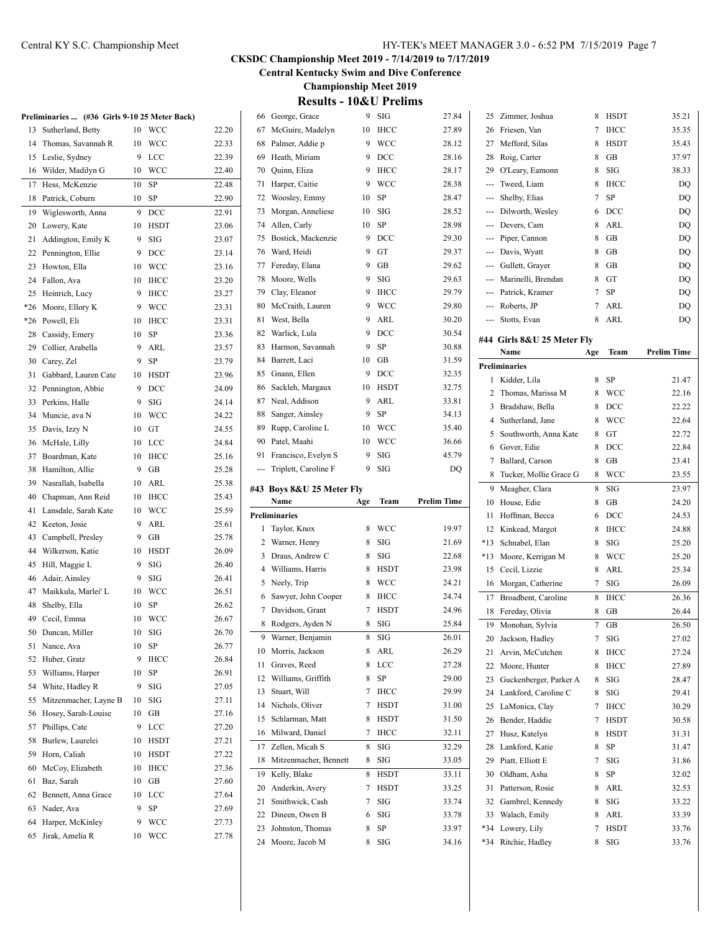# Central KY S.C. Championship Meet HY-TEK's MEET MANAGER 3.0 - 6:52 PM 7/15/2019 Page 7

# **CKSDC Championship Meet 2019 - 7/14/2019 to 7/17/2019**

**Central Kentucky Swim and Dive Conference**

**Championship Meet 2019 Results** 10 **P.II Drelin** 

|       | Preliminaries  (#36 Girls 9-10 25 Meter Back) |    |             |       |
|-------|-----------------------------------------------|----|-------------|-------|
| 13    | Sutherland, Betty                             | 10 | WCC         | 22.20 |
| 14    | Thomas, Savannah R                            | 10 | WCC         | 22.33 |
| 15    | Leslie, Sydney                                | 9  | LCC         | 22.39 |
| 16    | Wilder, Madilyn G                             | 10 | <b>WCC</b>  | 22.40 |
| 17    | Hess, McKenzie                                | 10 | SP          | 22.48 |
| 18    | Patrick, Coburn                               | 10 | SP          | 22.90 |
| 19    | Wiglesworth, Anna                             | 9  | DCC         | 22.91 |
| 20    | Lowery, Kate                                  | 10 | <b>HSDT</b> | 23.06 |
| 21    | Addington, Emily K                            | 9  | SIG         | 23.07 |
| 22    | Pennington, Ellie                             | 9  | DCC         | 23.14 |
| 23    | Howton, Ella                                  | 10 | WCC         | 23.16 |
| 24    | Fallon, Ava                                   | 10 | IHCC        | 23.20 |
| 25    | Heinrich, Lucy                                | 9  | <b>IHCC</b> | 23.27 |
| $*26$ | Moore, Ellory K                               | 9  | WCC         | 23.31 |
| $*26$ | Powell, Eli                                   | 10 | <b>IHCC</b> | 23.31 |
| 28    | Cassidy, Emery                                | 10 | SP          | 23.36 |
| 29    | Collier, Arabella                             | 9  | ARL         | 23.57 |
| 30    | Carey, Zel                                    | 9  | SP          | 23.79 |
| 31    | Gabbard, Lauren Cate                          | 10 | HSDT        | 23.96 |
| 32    | Pennington, Abbie                             | 9  | DCC         | 24.09 |
| 33    | Perkins, Halle                                | 9  | SIG         | 24.14 |
| 34    | Muncie, ava N                                 | 10 | WCC         | 24.22 |
| 35    | Davis, Izzy N                                 | 10 | GT          | 24.55 |
| 36    | McHale, Lilly                                 | 10 | LCC         | 24.84 |
| 37    | Boardman, Kate                                | 10 | <b>IHCC</b> | 25.16 |
| 38    | Hamilton, Allie                               | 9  | GB          | 25.28 |
| 39    | Nasrallah, Isabella                           | 10 | ARL         | 25.38 |
| 40    | Chapman, Ann Reid                             | 10 | IHCC        | 25.43 |
| 41    | Lansdale, Sarah Kate                          | 10 | WCC         | 25.59 |
| 42    | Keeton, Josie                                 | 9  | ARL         | 25.61 |
| 43    | Campbell, Presley                             | 9  | GВ          | 25.78 |
| 44    | Wilkerson, Katie                              | 10 | HSDT        | 26.09 |
| 45    | Hill, Maggie L                                | 9  | SIG         | 26.40 |
| 46    | Adair, Ainsley                                | 9  | SIG         | 26.41 |
| 47    | Maikkula, Marlei' L                           | 10 | WCC         | 26.51 |
| 48    | Shelby, Ella                                  | 10 | SP          | 26.62 |
| 49    | Cecil, Emma                                   | 10 | WCC         | 26.67 |
| 50    | Duncan, Miller                                | 10 | SIG         | 26.70 |
| 51    | Nance, Ava                                    | 10 | SP          | 26.77 |
| 52    | Huber, Gratz                                  | 9  | IHCC        | 26.84 |
| 53    | Williams, Harper                              | 10 | SP          | 26.91 |
| 54    | White, Hadley R                               | 9  | SIG         | 27.05 |
| 55    | Mitzenmacher, Layne B                         | 10 | SIG         | 27.11 |
| 56    | Hosey, Sarah-Louise                           | 10 | GВ          | 27.16 |
| 57    | Phillips, Cate                                | 9  | LCC         | 27.20 |
| 58    | Burlew, Laurelei                              | 10 | HSDT        | 27.21 |
| 59    | Horn, Caliah                                  | 10 | HSDT        | 27.22 |
| 60    | McCoy, Elizabeth                              | 10 | IHCC        | 27.36 |
| 61    | Baz, Sarah                                    | 10 | GВ          | 27.60 |
| 62    | Bennett, Anna Grace                           | 10 | LCC         | 27.64 |
| 63    | Nader, Ava                                    | 9  | SP          | 27.69 |
| 64    | Harper, McKinley                              | 9  | WCC         | 27.73 |
| 65    | Jirak, Amelia R                               | 10 | WCC         | 27.78 |
|       |                                               |    |             |       |

| 66             | George, Grace                      | 9      | SIG         | 27.84              |
|----------------|------------------------------------|--------|-------------|--------------------|
| 67             | McGuire, Madelyn                   | 10     | <b>IHCC</b> | 27.89              |
| 68             | Palmer, Addie p                    | 9      | WCC         | 28.12              |
| 69             | Heath, Miriam                      | 9      | DCC         | 28.16              |
| 70             | Quinn, Eliza                       | 9      | <b>IHCC</b> | 28.17              |
| 71             | Harper, Caitie                     | 9      | <b>WCC</b>  | 28.38              |
| 72             | Woosley, Emmy                      | 10     | SP          | 28.47              |
| 73             | Morgan, Anneliese                  | 10     | SIG         | 28.52              |
| 74             | Allen, Carly                       | 10     | SP          | 28.98              |
| 75             | Bostick, Mackenzie                 | 9      | DCC         | 29.30              |
| 76             | Ward, Heidi                        | 9      | GT          | 29.37              |
| 77             | Fereday, Elana                     | 9      | GB          | 29.62              |
| 78             | Moore, Wells                       | 9      | SIG         | 29.63              |
| 79             | Clay, Eleanor                      | 9      | <b>IHCC</b> | 29.79              |
| 80             | McCraith, Lauren                   | 9      | WCC         | 29.80              |
| 81             | West, Bella                        | 9      | ARL         | 30.20              |
| 82             | Warlick, Lula                      | 9      | DCC         | 30.54              |
| 83             | Harmon, Savannah                   | 9      | SP          | 30.88              |
| 84             | Barrett, Laci                      | 10     | GB          | 31.59              |
| 85             | Gnann, Ellen                       | 9      | DCC         | 32.35              |
| 86             | Sackleh, Margaux                   | 10     | HSDT        | 32.75              |
|                |                                    |        |             |                    |
| 87             | Neal, Addison                      | 9      | ARL         | 33.81              |
| 88             | Sanger, Ainsley                    | 9      | <b>SP</b>   | 34.13              |
| 89             | Rupp, Caroline L                   | 10     | WCC         | 35.40              |
| 90             | Patel, Maahi                       | 10     | WCC         | 36.66              |
| 91             | Francisco, Evelyn S                | 9      | SIG         | 45.79              |
| ---            | Triplett, Caroline F               | 9      | SIG         | DQ                 |
|                |                                    |        |             |                    |
|                | #43 Boys 8&U 25 Meter Fly          |        |             |                    |
|                | Name                               | Age    | Team        | <b>Prelim Time</b> |
|                | <b>Preliminaries</b>               |        |             |                    |
| 1              | Taylor, Knox                       | 8      | WCC         | 19.97              |
| 2              | Warner, Henry                      | 8      | SIG         | 21.69              |
| 3              | Draus, Andrew C                    | 8      | SIG         | 22.68              |
| $\overline{4}$ | Williams, Harris                   | 8      | <b>HSDT</b> | 23.98              |
| 5              | Neely, Trip                        | 8      | WCC         | 24.21              |
| 6              | Sawyer, John Cooper                | 8      | <b>IHCC</b> | 24.74              |
| 7              | Davidson, Grant                    | 7      | <b>HSDT</b> | 24.96              |
| 8              | Rodgers, Ayden N                   | 8      | SIG         | 25.84              |
| 9              | Warner, Benjamin                   | 8      | SIG         | 26.01              |
| 10             | Morris, Jackson                    | 8      | ARL         | 26.29              |
| 11             | Graves, Reed                       | 8      | LCC         | 27.28              |
| 12             | Williams, Griffith                 | 8      | SP          | 29.00              |
| 13             | Stuart, Will                       | 7      | IHCC        | 29.99              |
| 14             | Nichols, Oliver                    | 7      | HSDT        | 31.00              |
| 15             | Schlarman, Matt                    | 8      | HSDT        | 31.50              |
| 16             | Milward, Daniel                    | 7      | IHCC        | 32.11              |
| 17             | Zellen, Micah S                    | 8      | SIG         |                    |
| 18             | Mitzenmacher, Bennett              | 8      | SIG         | 32.29<br>33.05     |
|                |                                    |        |             |                    |
| 19             | Kelly, Blake                       | 8      | HSDT        | 33.11              |
| 20             | Anderkin, Avery                    | 7      | HSDT        | 33.25              |
| 21             | Smithwick, Cash                    | 7      | SIG         | 33.74              |
| 22             | Dineen, Owen B                     | 6      | SIG         | 33.78              |
| 23<br>24       | Johnston, Thomas<br>Moore, Jacob M | 8<br>8 | SP<br>SIG   | 33.97<br>34.16     |

| 25    | Zimmer, Joshua             | 8   | HSDT        | 35.21              |
|-------|----------------------------|-----|-------------|--------------------|
| 26    | Friesen, Van               | 7   | <b>IHCC</b> | 35.35              |
| 27    | Mefford, Silas             | 8   | <b>HSDT</b> | 35.43              |
| 28    | Roig, Carter               | 8   | GВ          | 37.97              |
| 29    | O'Leary, Eamonn            | 8   | SIG         | 38.33              |
| ---   | Tweed, Liam                | 8   | <b>IHCC</b> | DQ                 |
| ---   | Shelby, Elias              | 7   | SP          | DQ                 |
| ---   | Dilworth, Wesley           | 6   | DCC         | DQ                 |
| ---   | Devers, Cam                | 8   | ARL         | DQ                 |
| ---   | Piper, Cannon              | 8   | GB          | DQ                 |
|       | --- Davis, Wyatt           | 8   | GB          | DQ                 |
|       | --- Gullett, Grayer        | 8   | GB          | DQ                 |
|       | --- Marinelli, Brendan     | 8   | GT          | DQ                 |
|       | --- Patrick, Kramer        | 7   | SP          | DQ                 |
|       | --- Roberts, JP            | 7   | ARL         | DQ                 |
| ---   | Stotts, Evan               | 8   | ARL         | DQ                 |
|       |                            |     |             |                    |
|       | #44 Girls 8&U 25 Meter Fly |     |             |                    |
|       | Name                       | Age | Team        | <b>Prelim Time</b> |
|       | <b>Preliminaries</b>       |     |             |                    |
| 1     | Kidder, Lila               | 8   | SP          | 21.47              |
| 2     | Thomas, Marissa M          | 8   | WCC         | 22.16              |
| 3     | Bradshaw, Bella            | 8   | DCC         | 22.22              |
| 4     | Sutherland, Jane           | 8   | WCC         | 22.64              |
| 5     | Southworth, Anna Kate      | 8   | GT          | 22.72              |
| 6     | Gover, Edie                | 8   | DCC         | 22.84              |
| 7     | Ballard, Carson            | 8   | GВ          | 23.41              |
| 8     | Tucker, Mollie Grace G     | 8   | WCC         | 23.55              |
| 9     | Meagher, Clara             | 8   | SIG         | 23.97              |
| 10    | House, Edie                | 8   | GВ          | 24.20              |
| 11    | Hoffman, Becca             | 6   | DCC         | 24.53              |
| 12    | Kinkead, Margot            | 8   | <b>IHCC</b> | 24.88              |
| *13   | Schnabel, Elan             | 8   | SIG         | 25.20              |
| $*13$ | Moore, Kerrigan M          | 8   | WCC         | 25.20              |
| 15    | Cecil, Lizzie              | 8   | ARL         | 25.34              |
| 16    | Morgan, Catherine          | 7   | SIG         | 26.09              |
| 17    | Broadbent, Caroline        | 8   | <b>IHCC</b> | 26.36              |
| 18    | Fereday, Olivia            | 8   | GВ          | 26.44              |
| 19    | Monohan, Sylvia            | 7   | GB          | 26.50              |
| 20    | Jackson, Hadley            | 7   | SIG         | 27.02              |
| 21    | Arvin, McCutchen           | 8   | <b>IHCC</b> | 27.24              |
| 22    | Moore, Hunter              | 8   | <b>IHCC</b> | 27.89              |
| 23    | Guckenberger, Parker A     | 8   | SIG         | 28.47              |
| 24    | Lankford, Caroline C       | 8   | SIG         | 29.41              |
| 25    | LaMonica, Clay             | 7   | IHCC        | 30.29              |
| 26    | Bender, Haddie             | 7   | <b>HSDT</b> | 30.58              |
| 27    | Husz, Katelyn              | 8   | <b>HSDT</b> | 31.31              |
| 28    | Lankford, Katie            | 8   | SP          | 31.47              |
| 29    | Piatt, Elliott E           | 7   | SIG         | 31.86              |
| 30    | Oldham, Asha               | 8   | SP          | 32.02              |
| 31    | Patterson, Rosie           | 8   | ARL         | 32.53              |
| 32    | Gambrel, Kennedy           | 8   | SIG         | 33.22              |
| 33    | Walach, Emily              | 8   | ARL         | 33.39              |
| $*34$ | Lowery, Lily               | 7   | <b>HSDT</b> | 33.76              |
| $*34$ | Ritchie, Hadley            | 8   | SIG         | 33.76              |
|       |                            |     |             |                    |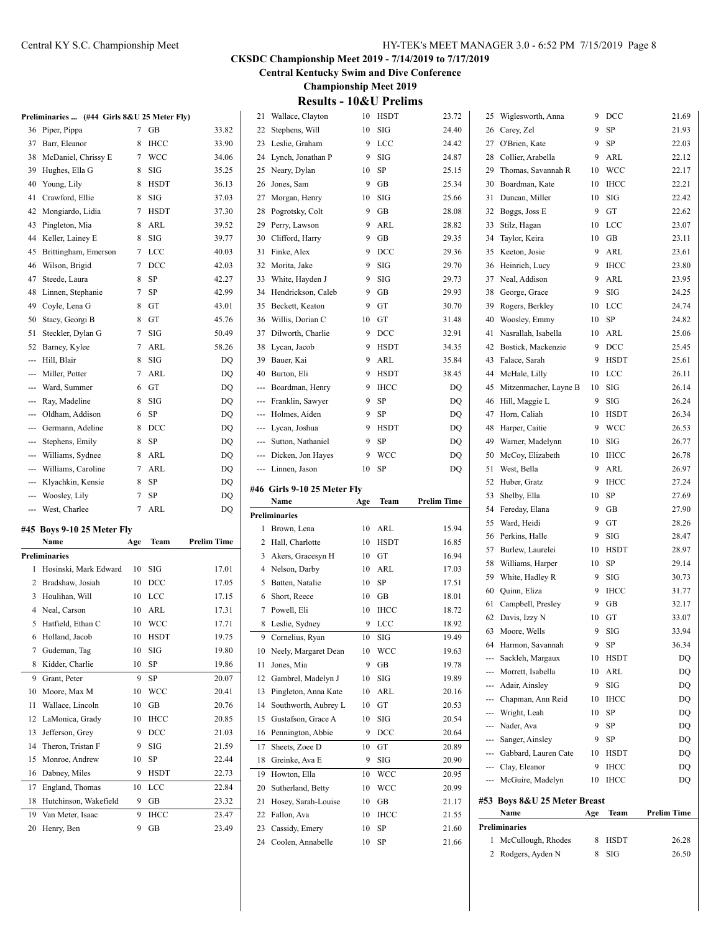2 Rodgers, Ayden N 8 SIG 26.50

#### **CKSDC Championship Meet 2019 - 7/14/2019 to 7/17/2019**

**Central Kentucky Swim and Dive Conference**

**Championship Meet 2019**

# **Results - 10&U Prelims**

|     | Preliminaries  (#44 Girls 8&U 25 Meter Fly) |     |            |                    |                                                                                                                                                                                                                                                                                                                                                                                                                                                                            | 21 Wallace, Clayton                       |       | 10 HSDT  | 23.72              |    | 25 Wiglesworth, Anna         |   | 9 DCC    | 21.69              |
|-----|---------------------------------------------|-----|------------|--------------------|----------------------------------------------------------------------------------------------------------------------------------------------------------------------------------------------------------------------------------------------------------------------------------------------------------------------------------------------------------------------------------------------------------------------------------------------------------------------------|-------------------------------------------|-------|----------|--------------------|----|------------------------------|---|----------|--------------------|
|     | 36 Piper, Pippa                             |     | $7$ GB     | 33.82              |                                                                                                                                                                                                                                                                                                                                                                                                                                                                            | 22 Stephens, Will                         |       | $10$ SIG | 24.40              |    | 26 Carey, Zel                |   | 9 SP     | 21.93              |
|     | 37 Barr, Eleanor                            |     | 8 IHCC     | 33.90              |                                                                                                                                                                                                                                                                                                                                                                                                                                                                            | 23 Leslie, Graham                         |       | 9 LCC    | 24.42              |    | 27 O'Brien, Kate             |   | 9 SP     | 22.03              |
|     | 38 McDaniel, Chrissy E                      |     | 7 WCC      | 34.06              |                                                                                                                                                                                                                                                                                                                                                                                                                                                                            | 24 Lynch, Jonathan P                      |       | 9 SIG    | 24.87              |    | 28 Collier, Arabella         |   | 9 ARL    | 22.12              |
|     | 39 Hughes, Ella G                           |     | 8 SIG      | 35.25              |                                                                                                                                                                                                                                                                                                                                                                                                                                                                            | 25 Neary, Dylan                           |       | 10 SP    | 25.15              |    | 29 Thomas, Savannah R        |   | 10 WCC   | 22.17              |
|     | 40 Young, Lily                              | 8   | HSDT       | 36.13              |                                                                                                                                                                                                                                                                                                                                                                                                                                                                            | 26 Jones, Sam                             |       | 9 GB     | 25.34              |    | 30 Boardman, Kate            |   | 10 IHCC  | 22.21              |
|     | 41 Crawford, Ellie                          |     | 8 SIG      | 37.03              |                                                                                                                                                                                                                                                                                                                                                                                                                                                                            | 27 Morgan, Henry                          |       | 10 SIG   | 25.66              |    | 31 Duncan, Miller            |   | 10 SIG   | 22.42              |
|     | 42 Mongiardo, Lidia                         |     | 7 HSDT     | 37.30              |                                                                                                                                                                                                                                                                                                                                                                                                                                                                            | 28 Pogrotsky, Colt                        |       | $9$ GB   | 28.08              |    | 32 Boggs, Joss E             | 9 | GT       | 22.62              |
| 43  | Pingleton, Mia                              | 8   | ARL        | 39.52              | 29                                                                                                                                                                                                                                                                                                                                                                                                                                                                         | Perry, Lawson                             |       | 9 ARL    | 28.82              |    | 33 Stilz, Hagan              |   | 10 LCC   | 23.07              |
|     | 44 Keller, Lainey E                         | 8   | SIG        | 39.77              |                                                                                                                                                                                                                                                                                                                                                                                                                                                                            | 30 Clifford, Harry                        |       | 9 GB     | 29.35              |    | 34 Taylor, Keira             |   | 10 GB    | 23.11              |
| 45  | Brittingham, Emerson                        |     | 7 LCC      | 40.03              |                                                                                                                                                                                                                                                                                                                                                                                                                                                                            | 31 Finke, Alex                            |       | 9 DCC    | 29.36              |    | 35 Keeton, Josie             | 9 | ARL      | 23.61              |
| 46  | Wilson, Brigid                              |     | 7 DCC      | 42.03              |                                                                                                                                                                                                                                                                                                                                                                                                                                                                            | 32 Morita, Jake                           |       | 9 SIG    | 29.70              |    | 36 Heinrich, Lucy            |   | 9 IHCC   | 23.80              |
|     | 47 Steede, Laura                            |     | 8 SP       | 42.27              |                                                                                                                                                                                                                                                                                                                                                                                                                                                                            | 33 White, Hayden J                        |       | 9 SIG    | 29.73              |    | 37 Neal, Addison             |   | 9 ARL    | 23.95              |
|     | 48 Linnen, Stephanie                        |     | 7 SP       | 42.99              |                                                                                                                                                                                                                                                                                                                                                                                                                                                                            | 34 Hendrickson, Caleb                     |       | $9$ GB   | 29.93              |    | 38 George, Grace             |   | 9 SIG    | 24.25              |
|     | 49 Coyle, Lena G                            |     | 8 GT       | 43.01              |                                                                                                                                                                                                                                                                                                                                                                                                                                                                            | 35 Beckett, Keaton                        |       | 9 GT     | 30.70              |    | 39 Rogers, Berkley           |   | 10 LCC   | 24.74              |
|     | 50 Stacy, Georgi B                          |     | 8 GT       | 45.76              |                                                                                                                                                                                                                                                                                                                                                                                                                                                                            | 36 Willis, Dorian C                       |       | 10 GT    | 31.48              |    | 40 Woosley, Emmy             |   | 10 SP    | 24.82              |
|     | 51 Steckler, Dylan G                        |     | 7 SIG      | 50.49              |                                                                                                                                                                                                                                                                                                                                                                                                                                                                            | 37 Dilworth, Charlie                      |       | 9 DCC    | 32.91              |    | 41 Nasrallah, Isabella       |   | 10 ARL   | 25.06              |
|     |                                             |     |            |                    |                                                                                                                                                                                                                                                                                                                                                                                                                                                                            |                                           |       |          |                    |    |                              |   |          |                    |
|     | 52 Barney, Kylee                            |     | 7 ARL      | 58.26              |                                                                                                                                                                                                                                                                                                                                                                                                                                                                            | 38 Lycan, Jacob                           |       | 9 HSDT   | 34.35              |    | 42 Bostick, Mackenzie        |   | 9 DCC    | 25.45              |
|     | --- Hill, Blair                             | 8   | SIG        | DQ                 |                                                                                                                                                                                                                                                                                                                                                                                                                                                                            | 39 Bauer, Kai                             |       | 9 ARL    | 35.84              |    | 43 Falace, Sarah             |   | 9 HSDT   | 25.61              |
| --- | Miller, Potter                              |     | 7 ARL      | DQ                 | 40                                                                                                                                                                                                                                                                                                                                                                                                                                                                         | Burton, Eli                               |       | 9 HSDT   | 38.45              |    | 44 McHale, Lilly             |   | 10 LCC   | 26.11              |
|     | Ward, Summer                                |     | 6 GT       | DQ                 | ---                                                                                                                                                                                                                                                                                                                                                                                                                                                                        | Boardman, Henry                           |       | 9 IHCC   | DQ                 | 45 | Mitzenmacher, Layne B        |   | 10 SIG   | 26.14              |
|     | Ray, Madeline                               | 8   | SIG        | DQ                 | ---                                                                                                                                                                                                                                                                                                                                                                                                                                                                        | Franklin, Sawyer                          |       | 9 SP     | DQ                 |    | 46 Hill, Maggie L            |   | 9 SIG    | 26.24              |
|     | Oldham, Addison                             |     | 6 SP       | DQ                 | ---                                                                                                                                                                                                                                                                                                                                                                                                                                                                        | Holmes, Aiden                             |       | 9 SP     | DQ                 |    | 47 Horn, Caliah              |   | 10 HSDT  | 26.34              |
|     | Germann, Adeline                            |     | 8 DCC      | DQ                 | ---                                                                                                                                                                                                                                                                                                                                                                                                                                                                        | Lycan, Joshua                             |       | 9 HSDT   | DQ                 |    | 48 Harper, Caitie            |   | 9 WCC    | 26.53              |
|     | Stephens, Emily                             |     | 8 SP       | DQ                 | $\frac{1}{2} \left( \frac{1}{2} \right) \left( \frac{1}{2} \right) \left( \frac{1}{2} \right) \left( \frac{1}{2} \right) \left( \frac{1}{2} \right) \left( \frac{1}{2} \right) \left( \frac{1}{2} \right) \left( \frac{1}{2} \right) \left( \frac{1}{2} \right) \left( \frac{1}{2} \right) \left( \frac{1}{2} \right) \left( \frac{1}{2} \right) \left( \frac{1}{2} \right) \left( \frac{1}{2} \right) \left( \frac{1}{2} \right) \left( \frac{1}{2} \right) \left( \frac$ | Sutton, Nathaniel                         |       | 9 SP     | DQ                 |    | 49 Warner, Madelynn          |   | 10 SIG   | 26.77              |
|     | Williams, Sydnee                            |     | 8 ARL      | DQ                 |                                                                                                                                                                                                                                                                                                                                                                                                                                                                            | --- Dicken, Jon Hayes                     |       | 9 WCC    | DQ                 |    | 50 McCoy, Elizabeth          |   | 10 IHCC  | 26.78              |
|     | Williams, Caroline                          |     | 7 ARL      | DQ                 |                                                                                                                                                                                                                                                                                                                                                                                                                                                                            | --- Linnen, Jason                         | 10 SP |          | DO                 |    | 51 West, Bella               |   | 9 ARL    | 26.97              |
|     | --- Klyachkin, Kensie                       |     | 8 SP       | DQ                 |                                                                                                                                                                                                                                                                                                                                                                                                                                                                            | #46 Girls 9-10 25 Meter Fly               |       |          |                    |    | 52 Huber, Gratz              |   | 9 IHCC   | 27.24              |
|     | Woosley, Lily                               |     | $7$ SP     | DQ                 |                                                                                                                                                                                                                                                                                                                                                                                                                                                                            | Name                                      | Age   | Team     | <b>Prelim Time</b> |    | 53 Shelby, Ella              |   | 10 SP    | 27.69              |
|     | --- West, Charlee                           |     | 7 ARL      | DQ                 |                                                                                                                                                                                                                                                                                                                                                                                                                                                                            | Preliminaries                             |       |          |                    |    | 54 Fereday, Elana            |   | 9 GB     | 27.90              |
|     |                                             |     |            |                    |                                                                                                                                                                                                                                                                                                                                                                                                                                                                            | 1 Brown, Lena                             |       | 10 ARL   | 15.94              |    | 55 Ward, Heidi               |   | 9 GT     | 28.26              |
|     | #45 Boys 9-10 25 Meter Fly<br>Name          | Age | Team       | <b>Prelim Time</b> |                                                                                                                                                                                                                                                                                                                                                                                                                                                                            | 2 Hall, Charlotte                         |       | 10 HSDT  | 16.85              |    | 56 Perkins, Halle            | 9 | SIG      | 28.47              |
|     | <b>Preliminaries</b>                        |     |            |                    |                                                                                                                                                                                                                                                                                                                                                                                                                                                                            |                                           |       | 10 GT    | 16.94              |    | 57 Burlew, Laurelei          |   | 10 HSDT  | 28.97              |
|     |                                             |     |            |                    |                                                                                                                                                                                                                                                                                                                                                                                                                                                                            | 3 Akers, Gracesyn H                       |       |          |                    |    | 58 Williams, Harper          |   | 10 SP    | 29.14              |
|     |                                             |     |            |                    |                                                                                                                                                                                                                                                                                                                                                                                                                                                                            |                                           |       |          |                    |    |                              |   |          |                    |
|     | 1 Hosinski, Mark Edward                     |     | $10$ SIG   | 17.01              |                                                                                                                                                                                                                                                                                                                                                                                                                                                                            | 4 Nelson, Darby                           |       | 10 ARL   | 17.03              |    | 59 White, Hadley R           |   | 9 SIG    | 30.73              |
|     | 2 Bradshaw, Josiah                          |     | 10 DCC     | 17.05              |                                                                                                                                                                                                                                                                                                                                                                                                                                                                            | 5 Batten, Natalie                         |       | 10 SP    | 17.51              |    | 60 Quinn, Eliza              |   | 9 IHCC   | 31.77              |
|     | 3 Houlihan, Will                            |     | 10 LCC     | 17.15              |                                                                                                                                                                                                                                                                                                                                                                                                                                                                            | 6 Short, Reece                            |       | 10 GB    | 18.01              |    | 61 Campbell, Presley         |   | 9 GB     | 32.17              |
|     | 4 Neal, Carson                              |     | 10 ARL     | 17.31              |                                                                                                                                                                                                                                                                                                                                                                                                                                                                            | 7 Powell, Eli                             |       | 10 IHCC  | 18.72              |    | 62 Davis, Izzy N             |   | $10$ GT  | 33.07              |
|     | 5 Hatfield, Ethan C                         |     | 10 WCC     | 17.71              |                                                                                                                                                                                                                                                                                                                                                                                                                                                                            | 8 Leslie, Sydney                          |       | 9 LCC    | 18.92              |    | 63 Moore, Wells              |   | 9 SIG    | 33.94              |
|     | 6 Holland, Jacob                            | 10  | HSDT       | 19.75              |                                                                                                                                                                                                                                                                                                                                                                                                                                                                            | 9 Cornelius, Ryan                         |       | 10 SIG   | 19.49              |    |                              |   |          |                    |
|     | 7 Gudeman, Tag                              |     | 10 SIG     | 19.80              |                                                                                                                                                                                                                                                                                                                                                                                                                                                                            | 10 Neely, Margaret Dean                   |       | 10 WCC   | 19.63              |    | 64 Harmon, Savannah          |   | 9 SP     | 36.34              |
|     | 8 Kidder, Charlie                           |     | 10 SP      | 19.86              |                                                                                                                                                                                                                                                                                                                                                                                                                                                                            | 11 Jones, Mia                             |       | 9 GB     | 19.78              |    | --- Sackleh, Margaux         |   | 10 HSDT  | <b>DQ</b>          |
|     | 9 Grant, Peter                              |     | 9 SP       | 20.07              |                                                                                                                                                                                                                                                                                                                                                                                                                                                                            | 12 Gambrel, Madelyn J                     |       | $10$ SIG | 19.89              |    | --- Morrett, Isabella        |   | 10 ARL   | DQ                 |
|     | 10 Moore, Max M                             | 10  | <b>WCC</b> | 20.41              |                                                                                                                                                                                                                                                                                                                                                                                                                                                                            | 13 Pingleton, Anna Kate                   |       | 10 ARL   | 20.16              |    | --- Adair, Ainsley           |   | $9$ SIG  | DQ                 |
|     | 11 Wallace, Lincoln                         | 10  | GB         | 20.76              | 14                                                                                                                                                                                                                                                                                                                                                                                                                                                                         | Southworth, Aubrey L                      |       | 10 GT    | 20.53              |    | --- Chapman, Ann Reid        |   | 10 IHCC  | DQ                 |
|     | 12 LaMonica, Grady                          |     | 10 IHCC    | 20.85              |                                                                                                                                                                                                                                                                                                                                                                                                                                                                            | 15 Gustafson, Grace A                     |       | $10$ SIG | 20.54              |    | --- Wright, Leah             |   | 10 SP    | DQ                 |
|     | 13 Jefferson, Grey                          | 9   | DCC        | 21.03              |                                                                                                                                                                                                                                                                                                                                                                                                                                                                            | 16 Pennington, Abbie                      |       | 9 DCC    | 20.64              |    | --- Nader, Ava               |   | 9 SP     | DQ                 |
|     | 14 Theron, Tristan F                        | 9   | SIG        | 21.59              |                                                                                                                                                                                                                                                                                                                                                                                                                                                                            | 17 Sheets, Zoee D                         |       | 10 GT    | 20.89              |    | --- Sanger, Ainsley          |   | 9 SP     | DQ                 |
|     | 15 Monroe, Andrew                           |     | 10 SP      | 22.44              |                                                                                                                                                                                                                                                                                                                                                                                                                                                                            | 18 Greinke, Ava E                         |       | 9 SIG    | 20.90              |    | --- Gabbard, Lauren Cate     |   | 10 HSDT  | DQ                 |
|     | 16 Dabney, Miles                            |     | 9 HSDT     | 22.73              |                                                                                                                                                                                                                                                                                                                                                                                                                                                                            | 19 Howton, Ella                           |       | 10 WCC   | 20.95              |    | --- Clay, Eleanor            |   | 9 IHCC   | DQ                 |
|     | 17 England, Thomas                          |     | 10 LCC     | 22.84              |                                                                                                                                                                                                                                                                                                                                                                                                                                                                            | 20 Sutherland, Betty                      |       | 10 WCC   | 20.99              |    | --- McGuire, Madelyn         |   | 10 IHCC  | DQ                 |
|     | 18 Hutchinson, Wakefield                    |     | 9 GB       | 23.32              |                                                                                                                                                                                                                                                                                                                                                                                                                                                                            |                                           |       |          |                    |    | #53 Boys 8&U 25 Meter Breast |   |          |                    |
|     | 19 Van Meter, Isaac                         |     |            |                    |                                                                                                                                                                                                                                                                                                                                                                                                                                                                            | 21 Hosey, Sarah-Louise                    |       | 10 GB    | 21.17              |    | Name                         |   | Age Team | <b>Prelim Time</b> |
|     |                                             |     | 9 IHCC     | 23.47              |                                                                                                                                                                                                                                                                                                                                                                                                                                                                            | 22 Fallon, Ava                            |       | 10 IHCC  | 21.55              |    | <b>Preliminaries</b>         |   |          |                    |
|     | 20 Henry, Ben                               |     | 9 GB       | 23.49              |                                                                                                                                                                                                                                                                                                                                                                                                                                                                            | 23 Cassidy, Emery<br>24 Coolen, Annabelle | 10 SP | 10 SP    | 21.60<br>21.66     |    | 1 McCullough, Rhodes         |   | 8 HSDT   | 26.28              |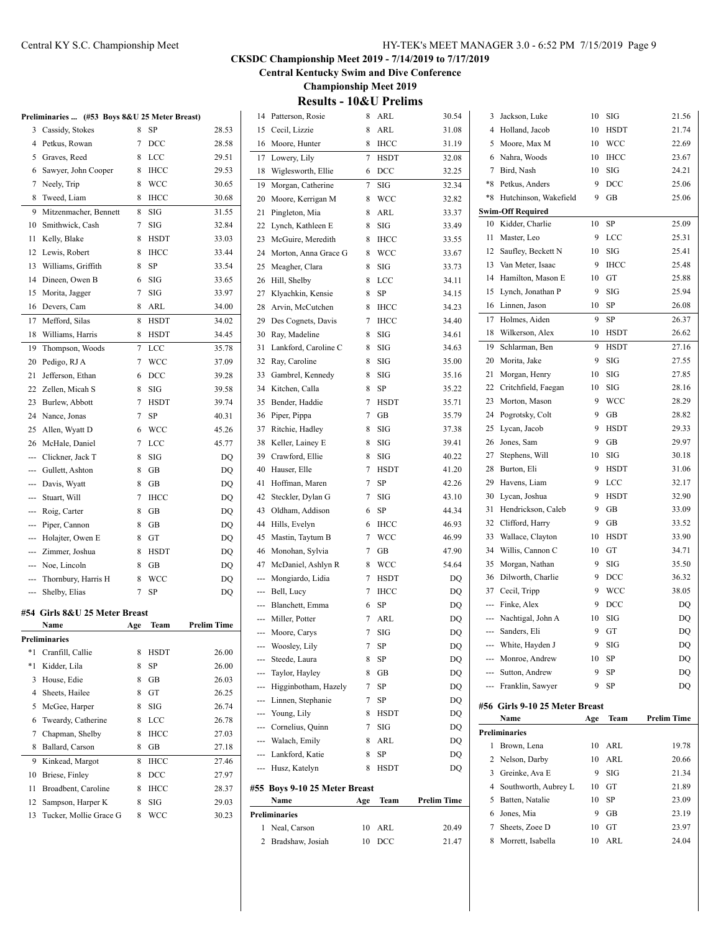# Central KY S.C. Championship Meet HY-TEK's MEET MANAGER 3.0 - 6:52 PM 7/15/2019 Page 9

# **CKSDC Championship Meet 2019 - 7/14/2019 to 7/17/2019**

**Central Kentucky Swim and Dive Conference**

**Championship Meet 2019**

**Results - 10&U Prelims**

|     | Preliminaries  (#53 Boys 8&U 25 Meter Breast) |     |             |                    |     | 14 Patterson, Rosie            | 8      | ARL         | 30.54       |
|-----|-----------------------------------------------|-----|-------------|--------------------|-----|--------------------------------|--------|-------------|-------------|
|     | 3 Cassidy, Stokes                             | 8   | SP          | 28.53              | 15  | Cecil, Lizzie                  | 8      | <b>ARL</b>  | 31.08       |
|     | 4 Petkus, Rowan                               | 7   | DCC         | 28.58              | 16  | Moore, Hunter                  | 8      | <b>IHCC</b> | 31.19       |
| 5   | Graves, Reed                                  | 8   | LCC         | 29.51              | 17  | Lowery, Lily                   | 7      | <b>HSDT</b> | 32.08       |
| 6   | Sawyer, John Cooper                           | 8   | <b>IHCC</b> | 29.53              | 18  | Wiglesworth, Ellie             | 6      | DCC         | 32.25       |
| 7   | Neely, Trip                                   | 8   | WCC         | 30.65              | 19  | Morgan, Catherine              | 7      | SIG         | 32.34       |
| 8   | Tweed, Liam                                   | 8   | <b>IHCC</b> | 30.68              | 20  | Moore, Kerrigan M              | 8      | <b>WCC</b>  | 32.82       |
| 9   | Mitzenmacher, Bennett                         | 8   | SIG         | 31.55              | 21  | Pingleton, Mia                 | 8      | ARL         | 33.37       |
| 10  | Smithwick, Cash                               | 7   | <b>SIG</b>  | 32.84              | 22  | Lynch, Kathleen E              | 8      | SIG         | 33.49       |
| 11  | Kelly, Blake                                  | 8   | <b>HSDT</b> | 33.03              | 23  | McGuire, Meredith              | 8      | <b>IHCC</b> | 33.55       |
| 12  | Lewis, Robert                                 | 8   | <b>IHCC</b> | 33.44              | 24  | Morton, Anna Grace G           | 8      | WCC         | 33.67       |
| 13  | Williams, Griffith                            | 8   | SP          | 33.54              | 25  | Meagher, Clara                 | 8      | SIG         | 33.73       |
| 14  | Dineen, Owen B                                | 6   | <b>SIG</b>  | 33.65              | 26  | Hill, Shelby                   | 8      | LCC         | 34.11       |
| 15  | Morita, Jagger                                | 7   | <b>SIG</b>  | 33.97              | 27  | Klyachkin, Kensie              | 8      | SP          | 34.15       |
| 16  | Devers, Cam                                   | 8   | ARL         | 34.00              | 28  | Arvin, McCutchen               | 8      | <b>IHCC</b> | 34.23       |
| 17  | Mefford, Silas                                | 8   | <b>HSDT</b> | 34.02              | 29  | Des Cognets, Davis             | 7      | <b>IHCC</b> | 34.40       |
| 18  | Williams, Harris                              | 8   | <b>HSDT</b> | 34.45              | 30  | Ray, Madeline                  | 8      | <b>SIG</b>  | 34.61       |
| 19  | Thompson, Woods                               | 7   | LCC         | 35.78              | 31  | Lankford, Caroline C           | 8      | <b>SIG</b>  | 34.63       |
| 20  | Pedigo, RJ A                                  | 7   | WCC         | 37.09              | 32  | Ray, Caroline                  | 8      | SIG         | 35.00       |
| 21  | Jefferson, Ethan                              | 6   | DCC         | 39.28              | 33  | Gambrel, Kennedy               | 8      | SIG         | 35.16       |
| 22  | Zellen, Micah S                               | 8   | SIG         | 39.58              | 34  | Kitchen, Calla                 | 8      | SP          | 35.22       |
| 23  | Burlew, Abbott                                | 7   | <b>HSDT</b> | 39.74              | 35  | Bender, Haddie                 | 7      | <b>HSDT</b> | 35.71       |
| 24  | Nance, Jonas                                  | 7   | SP          | 40.31              | 36  | Piper, Pippa                   | 7      | GB          | 35.79       |
| 25  | Allen, Wyatt D                                | 6   | WCC         | 45.26              | 37  | Ritchie, Hadley                | 8      | <b>SIG</b>  | 37.38       |
| 26  | McHale, Daniel                                | 7   | LCC         | 45.77              | 38  | Keller, Lainey E               | 8      | SIG         | 39.41       |
|     | Clickner, Jack T                              | 8   | SIG         | DQ                 | 39  | Crawford, Ellie                | 8      | SIG         | 40.22       |
|     | Gullett, Ashton                               | 8   | GВ          | DQ                 | 40  | Hauser, Elle                   | 7      | <b>HSDT</b> | 41.20       |
|     | Davis, Wyatt                                  | 8   | GB          | DQ                 | 41  | Hoffman, Maren                 | 7      | SP          | 42.26       |
|     | Stuart, Will                                  | 7   | <b>IHCC</b> | DQ                 | 42  | Steckler, Dylan G              | 7      | SIG         | 43.10       |
|     | Roig, Carter                                  | 8   | GB          | DQ                 | 43  | Oldham, Addison                | 6      | SP          | 44.34       |
| --- | Piper, Cannon                                 | 8   | GВ          | DQ                 | 44  | Hills, Evelyn                  | 6      | <b>IHCC</b> | 46.93       |
|     | Holajter, Owen E                              | 8   | GT          | DQ                 | 45  | Mastin, Taytum B               | 7      | WCC         | 46.99       |
|     | Zimmer, Joshua                                | 8   | <b>HSDT</b> |                    | 46  | Monohan, Sylvia                | 7      | GB          | 47.90       |
|     | Noe, Lincoln                                  | 8   | GВ          | DQ                 | 47  | McDaniel, Ashlyn R             | 8      | <b>WCC</b>  | 54.64       |
| --- |                                               |     |             | DQ                 |     | Mongiardo, Lidia               | 7      | <b>HSDT</b> |             |
|     | Thornbury, Harris H                           | 8   | WCC         | DQ                 | --- |                                | 7      | <b>IHCC</b> | DQ          |
|     | Shelby, Elias                                 | 7   | SP          | DQ                 | --- | Bell, Lucy<br>Blanchett, Emma  |        |             | DQ          |
|     | #54 Girls 8&U 25 Meter Breast                 |     |             |                    |     |                                | 6<br>7 | SP<br>ARL   | DQ          |
|     | Name                                          | Age | Team        | <b>Prelim Time</b> |     | Miller, Potter<br>Moore, Carys | 7      | SIG         | DQ<br>DQ    |
|     | Preliminaries                                 |     |             |                    |     |                                |        |             |             |
|     | *1 Cranfill, Callie                           | 8   | <b>HSDT</b> | 26.00              |     | Woosley, Lily<br>Steede, Laura | 7      | SP          | DQ          |
|     | *1 Kidder, Lila                               | 8   | SP          | 26.00              |     |                                | 8      | SP          | DQ          |
|     | 3 House, Edie                                 | 8   | GB          | 26.03              | --- | Taylor, Hayley                 | 8      | GВ          | DQ          |
| 4   | Sheets, Hailee                                | 8   | GT          | 26.25              |     | Higginbotham, Hazely           | 7      | SP          | DQ          |
|     | 5 McGee, Harper                               | 8   | SIG         | 26.74              |     | Linnen, Stephanie              | 7      | SP          | DQ          |
|     | 6 Tweardy, Catherine                          | 8   | LCC         | 26.78              | --- | Young, Lily                    | 8      | HSDT        | DQ          |
|     | 7 Chapman, Shelby                             | 8   | <b>IHCC</b> | 27.03              |     | Cornelius, Quinn               | 7      | SIG         | DQ          |
|     | 8 Ballard, Carson                             | 8   | GВ          | 27.18              | --- | Walach, Emily                  | 8      | ARL         | DQ          |
|     | 9 Kinkead, Margot                             | 8   | <b>IHCC</b> | 27.46              | --- | Lankford, Katie                | 8      | SP          | DQ          |
|     | 10 Briese, Finley                             | 8   | <b>DCC</b>  | 27.97              |     | Husz, Katelyn                  | 8      | <b>HSDT</b> | DQ          |
| 11  | Broadbent, Caroline                           | 8   | <b>IHCC</b> | 28.37              |     | #55 Boys 9-10 25 Meter Breast  |        |             |             |
| 12  | Sampson, Harper K                             | 8   | SIG         | 29.03              |     | Name                           | Age    | Team        | Prelim Time |
|     | 13 Tucker, Mollie Grace G                     | 8   | <b>WCC</b>  | 30.23              |     | Preliminaries                  |        |             |             |
|     |                                               |     |             |                    |     | 1 Neal, Carson                 | 10     | ARL         | 20.49       |
|     |                                               |     |             |                    |     | 2 Bradshaw, Josiah             | 10     | DCC         | 21.47       |

| 3    | Jackson, Luke                          | 10  | SIG         | 21.56              |
|------|----------------------------------------|-----|-------------|--------------------|
| 4    | Holland, Jacob                         | 10  | <b>HSDT</b> | 21.74              |
| 5    | Moore, Max M                           | 10  | <b>WCC</b>  | 22.69              |
| 6    | Nahra, Woods                           | 10  | <b>IHCC</b> | 23.67              |
| 7    | Bird, Nash                             | 10  | SIG         | 24.21              |
| $*8$ | Petkus, Anders                         | 9   | DCC         | 25.06              |
| *8   | Hutchinson, Wakefield                  | 9   | GВ          | 25.06              |
|      | <b>Swim-Off Required</b>               |     |             |                    |
| 10   | Kidder, Charlie                        | 10  | SP          | 25.09              |
| 11   | Master, Leo                            | 9   | LCC         | 25.31              |
| 12   | Saufley, Beckett N                     | 10  | SIG         | 25.41              |
| 13   | Van Meter, Isaac                       | 9   | <b>IHCC</b> | 25.48              |
| 14   | Hamilton, Mason E                      | 10  | GT          | 25.88              |
| 15   | Lynch, Jonathan P                      | 9   | SIG         | 25.94              |
| 16   | Linnen, Jason                          | 10  | SP          | 26.08              |
| 17   | Holmes, Aiden                          | 9   | SP          | 26.37              |
| 18   | Wilkerson, Alex                        | 10  | HSDT        | 26.62              |
| 19   | Schlarman, Ben                         | 9   | <b>HSDT</b> | 27.16              |
| 20   | Morita, Jake                           | 9   | SIG         | 27.55              |
| 21   | Morgan, Henry                          | 10  | SIG         | 27.85              |
| 22   | Critchfield, Faegan                    | 10  | SIG         | 28.16              |
| 23   | Morton, Mason                          | 9   | <b>WCC</b>  | 28.29              |
| 24   | Pogrotsky, Colt                        | 9   | GB          | 28.82              |
| 25   | Lycan, Jacob                           | 9   | <b>HSDT</b> | 29.33              |
| 26   | Jones, Sam                             | 9   | GB          | 29.97              |
| 27   | Stephens, Will                         | 10  | SIG         | 30.18              |
| 28   | Burton, Eli                            | 9   | <b>HSDT</b> | 31.06              |
| 29   | Havens, Liam                           | 9   | LCC         | 32.17              |
| 30   | Lycan, Joshua                          | 9   | <b>HSDT</b> | 32.90              |
| 31   | Hendrickson, Caleb                     | 9   | GВ          | 33.09              |
| 32   | Clifford, Harry                        | 9   | GB          | 33.52              |
| 33   | Wallace, Clayton                       | 10  | <b>HSDT</b> | 33.90              |
| 34   | Willis, Cannon C                       | 10  | GT          | 34.71              |
| 35   | Morgan, Nathan                         | 9   | SIG         | 35.50              |
| 36   | Dilworth, Charlie                      | 9   | DCC         | 36.32              |
| 37   | Cecil, Tripp                           | 9   | WCC         | 38.05              |
| $-$  | Finke, Alex                            | 9   | DCC         | DO                 |
| ---  | Nachtigal, John A                      | 10  | SIG         | DO                 |
|      | --- Sanders, Eli                       | 9   | GT          | DQ                 |
|      | --- White, Hayden J                    | 9   | SIG         | DQ                 |
|      | --- Monroe, Andrew                     | 10  | SP          | DQ                 |
|      | --- Sutton, Andrew                     | 9   | SP          | DQ                 |
|      | --- Franklin, Sawyer                   | 9   | SP          | DQ                 |
|      |                                        |     |             |                    |
|      | #56 Girls 9-10 25 Meter Breast<br>Name | Age | Team        | <b>Prelim Time</b> |
|      |                                        |     |             |                    |
| 1    | <b>Preliminaries</b><br>Brown, Lena    | 10  | ARL         |                    |
| 2    | Nelson, Darby                          | 10  | ARL         | 19.78<br>20.66     |
| 3    | Greinke, Ava E                         | 9   | SIG         | 21.34              |
| 4    | Southworth, Aubrey L                   | 10  | GT          | 21.89              |
| 5    | Batten, Natalie                        | 10  | SP          | 23.09              |
| 6    | Jones, Mia                             | 9   | GВ          | 23.19              |
| 7    | Sheets, Zoee D                         | 10  | GТ          | 23.97              |
| 8    | Morrett, Isabella                      | 10  | ARL         | 24.04              |
|      |                                        |     |             |                    |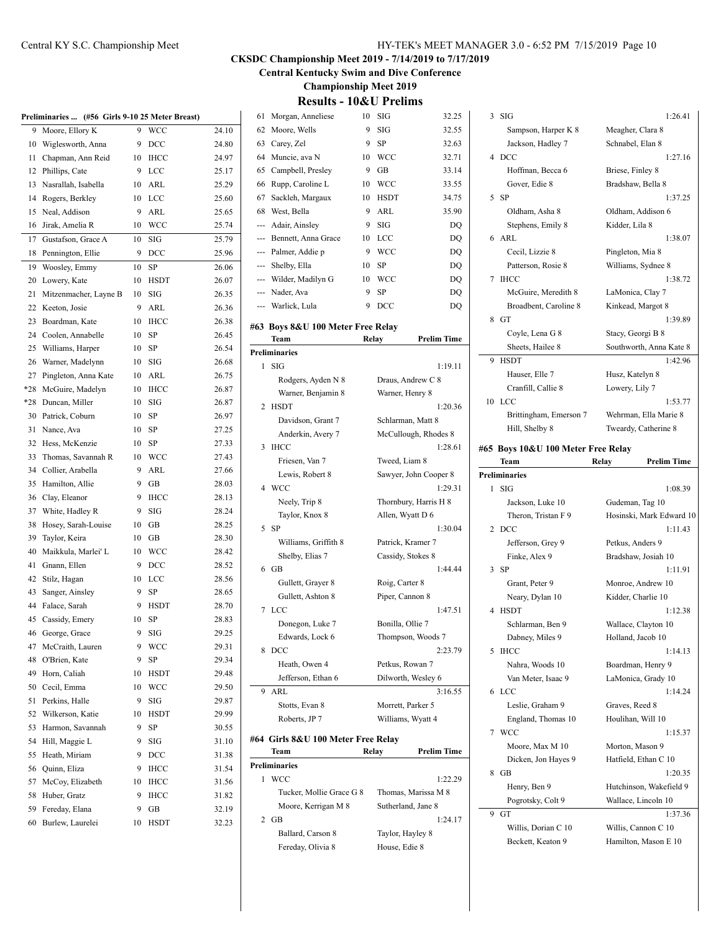| HY-TEK's MEET MANAGER 3.0 - 6:52 PM 7/15/2019 Page 10 |  |  |  |  |  |
|-------------------------------------------------------|--|--|--|--|--|
|-------------------------------------------------------|--|--|--|--|--|

**Central Kentucky Swim and Dive Conference**

**Championship Meet 2019 Results - 10&U Prelims**

|--|

|     | Preliminaries  (#56 Girls 9-10 25 Meter Breast) |    |             |       |
|-----|-------------------------------------------------|----|-------------|-------|
| 9   | Moore, Ellory K                                 | 9  | WCC         | 24.10 |
| 10  | Wiglesworth, Anna                               | 9  | DCC         | 24.80 |
| 11  | Chapman, Ann Reid                               | 10 | <b>IHCC</b> | 24.97 |
| 12  | Phillips, Cate                                  | 9  | LCC         | 25.17 |
| 13  | Nasrallah, Isabella                             | 10 | ARL         | 25.29 |
| 14  | Rogers, Berkley                                 | 10 | LCC         | 25.60 |
| 15  | Neal, Addison                                   | 9  | ARL         | 25.65 |
| 16  | Jirak, Amelia R                                 | 10 | <b>WCC</b>  | 25.74 |
| 17  | Gustafson, Grace A                              | 10 | SIG         | 25.79 |
| 18  | Pennington, Ellie                               | 9  | DCC         | 25.96 |
| 19  | Woosley, Emmy                                   | 10 | SP          | 26.06 |
| 20  | Lowery, Kate                                    | 10 | HSDT        | 26.07 |
| 21  | Mitzenmacher, Layne B                           | 10 | SIG         | 26.35 |
| 22  | Keeton, Josie                                   | 9  | ARL         | 26.36 |
| 23  | Boardman, Kate                                  | 10 | <b>IHCC</b> | 26.38 |
| 24  | Coolen, Annabelle                               | 10 | SP          | 26.45 |
| 25  | Williams, Harper                                | 10 | <b>SP</b>   | 26.54 |
| 26  | Warner, Madelynn                                | 10 | SIG         | 26.68 |
| 27  | Pingleton, Anna Kate                            | 10 | ARL         | 26.75 |
| *28 | McGuire, Madelyn                                | 10 | <b>IHCC</b> | 26.87 |
| *28 |                                                 |    | SIG         |       |
|     | Duncan, Miller                                  | 10 |             | 26.87 |
| 30  | Patrick, Coburn                                 | 10 | SP          | 26.97 |
| 31  | Nance, Ava                                      | 10 | SP          | 27.25 |
| 32  | Hess, McKenzie                                  | 10 | SP          | 27.33 |
| 33  | Thomas, Savannah R                              | 10 | WCC         | 27.43 |
| 34  | Collier, Arabella                               | 9  | ARL         | 27.66 |
| 35  | Hamilton, Allie                                 | 9  | GB          | 28.03 |
| 36  | Clay, Eleanor                                   | 9  | <b>IHCC</b> | 28.13 |
| 37  | White, Hadley R                                 | 9  | SIG         | 28.24 |
| 38  | Hosey, Sarah-Louise                             | 10 | GB          | 28.25 |
| 39  | Taylor, Keira                                   | 10 | GB          | 28.30 |
| 40  | Maikkula, Marlei' L                             | 10 | WCC         | 28.42 |
| 41  | Gnann, Ellen                                    | 9  | DCC         | 28.52 |
| 42  | Stilz, Hagan                                    | 10 | LCC         | 28.56 |
| 43  | Sanger, Ainsley                                 | 9  | SP          | 28.65 |
| 44  | Falace, Sarah                                   | 9  | <b>HSDT</b> | 28.70 |
| 45  | Cassidy, Emery                                  | 10 | <b>SP</b>   | 28.83 |
| 46  | George, Grace                                   | 9  | SIG         | 29.25 |
| 47  | McCraith, Lauren                                | 9  | WCC         | 29.31 |
| 48  | O'Brien, Kate                                   | 9  | SP          | 29.34 |
| 49  | Horn, Caliah                                    | 10 | <b>HSDT</b> | 29.48 |
| 50  | Cecil, Emma                                     | 10 | WCC         | 29.50 |
| 51  | Perkins, Halle                                  | 9  | SIG         | 29.87 |
| 52  | Wilkerson, Katie                                | 10 | <b>HSDT</b> | 29.99 |
| 53  | Harmon, Savannah                                | 9  | SP          | 30.55 |
| 54  | Hill, Maggie L                                  | 9  | SIG         | 31.10 |
| 55  | Heath, Miriam                                   | 9  | DCC         | 31.38 |
| 56  | Quinn, Eliza                                    | 9  | <b>IHCC</b> | 31.54 |
| 57  | McCoy, Elizabeth                                | 10 | <b>IHCC</b> | 31.56 |
| 58  | Huber, Gratz                                    | 9  | <b>IHCC</b> | 31.82 |
| 59  | Fereday, Elana                                  | 9  | GВ          | 32.19 |
| 60  | Burlew, Laurelei                                | 10 | HSDT        | 32.23 |
|     |                                                 |    |             |       |

| 61  | Morgan, Anneliese                         | 10    | SIG                   | 32.25                           |
|-----|-------------------------------------------|-------|-----------------------|---------------------------------|
| 62  | Moore, Wells                              | 9     | SIG                   | 32.55                           |
|     | 63 Carey, Zel                             | 9     | SP                    | 32.63                           |
| 64  | Muncie, ava N                             | 10    | WCC                   | 32.71                           |
| 65  | Campbell, Presley                         | 9     | GВ                    | 33.14                           |
| 66  | Rupp, Caroline L                          | 10    | WCC                   | 33.55                           |
| 67  | Sackleh, Margaux                          | 10    | <b>HSDT</b>           | 34.75                           |
| 68  | West, Bella                               | 9     | ARL                   | 35.90                           |
| --- | Adair, Ainsley                            | 9     | SIG                   | DQ                              |
|     | --- Bennett, Anna Grace                   | 10    | LCC                   | DQ                              |
|     | --- Palmer, Addie p                       | 9     | WCC                   | DO                              |
| --- | Shelby, Ella                              | 10    | <b>SP</b>             | DQ                              |
|     | --- Wilder, Madilyn G                     | 10    | WCC                   | DQ                              |
| --- | Nader, Ava                                | 9     | SP                    | DQ                              |
| --- | Warlick, Lula                             | 9     | DCC                   | DQ                              |
|     |                                           |       |                       |                                 |
|     | #63 Boys 8&U 100 Meter Free Relay<br>Team |       |                       | <b>Prelim Time</b>              |
|     | <b>Preliminaries</b>                      | Relay |                       |                                 |
| 1   | <b>SIG</b>                                |       |                       | 1:19.11                         |
|     | Rodgers, Ayden N 8                        |       | Draus, Andrew C 8     |                                 |
|     |                                           |       | Warner, Henry 8       |                                 |
| 2   | Warner, Benjamin 8<br><b>HSDT</b>         |       |                       | 1:20.36                         |
|     | Davidson, Grant 7                         |       | Schlarman, Matt 8     |                                 |
|     |                                           |       |                       |                                 |
| 3   | Anderkin, Avery 7<br><b>IHCC</b>          |       |                       | McCullough, Rhodes 8<br>1:28.61 |
|     | Friesen, Van 7                            |       | Tweed, Liam 8         |                                 |
|     | Lewis, Robert 8                           |       |                       | Sawyer, John Cooper 8           |
|     | 4 WCC                                     |       |                       | 1:29.31                         |
|     | Neely, Trip 8                             |       | Thornbury, Harris H 8 |                                 |
|     | Taylor, Knox 8                            |       | Allen, Wyatt D 6      |                                 |
|     | 5 SP                                      |       |                       | 1:30.04                         |
|     | Williams, Griffith 8                      |       | Patrick, Kramer 7     |                                 |
|     | Shelby, Elias 7                           |       | Cassidy, Stokes 8     |                                 |
|     | 6 GB                                      |       |                       | 1:44.44                         |
|     | Gullett, Grayer 8                         |       | Roig, Carter 8        |                                 |
|     | Gullett, Ashton 8                         |       | Piper, Cannon 8       |                                 |
| 7   | LCC                                       |       |                       | 1:47.51                         |
|     | Donegon, Luke 7                           |       | Bonilla, Ollie 7      |                                 |
|     | Edwards, Lock 6                           |       | Thompson, Woods 7     |                                 |
| 8   | DCC                                       |       |                       | 2:23.79                         |
|     | Heath, Owen 4                             |       | Petkus, Rowan 7       |                                 |
|     | Jefferson, Ethan 6                        |       | Dilworth, Wesley 6    |                                 |
| 9   | ARL                                       |       |                       | 3:16.55                         |
|     | Stotts, Evan 8                            |       | Morrett, Parker 5     |                                 |
|     | Roberts, JP 7                             |       | Williams, Wyatt 4     |                                 |
|     |                                           |       |                       |                                 |
|     | #64 Girls 8&U 100 Meter Free Relay        |       |                       |                                 |
|     | Team                                      | Relay |                       | <b>Prelim Time</b>              |
|     | <b>Preliminaries</b>                      |       |                       |                                 |
| 1   | <b>WCC</b>                                |       |                       | 1:22.29                         |
|     | Tucker, Mollie Grace G 8                  |       | Thomas, Marissa M 8   |                                 |
|     | Moore, Kerrigan M 8                       |       | Sutherland, Jane 8    |                                 |
|     | 2 GB                                      |       |                       | 1:24.17                         |

Ballard, Carson 8 Taylor, Hayley 8 Fereday, Olivia 8 House, Edie 8

|   | 3 SIG                                    | 1:26.41                                     |
|---|------------------------------------------|---------------------------------------------|
|   | Sampson, Harper K 8                      | Meagher, Clara 8                            |
|   | Jackson, Hadley 7                        | Schnabel, Elan 8                            |
|   | 4 DCC                                    | 1:27.16                                     |
|   | Hoffman, Becca 6                         | Briese, Finley 8                            |
|   | Gover, Edie 8                            | Bradshaw, Bella 8                           |
| 5 | -SP                                      | 1:37.25                                     |
|   | Oldham, Asha 8                           | Oldham, Addison 6                           |
|   | Stephens, Emily 8                        | Kidder, Lila 8                              |
| 6 | ARL                                      | 1:38.07                                     |
|   | Cecil, Lizzie 8                          | Pingleton, Mia 8                            |
|   | Patterson, Rosie 8                       | Williams, Sydnee 8                          |
| 7 | <b>IHCC</b>                              | 1:38.72                                     |
|   | McGuire, Meredith 8                      | LaMonica, Clay 7                            |
|   | Broadbent, Caroline 8                    | Kinkead, Margot 8                           |
| 8 | GT                                       | 1:39.89                                     |
|   | Coyle, Lena G 8                          | Stacy, Georgi B 8                           |
|   | Sheets, Hailee 8                         | Southworth, Anna Kate 8                     |
| 9 | <b>HSDT</b>                              | 1:42.96                                     |
|   | Hauser, Elle 7                           | Husz, Katelyn 8                             |
|   | Cranfill, Callie 8                       | Lowery, Lily 7                              |
|   | 10 LCC<br>Brittingham, Emerson 7         | 1:53.77<br>Wehrman, Ella Marie 8            |
|   | Hill, Shelby 8                           | Tweardy, Catherine 8                        |
|   |                                          |                                             |
|   | #65 Boys 10&U 100 Meter Free Relay       |                                             |
|   | Team                                     | <b>Prelim Time</b><br>Relay                 |
|   | Preliminaries                            |                                             |
|   |                                          |                                             |
| 1 | SIG                                      | 1:08.39                                     |
|   | Jackson, Luke 10                         | Gudeman, Tag 10                             |
|   | Theron, Tristan F 9                      | Hosinski, Mark Edward 10                    |
| 2 | DCC                                      | 1:11.43                                     |
|   | Jefferson, Grey 9<br>Finke, Alex 9       | Petkus, Anders 9<br>Bradshaw, Josiah 10     |
| 3 | -SP                                      | 1:11.91                                     |
|   | Grant, Peter 9                           | Monroe, Andrew 10                           |
|   | Neary, Dylan 10                          | Kidder, Charlie 10                          |
| 4 | <b>HSDT</b>                              | 1:12.38                                     |
|   | Schlarman, Ben 9                         | Wallace, Clayton 10                         |
|   | Dabney, Miles 9                          | Holland, Jacob 10                           |
| 5 | <b>IHCC</b>                              | 1:14.13                                     |
|   | Nahra, Woods 10                          | Boardman, Henry 9                           |
|   | Van Meter, Isaac 9                       | LaMonica, Grady 10                          |
| 6 | <b>LCC</b>                               | 1:14.24                                     |
|   | Leslie, Graham 9                         | Graves, Reed 8                              |
|   | England, Thomas 10                       | Houlihan, Will 10                           |
| 7 | <b>WCC</b>                               | 1:15.37                                     |
|   | Moore, Max M 10                          | Morton, Mason 9                             |
|   | Dicken, Jon Hayes 9                      | Hatfield, Ethan C 10                        |
| 8 | GB                                       | 1:20.35                                     |
|   | Henry, Ben 9                             | Hutchinson, Wakefield 9                     |
| 9 | Pogrotsky, Colt 9<br>GT                  | Wallace, Lincoln 10                         |
|   |                                          | 1:37.36                                     |
|   | Willis, Dorian C 10<br>Beckett, Keaton 9 | Willis, Cannon C 10<br>Hamilton, Mason E 10 |